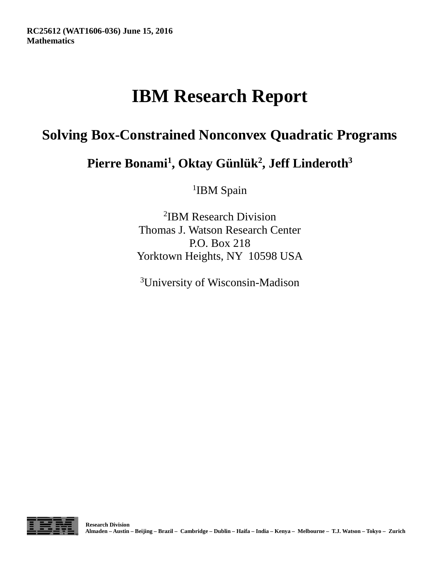# **IBM Research Report**

## **Solving Box-Constrained Nonconvex Quadratic Programs**

**Pierre Bonami<sup>1</sup> , Oktay Günlük 2 , Jeff Linderoth<sup>3</sup>**

<sup>1</sup>IBM Spain

2 IBM Research Division Thomas J. Watson Research Center P.O. Box 218 Yorktown Heights, NY 10598 USA

3University of Wisconsin-Madison

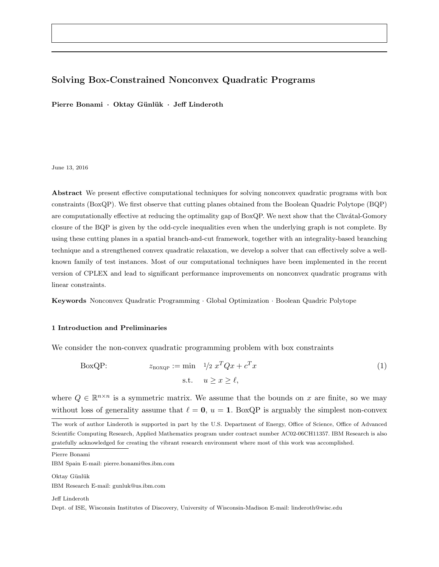#### Solving Box-Constrained Nonconvex Quadratic Programs

Pierre Bonami · Oktay Günlük · Jeff Linderoth

#### June 13, 2016

Abstract We present effective computational techniques for solving nonconvex quadratic programs with box constraints (BoxQP). We first observe that cutting planes obtained from the Boolean Quadric Polytope (BQP) are computationally effective at reducing the optimality gap of BoxQP. We next show that the Chvátal-Gomory closure of the BQP is given by the odd-cycle inequalities even when the underlying graph is not complete. By using these cutting planes in a spatial branch-and-cut framework, together with an integrality-based branching technique and a strengthened convex quadratic relaxation, we develop a solver that can effectively solve a wellknown family of test instances. Most of our computational techniques have been implemented in the recent version of CPLEX and lead to significant performance improvements on nonconvex quadratic programs with linear constraints.

Keywords Nonconvex Quadratic Programming · Global Optimization · Boolean Quadric Polytope

#### 1 Introduction and Preliminaries

We consider the non-convex quadratic programming problem with box constraints

BoxQP: 
$$
z_{\text{BOXQP}} := \min \quad 1/2 \ x^T Q x + c^T x
$$

$$
\text{s.t.} \quad u \ge x \ge \ell,
$$
 (1)

where  $Q \in \mathbb{R}^{n \times n}$  is a symmetric matrix. We assume that the bounds on x are finite, so we may without loss of generality assume that  $\ell = 0$ ,  $u = 1$ . BoxQP is arguably the simplest non-convex

Pierre Bonami

IBM Spain E-mail: pierre.bonami@es.ibm.com

Oktay Günlük IBM Research E-mail: gunluk@us.ibm.com

Jeff Linderoth

Dept. of ISE, Wisconsin Institutes of Discovery, University of Wisconsin-Madison E-mail: linderoth@wisc.edu

The work of author Linderoth is supported in part by the U.S. Department of Energy, Office of Science, Office of Advanced Scientific Computing Research, Applied Mathematics program under contract number AC02-06CH11357. IBM Research is also gratefully acknowledged for creating the vibrant research environment where most of this work was accomplished.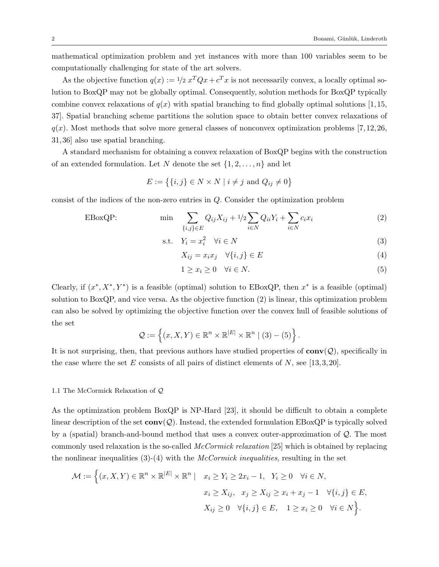mathematical optimization problem and yet instances with more than 100 variables seem to be computationally challenging for state of the art solvers.

As the objective function  $q(x) := \frac{1}{2} x^T Q x + c^T x$  is not necessarily convex, a locally optimal solution to BoxQP may not be globally optimal. Consequently, solution methods for BoxQP typically combine convex relaxations of  $q(x)$  with spatial branching to find globally optimal solutions [1,15, 37]. Spatial branching scheme partitions the solution space to obtain better convex relaxations of  $q(x)$ . Most methods that solve more general classes of nonconvex optimization problems [7,12,26, 31, 36] also use spatial branching.

A standard mechanism for obtaining a convex relaxation of BoxQP begins with the construction of an extended formulation. Let N denote the set  $\{1, 2, \ldots, n\}$  and let

$$
E := \{ \{i, j\} \in N \times N \mid i \neq j \text{ and } Q_{ij} \neq 0 \}
$$

consist of the indices of the non-zero entries in Q. Consider the optimization problem

$$
\text{EBoxQP:} \qquad \qquad \min \quad \sum_{\{i,j\} \in E} Q_{ij} X_{ij} + 1/2 \sum_{i \in N} Q_{ii} Y_i + \sum_{i \in N} c_i x_i \tag{2}
$$

$$
\text{s.t.} \quad Y_i = x_i^2 \quad \forall i \in N \tag{3}
$$

$$
X_{ij} = x_i x_j \quad \forall \{i, j\} \in E \tag{4}
$$

$$
1 \ge x_i \ge 0 \quad \forall i \in N. \tag{5}
$$

Clearly, if  $(x^*, X^*, Y^*)$  is a feasible (optimal) solution to EBoxQP, then  $x^*$  is a feasible (optimal) solution to BoxQP, and vice versa. As the objective function (2) is linear, this optimization problem can also be solved by optimizing the objective function over the convex hull of feasible solutions of the set

$$
\mathcal{Q} := \left\{ (x, X, Y) \in \mathbb{R}^n \times \mathbb{R}^{|E|} \times \mathbb{R}^n \mid (3) - (5) \right\}.
$$

It is not surprising, then, that previous authors have studied properties of  $conv(Q)$ , specifically in the case where the set E consists of all pairs of distinct elements of N, see [13,3,20].

#### 1.1 The McCormick Relaxation of Q

As the optimization problem BoxQP is NP-Hard [23], it should be difficult to obtain a complete linear description of the set  $\mathbf{conv}(\mathcal{Q})$ . Instead, the extended formulation EBoxQP is typically solved by a (spatial) branch-and-bound method that uses a convex outer-approximation of Q. The most commonly used relaxation is the so-called McCormick relaxation [25] which is obtained by replacing the nonlinear inequalities  $(3)-(4)$  with the *McCormick inequalities*, resulting in the set

$$
\mathcal{M} := \left\{ (x, X, Y) \in \mathbb{R}^n \times \mathbb{R}^{|E|} \times \mathbb{R}^n \mid x_i \ge Y_i \ge 2x_i - 1, Y_i \ge 0 \quad \forall i \in N, \n x_i \ge X_{ij}, x_j \ge X_{ij} \ge x_i + x_j - 1 \quad \forall \{i, j\} \in E, \n X_{ij} \ge 0 \quad \forall \{i, j\} \in E, 1 \ge x_i \ge 0 \quad \forall i \in N \right\}.
$$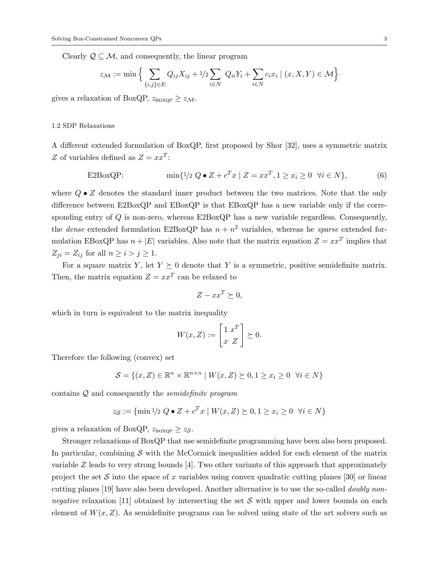Clearly  $\mathcal{Q} \subseteq \mathcal{M}$ , and consequently, the linear program

$$
z_{\mathcal{M}} := \min \Big\{ \sum_{\{i,j\} \in E} Q_{ij} X_{ij} + 1/2 \sum_{i \in N} Q_{ii} Y_i + \sum_{i \in N} c_i x_i \mid (x, X, Y) \in \mathcal{M} \Big\}
$$

gives a relaxation of BoxQP,  $z_{\text{BoXQP}} \geq z_{\mathcal{M}}$ .

#### 1.2 SDP Relaxations

A different extended formulation of BoxQP, first proposed by Shor [32], uses a symmetric matrix Z of variables defined as  $Z = xx^T$ :

$$
\text{E2BoxQP:} \qquad \qquad \min\{1/2 \ Q \bullet Z + c^T x \mid Z = xx^T, 1 \ge x_i \ge 0 \ \forall i \in N\},\tag{6}
$$

where  $Q \bullet Z$  denotes the standard inner product between the two matrices. Note that the only difference between E2BoxQP and EBoxQP is that EBoxQP has a new variable only if the corresponding entry of  $Q$  is non-zero, whereas  $E2BoxQP$  has a new variable regardless. Consequently, the *dense* extended formulation E2BoxQP has  $n + n^2$  variables, whereas he *sparse* extended formulation EBoxQP has  $n + |E|$  variables. Also note that the matrix equation  $Z = xx^T$  implies that  $Z_{ii} = Z_{ij}$  for all  $n \geq i > j \geq 1$ .

For a square matrix Y, let  $Y \succeq 0$  denote that Y is a symmetric, positive semidefinite matrix. Then, the matrix equation  $Z = xx^T$  can be relaxed to

$$
Z - xx^T \succeq 0,
$$

which in turn is equivalent to the matrix inequality

$$
W(x,Z) := \begin{bmatrix} 1 & x^T \\ x & Z \end{bmatrix} \succeq 0.
$$

Therefore the following (convex) set

$$
\mathcal{S} = \{(x, Z) \in \mathbb{R}^n \times \mathbb{R}^{n \times n} \mid W(x, Z) \succeq 0, 1 \ge x_i \ge 0 \quad \forall i \in N\}
$$

contains Q and consequently the semidefinite program

$$
z_{\mathcal{S}} := \{ \min 1/2 \ Q \bullet Z + c^T x \mid W(x, Z) \succeq 0, 1 \ge x_i \ge 0 \ \forall i \in N \}
$$

gives a relaxation of BoxQP,  $z_{\text{BoXOP}} \geq z_{\mathcal{S}}$ .

Stronger relaxations of BoxQP that use semidefinite programming have been also been proposed. In particular, combining  $\mathcal S$  with the McCormick inequalities added for each element of the matrix variable  $Z$  leads to very strong bounds [4]. Two other variants of this approach that approximately project the set S into the space of x variables using convex quadratic cutting planes [30] or linear cutting planes [19] have also been developed. Another alternative is to use the so-called doubly nonnegative relaxation [11] obtained by intersecting the set  $S$  with upper and lower bounds on each element of  $W(x, Z)$ . As semidefinite programs can be solved using state of the art solvers such as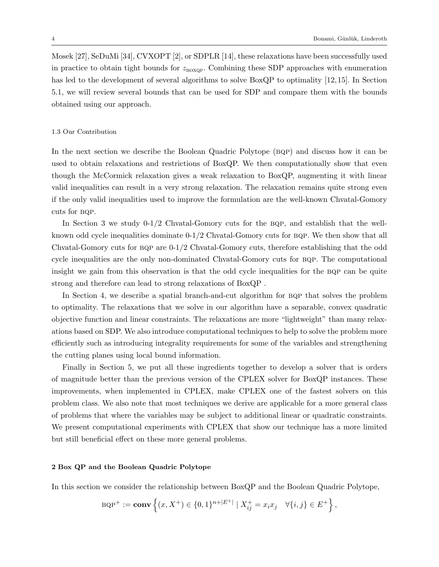Mosek [27], SeDuMi [34], CVXOPT [2], or SDPLR [14], these relaxations have been successfully used in practice to obtain tight bounds for  $z_{\text{BoXOP}}$ . Combining these SDP approaches with enumeration has led to the development of several algorithms to solve BoxQP to optimality [12, 15]. In Section 5.1, we will review several bounds that can be used for SDP and compare them with the bounds obtained using our approach.

#### 1.3 Our Contribution

In the next section we describe the Boolean Quadric Polytope (BQP) and discuss how it can be used to obtain relaxations and restrictions of BoxQP. We then computationally show that even though the McCormick relaxation gives a weak relaxation to BoxQP, augmenting it with linear valid inequalities can result in a very strong relaxation. The relaxation remains quite strong even if the only valid inequalities used to improve the formulation are the well-known Chvatal-Gomory cuts for bqp.

In Section 3 we study  $0-1/2$  Chvatal-Gomory cuts for the BQP, and establish that the wellknown odd cycle inequalities dominate  $0-1/2$  Chvatal-Gomory cuts for BQP. We then show that all Chvatal-Gomory cuts for bqp are 0-1/2 Chvatal-Gomory cuts, therefore establishing that the odd cycle inequalities are the only non-dominated Chvatal-Gomory cuts for bqp. The computational insight we gain from this observation is that the odd cycle inequalities for the BQP can be quite strong and therefore can lead to strong relaxations of BoxQP .

In Section 4, we describe a spatial branch-and-cut algorithm for BQP that solves the problem to optimality. The relaxations that we solve in our algorithm have a separable, convex quadratic objective function and linear constraints. The relaxations are more "lightweight" than many relaxations based on SDP. We also introduce computational techniques to help to solve the problem more efficiently such as introducing integrality requirements for some of the variables and strengthening the cutting planes using local bound information.

Finally in Section 5, we put all these ingredients together to develop a solver that is orders of magnitude better than the previous version of the CPLEX solver for BoxQP instances. These improvements, when implemented in CPLEX, make CPLEX one of the fastest solvers on this problem class. We also note that most techniques we derive are applicable for a more general class of problems that where the variables may be subject to additional linear or quadratic constraints. We present computational experiments with CPLEX that show our technique has a more limited but still beneficial effect on these more general problems.

#### 2 Box QP and the Boolean Quadric Polytope

In this section we consider the relationship between BoxQP and the Boolean Quadric Polytope,

BQP<sup>+</sup> := **conv** 
$$
\left\{ (x, X^+) \in \{0, 1\}^{n+|E^+|} | X_{ij}^+ = x_i x_j \quad \forall \{i, j\} \in E^+ \right\},
$$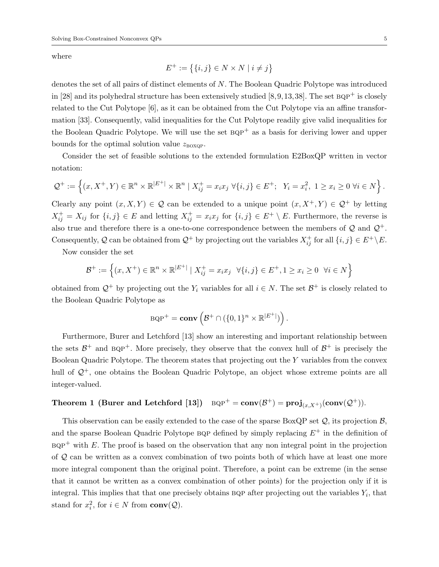where

$$
E^{+} := \{ \{i, j\} \in N \times N \mid i \neq j \}
$$

denotes the set of all pairs of distinct elements of N. The Boolean Quadric Polytope was introduced in [28] and its polyhedral structure has been extensively studied  $[8, 9, 13, 38]$ . The set  $BQP^+$  is closely related to the Cut Polytope [6], as it can be obtained from the Cut Polytope via an affine transformation [33]. Consequently, valid inequalities for the Cut Polytope readily give valid inequalities for the Boolean Quadric Polytope. We will use the set  $BQP^+$  as a basis for deriving lower and upper bounds for the optimal solution value  $z_{\text{poXOP}}$ .

Consider the set of feasible solutions to the extended formulation E2BoxQP written in vector notation:

$$
\mathcal{Q}^+ := \left\{ (x, X^+, Y) \in \mathbb{R}^n \times \mathbb{R}^{|E^+|} \times \mathbb{R}^n \mid X^+_{ij} = x_i x_j \; \forall \{i, j\} \in E^+; \; Y_i = x_i^2, \; 1 \geq x_i \geq 0 \; \forall i \in N \right\}.
$$

Clearly any point  $(x, X, Y) \in \mathcal{Q}$  can be extended to a unique point  $(x, X^+, Y) \in \mathcal{Q}^+$  by letting  $X_{ij}^+ = X_{ij}$  for  $\{i, j\} \in E$  and letting  $X_{ij}^+ = x_i x_j$  for  $\{i, j\} \in E^+ \setminus E$ . Furthermore, the reverse is also true and therefore there is a one-to-one correspondence between the members of  $\mathcal Q$  and  $\mathcal Q^+$ . Consequently, Q can be obtained from  $\mathcal{Q}^+$  by projecting out the variables  $X^+_{ij}$  for all  $\{i, j\} \in E^+ \backslash E$ .

Now consider the set

$$
\mathcal{B}^+ := \left\{ (x, X^+) \in \mathbb{R}^n \times \mathbb{R}^{|E^+|} \mid X^+_{ij} = x_i x_j \quad \forall \{i, j\} \in E^+, 1 \ge x_i \ge 0 \quad \forall i \in N \right\}
$$

obtained from  $\mathcal{Q}^+$  by projecting out the  $Y_i$  variables for all  $i \in N$ . The set  $\mathcal{B}^+$  is closely related to the Boolean Quadric Polytope as

$$
BQP^+ = \mathbf{conv}\left(\mathcal{B}^+ \cap (\{0,1\}^n \times \mathbb{R}^{|E^+|})\right).
$$

Furthermore, Burer and Letchford [13] show an interesting and important relationship between the sets  $\mathcal{B}^+$  and  $BQP^+$ . More precisely, they observe that the convex hull of  $\mathcal{B}^+$  is precisely the Boolean Quadric Polytope. The theorem states that projecting out the Y variables from the convex hull of  $\mathcal{Q}^+$ , one obtains the Boolean Quadric Polytope, an object whose extreme points are all integer-valued.

## $\text{Theorem 1 (Burer and Letchford [13])} \quad \text{BQP}^+ = \text{conv}(\mathcal{B}^+) = \text{proj}_{(x,X^+)}(\text{conv}(\mathcal{Q}^+)).$

This observation can be easily extended to the case of the sparse BoxQP set  $Q$ , its projection  $B$ , and the sparse Boolean Quadric Polytope BQP defined by simply replacing  $E^+$  in the definition of  $BQP^+$  with E. The proof is based on the observation that any non integral point in the projection of  $Q$  can be written as a convex combination of two points both of which have at least one more more integral component than the original point. Therefore, a point can be extreme (in the sense that it cannot be written as a convex combination of other points) for the projection only if it is integral. This implies that that one precisely obtains BQP after projecting out the variables  $Y_i$ , that stand for  $x_i^2$ , for  $i \in N$  from  $conv(Q)$ .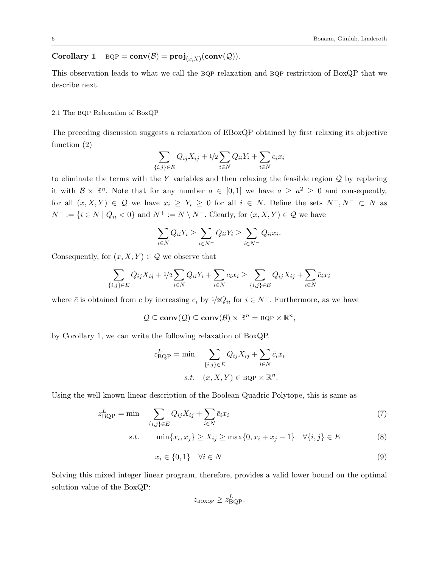## Corollary 1  $BQP = conv(\mathcal{B}) = proj_{(x,X)}(conv(\mathcal{Q}))$ .

This observation leads to what we call the BQP relaxation and BQP restriction of BoxQP that we describe next.

#### 2.1 The BQP Relaxation of BoxQP

The preceding discussion suggests a relaxation of EBoxQP obtained by first relaxing its objective function (2)

$$
\sum_{\{i,j\}\in E} Q_{ij} X_{ij} + 1/2 \sum_{i\in N} Q_{ii} Y_i + \sum_{i\in N} c_i x_i
$$

to eliminate the terms with the Y variables and then relaxing the feasible region  $Q$  by replacing it with  $\mathcal{B} \times \mathbb{R}^n$ . Note that for any number  $a \in [0,1]$  we have  $a \ge a^2 \ge 0$  and consequently, for all  $(x, X, Y) \in \mathcal{Q}$  we have  $x_i \geq Y_i \geq 0$  for all  $i \in N$ . Define the sets  $N^+, N^- \subset N$  as  $N^- := \{i \in N \mid Q_{ii} < 0\}$  and  $N^+ := N \setminus N^-$ . Clearly, for  $(x, X, Y) \in \mathcal{Q}$  we have

$$
\sum_{i\in N} Q_{ii} Y_i \ge \sum_{i\in N^-} Q_{ii} Y_i \ge \sum_{i\in N^-} Q_{ii} x_i.
$$

Consequently, for  $(x, X, Y) \in \mathcal{Q}$  we observe that

$$
\sum_{\{i,j\}\in E} Q_{ij}X_{ij} + 1/2 \sum_{i\in N} Q_{ii}Y_i + \sum_{i\in N} c_i x_i \ge \sum_{\{i,j\}\in E} Q_{ij}X_{ij} + \sum_{i\in N} \overline{c}_i x_i
$$

where  $\bar{c}$  is obtained from c by increasing  $c_i$  by  $1/2Q_{ii}$  for  $i \in N^-$ . Furthermore, as we have

$$
\mathcal{Q} \subseteq \mathbf{conv}(\mathcal{Q}) \subseteq \mathbf{conv}(\mathcal{B}) \times \mathbb{R}^n = \text{BQP} \times \mathbb{R}^n,
$$

by Corollary 1, we can write the following relaxation of BoxQP.

$$
z_{\text{BQP}}^L = \min \sum_{\{i,j\} \in E} Q_{ij} X_{ij} + \sum_{i \in N} \bar{c}_i x_i
$$
  
s.t.  $(x, X, Y) \in \text{BQP} \times \mathbb{R}^n$ .

Using the well-known linear description of the Boolean Quadric Polytope, this is same as

$$
z_{\mathrm{BQP}}^L = \min \quad \sum_{\{i,j\} \in E} Q_{ij} X_{ij} + \sum_{i \in N} \bar{c}_i x_i \tag{7}
$$

s.t. 
$$
\min\{x_i, x_j\} \ge X_{ij} \ge \max\{0, x_i + x_j - 1\} \quad \forall \{i, j\} \in E
$$
 (8)

$$
x_i \in \{0, 1\} \quad \forall i \in N \tag{9}
$$

Solving this mixed integer linear program, therefore, provides a valid lower bound on the optimal solution value of the BoxQP:

$$
z_{\text{BOXQP}} \geq z_{\text{BQP}}^L.
$$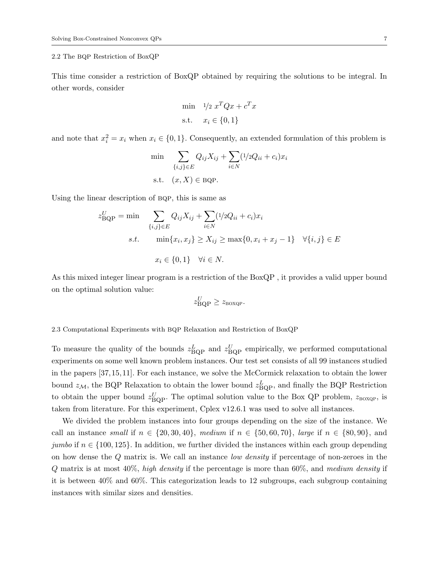#### 2.2 The BQP Restriction of BoxQP

This time consider a restriction of BoxQP obtained by requiring the solutions to be integral. In other words, consider

$$
\min \quad 1/2 \ x^T Q x + c^T x
$$
\n
$$
\text{s.t.} \quad x_i \in \{0, 1\}
$$

and note that  $x_i^2 = x_i$  when  $x_i \in \{0, 1\}$ . Consequently, an extended formulation of this problem is

min 
$$
\sum_{\{i,j\} \in E} Q_{ij} X_{ij} + \sum_{i \in N} (1/2Q_{ii} + c_i)x_i
$$
  
s.t.  $(x, X) \in BQP$ .

Using the linear description of BQP, this is same as

$$
z_{\text{BQP}}^U = \min \sum_{\{i,j\} \in E} Q_{ij} X_{ij} + \sum_{i \in N} (1/2Q_{ii} + c_i)x_i
$$
  
s.t. 
$$
\min\{x_i, x_j\} \ge X_{ij} \ge \max\{0, x_i + x_j - 1\} \quad \forall \{i, j\} \in E
$$

$$
x_i \in \{0, 1\} \quad \forall i \in N.
$$

As this mixed integer linear program is a restriction of the BoxQP , it provides a valid upper bound on the optimal solution value:

$$
z_{\rm BQP}^U \ge z_{\rm BoxQP}.
$$

2.3 Computational Experiments with bqp Relaxation and Restriction of BoxQP

To measure the quality of the bounds  $z_{\text{BOP}}^L$  and  $z_{\text{BOP}}^U$  empirically, we performed computational experiments on some well known problem instances. Our test set consists of all 99 instances studied in the papers [37, 15, 11]. For each instance, we solve the McCormick relaxation to obtain the lower bound  $z_{\mathcal{M}}$ , the BQP Relaxation to obtain the lower bound  $z_{\text{BOP}}^L$ , and finally the BQP Restriction to obtain the upper bound  $z_{\text{BOP}}^U$ . The optimal solution value to the Box QP problem,  $z_{\text{BoXQP}}$ , is taken from literature. For this experiment, Cplex v12.6.1 was used to solve all instances.

We divided the problem instances into four groups depending on the size of the instance. We call an instance small if  $n \in \{20, 30, 40\}$ , medium if  $n \in \{50, 60, 70\}$ , large if  $n \in \{80, 90\}$ , and jumbo if  $n \in \{100, 125\}$ . In addition, we further divided the instances within each group depending on how dense the Q matrix is. We call an instance low density if percentage of non-zeroes in the  $Q$  matrix is at most  $40\%$ , high density if the percentage is more than  $60\%$ , and medium density if it is between 40% and 60%. This categorization leads to 12 subgroups, each subgroup containing instances with similar sizes and densities.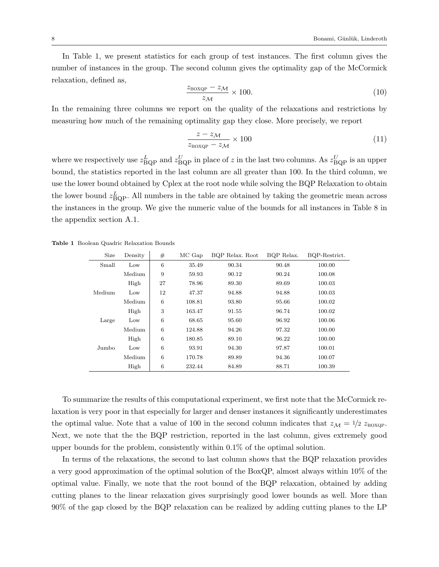In Table 1, we present statistics for each group of test instances. The first column gives the number of instances in the group. The second column gives the optimality gap of the McCormick relaxation, defined as,

$$
\frac{z_{\text{BOXQP}} - z_{\mathcal{M}}}{z_{\mathcal{M}}} \times 100. \tag{10}
$$

In the remaining three columns we report on the quality of the relaxations and restrictions by measuring how much of the remaining optimality gap they close. More precisely, we report

$$
\frac{z - z_{\mathcal{M}}}{z_{\text{BoxQP}} - z_{\mathcal{M}}} \times 100 \tag{11}
$$

where we respectively use  $z_{\text{BOP}}^L$  and  $z_{\text{BOP}}^U$  in place of z in the last two columns. As  $z_{\text{BOP}}^U$  is an upper bound, the statistics reported in the last column are all greater than 100. In the third column, we use the lower bound obtained by Cplex at the root node while solving the BQP Relaxation to obtain the lower bound  $z_{\text{BOP}}^L$ . All numbers in the table are obtained by taking the geometric mean across the instances in the group. We give the numeric value of the bounds for all instances in Table 8 in the appendix section A.1.

| Size   | Density | #               | MC Gap | BQP Relax. Root | BQP Relax. | BQP-Restrict. |
|--------|---------|-----------------|--------|-----------------|------------|---------------|
| Small  | Low     | $6\phantom{.}6$ | 35.49  | 90.34           | 90.48      | 100.00        |
|        | Medium  | 9               | 59.93  | 90.12           | 90.24      | 100.08        |
|        | High    | 27              | 78.96  | 89.30           | 89.69      | 100.03        |
| Medium | Low     | 12              | 47.37  | 94.88           | 94.88      | 100.03        |
|        | Medium  | 6               | 108.81 | 93.80           | 95.66      | 100.02        |
|        | High    | 3               | 163.47 | 91.55           | 96.74      | 100.02        |
| Large  | Low     | 6               | 68.65  | 95.60           | 96.92      | 100.06        |
|        | Medium  | 6               | 124.88 | 94.26           | 97.32      | 100.00        |
|        | High    | 6               | 180.85 | 89.10           | 96.22      | 100.00        |
| Jumbo  | Low     | 6               | 93.91  | 94.30           | 97.87      | 100.01        |
|        | Medium  | $\,6\,$         | 170.78 | 89.89           | 94.36      | 100.07        |
|        | High    | $6\phantom{.}6$ | 232.44 | 84.89           | 88.71      | 100.39        |

Table 1 Boolean Quadric Relaxation Bounds

To summarize the results of this computational experiment, we first note that the McCormick relaxation is very poor in that especially for larger and denser instances it significantly underestimates the optimal value. Note that a value of 100 in the second column indicates that  $z_{\mathcal{M}} = \frac{1}{2} z_{\text{BoxQP}}$ . Next, we note that the the BQP restriction, reported in the last column, gives extremely good upper bounds for the problem, consistently within 0.1% of the optimal solution.

In terms of the relaxations, the second to last column shows that the BQP relaxation provides a very good approximation of the optimal solution of the BoxQP, almost always within 10% of the optimal value. Finally, we note that the root bound of the BQP relaxation, obtained by adding cutting planes to the linear relaxation gives surprisingly good lower bounds as well. More than 90% of the gap closed by the BQP relaxation can be realized by adding cutting planes to the LP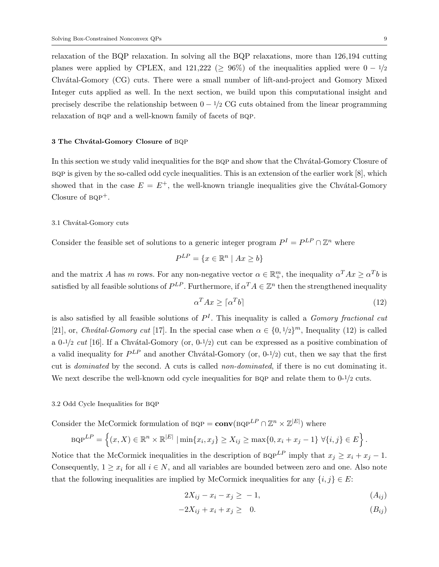relaxation of the BQP relaxation. In solving all the BQP relaxations, more than 126,194 cutting planes were applied by CPLEX, and 121,222 ( $\geq$  96%) of the inequalities applied were  $0 - \frac{1}{2}$ Chvátal-Gomory (CG) cuts. There were a small number of lift-and-project and Gomory Mixed Integer cuts applied as well. In the next section, we build upon this computational insight and precisely describe the relationship between  $0 - \frac{1}{2}$  CG cuts obtained from the linear programming relaxation of BQP and a well-known family of facets of BQP.

#### 3 The Chvátal-Gomory Closure of BQP

In this section we study valid inequalities for the BQP and show that the Chvatal-Gomory Closure of  $BQP$  is given by the so-called odd cycle inequalities. This is an extension of the earlier work  $[8]$ , which showed that in the case  $E = E^+$ , the well-known triangle inequalities give the Chvátal-Gomory Closure of  $BQP^+$ .

#### 3.1 Chvátal-Gomory cuts

Consider the feasible set of solutions to a generic integer program  $P^I = P^{LP} \cap \mathbb{Z}^n$  where

$$
P^{LP} = \{ x \in \mathbb{R}^n \mid Ax \ge b \}
$$

and the matrix A has m rows. For any non-negative vector  $\alpha \in \mathbb{R}^m_+$ , the inequality  $\alpha^T A x \geq \alpha^T b$  is satisfied by all feasible solutions of  $P^{LP}$ . Furthermore, if  $\alpha^T A \in \mathbb{Z}^n$  then the strengthened inequality

$$
\alpha^T A x \ge \lceil \alpha^T b \rceil \tag{12}
$$

is also satisfied by all feasible solutions of  $P<sup>I</sup>$ . This inequality is called a *Gomory fractional cut* [21], or, Chvátal-Gomory cut [17]. In the special case when  $\alpha \in \{0, 1/2\}^m$ , Inequality (12) is called a 0-1/2 cut [16]. If a Chvátal-Gomory (or,  $0^{-1/2}$ ) cut can be expressed as a positive combination of a valid inequality for  $P^{LP}$  and another Chvátal-Gomory (or, 0-1/2) cut, then we say that the first cut is dominated by the second. A cuts is called non-dominated, if there is no cut dominating it. We next describe the well-known odd cycle inequalities for BQP and relate them to  $0-1/2$  cuts.

#### 3.2 Odd Cycle Inequalities for BQP

Consider the McCormick formulation of  $BQP = \text{conv}(BQP^{LP} \cap \mathbb{Z}^n \times \mathbb{Z}^{|E|})$  where

BQP<sup>LP</sup> = 
$$
\{(x, X) \in \mathbb{R}^n \times \mathbb{R}^{|E|} | \min\{x_i, x_j\} \ge X_{ij} \ge \max\{0, x_i + x_j - 1\} \ \forall \{i, j\} \in E\}.
$$

Notice that the McCormick inequalities in the description of  $BQP^{LP}$  imply that  $x_j \ge x_i + x_j - 1$ . Consequently,  $1 \geq x_i$  for all  $i \in N$ , and all variables are bounded between zero and one. Also note that the following inequalities are implied by McCormick inequalities for any  $\{i, j\} \in E$ :

$$
2X_{ij} - x_i - x_j \ge -1,\tag{A_{ij}}
$$

$$
-2X_{ij} + x_i + x_j \geq 0. \tag{B_{ij}}
$$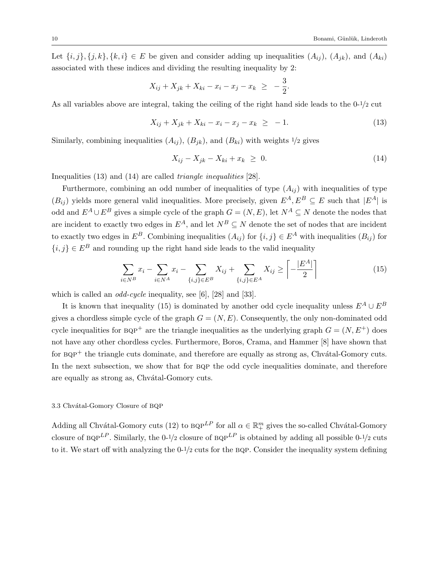Let  $\{i, j\}, \{j, k\}, \{k, i\} \in E$  be given and consider adding up inequalities  $(A_{ij})$ ,  $(A_{jk})$ , and  $(A_{ki})$ associated with these indices and dividing the resulting inequality by 2:

$$
X_{ij} + X_{jk} + X_{ki} - x_i - x_j - x_k \ge -\frac{3}{2}.
$$

As all variables above are integral, taking the ceiling of the right hand side leads to the 0-1/2 cut

$$
X_{ij} + X_{jk} + X_{ki} - x_i - x_j - x_k \ge -1. \tag{13}
$$

Similarly, combining inequalities  $(A_{ij})$ ,  $(B_{jk})$ , and  $(B_{ki})$  with weights  $1/2$  gives

$$
X_{ij} - X_{jk} - X_{ki} + x_k \geq 0. \tag{14}
$$

Inequalities (13) and (14) are called triangle inequalities [28].

Furthermore, combining an odd number of inequalities of type  $(A_{ij})$  with inequalities of type  $(B_{ij})$  yields more general valid inequalities. More precisely, given  $E^A, E^B \subseteq E$  such that  $|E^A|$  is odd and  $E^A \cup E^B$  gives a simple cycle of the graph  $G = (N, E)$ , let  $N^A \subseteq N$  denote the nodes that are incident to exactly two edges in  $E^A$ , and let  $N^B \subseteq N$  denote the set of nodes that are incident to exactly two edges in  $E^B$ . Combining inequalities  $(A_{ij})$  for  $\{i, j\} \in E^A$  with inequalities  $(B_{ij})$  for  ${i, j} \in E^B$  and rounding up the right hand side leads to the valid inequality

$$
\sum_{i \in N^B} x_i - \sum_{i \in N^A} x_i - \sum_{\{i,j\} \in E^B} X_{ij} + \sum_{\{i,j\} \in E^A} X_{ij} \ge \left[ -\frac{|E^A|}{2} \right] \tag{15}
$$

which is called an *odd-cycle* inequality, see [6], [28] and [33].

It is known that inequality (15) is dominated by another odd cycle inequality unless  $E^A \cup E^B$ gives a chordless simple cycle of the graph  $G = (N, E)$ . Consequently, the only non-dominated odd cycle inequalities for  $BQP^+$  are the triangle inequalities as the underlying graph  $G = (N, E^+)$  does not have any other chordless cycles. Furthermore, Boros, Crama, and Hammer [8] have shown that for  $BQP^+$  the triangle cuts dominate, and therefore are equally as strong as, Chvátal-Gomory cuts. In the next subsection, we show that for BQP the odd cycle inequalities dominate, and therefore are equally as strong as, Chvátal-Gomory cuts.

#### 3.3 Chvátal-Gomory Closure of BQP

Adding all Chvátal-Gomory cuts (12) to  $BQP^{LP}$  for all  $\alpha \in \mathbb{R}^m_+$  gives the so-called Chvátal-Gomory closure of  $BQP^{LP}$ . Similarly, the 0-1/2 closure of  $BQP^{LP}$  is obtained by adding all possible 0-1/2 cuts to it. We start off with analyzing the  $0-1/2$  cuts for the BQP. Consider the inequality system defining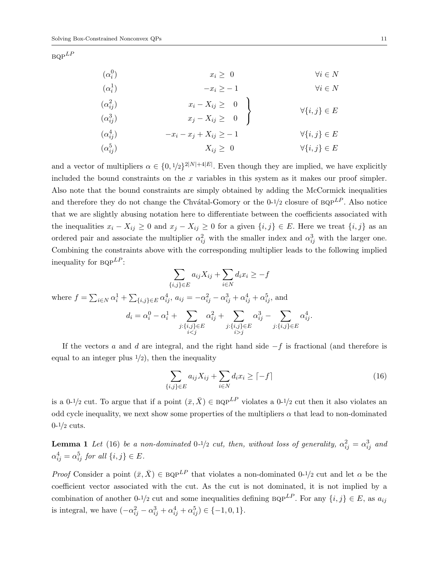$BQP^{LP}$ 

| $(\alpha_i^0)$                         | $x_i \geq 0$                                 | $\forall i \in N$       |
|----------------------------------------|----------------------------------------------|-------------------------|
| $(\alpha_i^1)$                         | $-x_i \geq -1$                               | $\forall i \in N$       |
| $(\alpha_{ii}^2)$<br>$(\alpha_{ii}^3)$ | $x_i - X_{ij} \ge 0$<br>$x_j - X_{ij} \ge 0$ | $\forall \{i,j\} \in E$ |
| $(\alpha_{ii}^4)$                      | $-x_i-x_j+X_{ij}\geq -1$                     | $\forall \{i,j\} \in E$ |
| $(\alpha_{ij}^5)$                      | $X_{ij} \geq 0$                              | $\forall \{i,j\} \in E$ |

and a vector of multipliers  $\alpha \in \{0, 1/2\}^{2|N|+4|E|}$ . Even though they are implied, we have explicitly included the bound constraints on the  $x$  variables in this system as it makes our proof simpler. Also note that the bound constraints are simply obtained by adding the McCormick inequalities and therefore they do not change the Chvátal-Gomory or the 0-1/2 closure of  $BQP^{LP}$ . Also notice that we are slightly abusing notation here to differentiate between the coefficients associated with the inequalities  $x_i - X_{ij} \geq 0$  and  $x_j - X_{ij} \geq 0$  for a given  $\{i, j\} \in E$ . Here we treat  $\{i, j\}$  as an ordered pair and associate the multiplier  $\alpha_{ij}^2$  with the smaller index and  $\alpha_{ij}^3$  with the larger one. Combining the constraints above with the corresponding multiplier leads to the following implied inequality for  $BQP^{LP}$ :

$$
\sum_{\{i,j\}\in E} a_{ij} X_{ij} + \sum_{i \in N} d_i x_i \ge -f
$$
\nwhere  $f = \sum_{i \in N} \alpha_i^1 + \sum_{\{i,j\}\in E} \alpha_{ij}^4$ ,  $a_{ij} = -\alpha_{ij}^2 - \alpha_{ij}^3 + \alpha_{ij}^4 + \alpha_{ij}^5$ , and\n
$$
d_i = \alpha_i^0 - \alpha_i^1 + \sum_{\substack{j:\{i,j\}\in E \\ i < j}} \alpha_{ij}^2 + \sum_{\substack{j:\{i,j\}\in E \\ i > j}} \alpha_{ij}^3 - \sum_{\substack{j:\{i,j\}\in E \\ i > j}} \alpha_{ij}^4.
$$

If the vectors a and d are integral, and the right hand side  $-f$  is fractional (and therefore is equal to an integer plus  $1/2$ , then the inequality

$$
\sum_{\{i,j\}\in E} a_{ij} X_{ij} + \sum_{i\in N} d_i x_i \geq \lceil -f \rceil \tag{16}
$$

is a 0-1/2 cut. To argue that if a point  $(\bar{x}, \bar{X}) \in BQP^{LP}$  violates a 0-1/2 cut then it also violates an odd cycle inequality, we next show some properties of the multipliers  $\alpha$  that lead to non-dominated  $0-1/2$  cuts.

**Lemma 1** Let (16) be a non-dominated  $0^{-1/2}$  cut, then, without loss of generality,  $\alpha_{ij}^2 = \alpha_{ij}^3$  and  $\alpha_{ij}^4 = \alpha_{ij}^5$  for all  $\{i, j\} \in E$ .

Proof Consider a point  $(\bar{x}, \bar{X}) \in BQP^{LP}$  that violates a non-dominated 0-1/2 cut and let  $\alpha$  be the coefficient vector associated with the cut. As the cut is not dominated, it is not implied by a combination of another 0-1/2 cut and some inequalities defining  $BQP^{LP}$ . For any  $\{i, j\} \in E$ , as  $a_{ij}$ is integral, we have  $(-\alpha_{ij}^2 - \alpha_{ij}^3 + \alpha_{ij}^4 + \alpha_{ij}^5) \in \{-1, 0, 1\}.$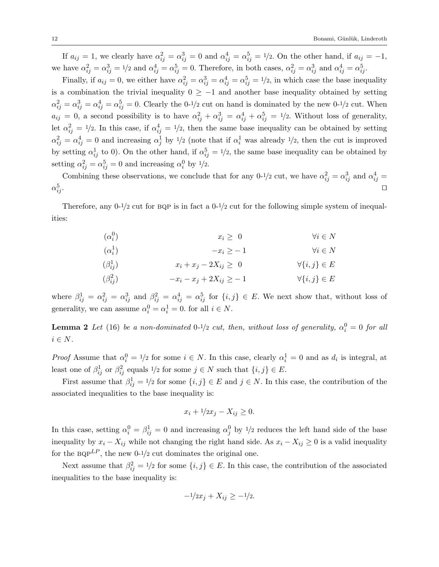If  $a_{ij} = 1$ , we clearly have  $\alpha_{ij}^2 = \alpha_{ij}^3 = 0$  and  $\alpha_{ij}^4 = \alpha_{ij}^5 = 1/2$ . On the other hand, if  $a_{ij} = -1$ , we have  $\alpha_{ij}^2 = \alpha_{ij}^3 = 1/2$  and  $\alpha_{ij}^4 = \alpha_{ij}^5 = 0$ . Therefore, in both cases,  $\alpha_{ij}^2 = \alpha_{ij}^3$  and  $\alpha_{ij}^4 = \alpha_{ij}^5$ .

Finally, if  $a_{ij} = 0$ , we either have  $\alpha_{ij}^2 = \alpha_{ij}^3 = \alpha_{ij}^4 = \alpha_{ij}^5 = 1/2$ , in which case the base inequality is a combination the trivial inequality  $0 \ge -1$  and another base inequality obtained by setting  $\alpha_{ij}^2 = \alpha_{ij}^3 = \alpha_{ij}^4 = \alpha_{ij}^5 = 0$ . Clearly the 0-1/2 cut on hand is dominated by the new 0-1/2 cut. When  $a_{ij} = 0$ , a second possibility is to have  $\alpha_{ij}^2 + \alpha_{ij}^3 = \alpha_{ij}^4 + \alpha_{ij}^5 = 1/2$ . Without loss of generality, let  $\alpha_{ij}^2 = 1/2$ . In this case, if  $\alpha_{ij}^4 = 1/2$ , then the same base inequality can be obtained by setting  $\alpha_{ij}^2 = \alpha_{ij}^4 = 0$  and increasing  $\alpha_j^1$  by  $1/2$  (note that if  $\alpha_i^1$  was already  $1/2$ , then the cut is improved by setting  $\alpha_{ij}^1$  to 0). On the other hand, if  $\alpha_{ij}^5 = 1/2$ , the same base inequality can be obtained by setting  $\alpha_{ij}^2 = \alpha_{ij}^5 = 0$  and increasing  $\alpha_i^0$  by  $1/2$ .

Combining these observations, we conclude that for any 0-1/2 cut, we have  $\alpha_{ij}^2 = \alpha_{ij}^3$  and  $\alpha_{ij}^4 =$  $\alpha_i^5$  $\frac{5}{ij}$ .

Therefore, any  $0^{-1/2}$  cut for BQP is in fact a  $0^{-1/2}$  cut for the following simple system of inequalities:

| $(\alpha_i^0)$   | $x_i \geq 0$                  | $\forall i \in N$       |
|------------------|-------------------------------|-------------------------|
| $(\alpha_i^1)$   | $-x_i \geq -1$                | $\forall i \in N$       |
| $(\beta_{ij}^1)$ | $x_i + x_j - 2X_{ij} \geq 0$  | $\forall \{i,j\} \in E$ |
| $(\beta_{ij}^2)$ | $-x_i - x_j + 2X_{ij} \ge -1$ | $\forall \{i,j\} \in E$ |

where  $\beta_{ij}^1 = \alpha_{ij}^2 = \alpha_{ij}^3$  and  $\beta_{ij}^2 = \alpha_{ij}^4 = \alpha_{ij}^5$  for  $\{i, j\} \in E$ . We next show that, without loss of generality, we can assume  $\alpha_i^0 = \alpha_i^1 = 0$ . for all  $i \in N$ .

**Lemma 2** Let (16) be a non-dominated  $0^{-1/2}$  cut, then, without loss of generality,  $\alpha_i^0 = 0$  for all  $i \in N$ .

*Proof* Assume that  $\alpha_i^0 = 1/2$  for some  $i \in N$ . In this case, clearly  $\alpha_i^1 = 0$  and as  $d_i$  is integral, at least one of  $\beta_{ij}^1$  or  $\beta_{ij}^2$  equals  $1/2$  for some  $j \in N$  such that  $\{i, j\} \in E$ .

First assume that  $\beta_{ij}^1 = 1/2$  for some  $\{i, j\} \in E$  and  $j \in N$ . In this case, the contribution of the associated inequalities to the base inequality is:

$$
x_i + 1/2x_j - X_{ij} \ge 0.
$$

In this case, setting  $\alpha_i^0 = \beta_{ij}^1 = 0$  and increasing  $\alpha_j^0$  by  $1/2$  reduces the left hand side of the base inequality by  $x_i - X_{ij}$  while not changing the right hand side. As  $x_i - X_{ij} \geq 0$  is a valid inequality for the  $BQP^{LP}$ , the new 0-1/2 cut dominates the original one.

Next assume that  $\beta_{ij}^2 = 1/2$  for some  $\{i, j\} \in E$ . In this case, the contribution of the associated inequalities to the base inequality is:

$$
-1/2x_j + X_{ij} \ge -1/2.
$$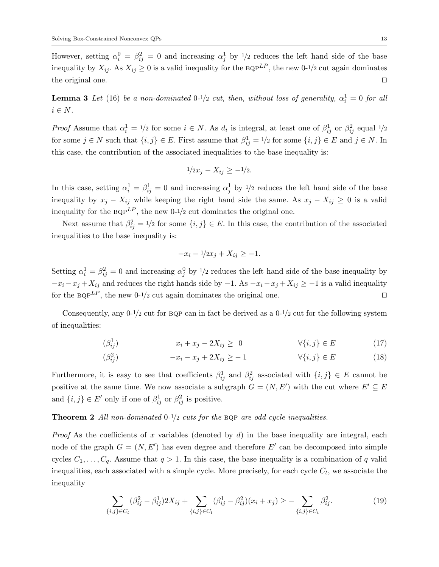However, setting  $\alpha_i^0 = \beta_{ij}^2 = 0$  and increasing  $\alpha_j^1$  by  $\frac{1}{2}$  reduces the left hand side of the base inequality by  $X_{ij}$ . As  $X_{ij} \geq 0$  is a valid inequality for the BQP<sup>LP</sup>, the new 0-1/2 cut again dominates the original one.  $\Box$ 

**Lemma 3** Let (16) be a non-dominated  $0^{-1/2}$  cut, then, without loss of generality,  $\alpha_i^1 = 0$  for all  $i \in N$ .

Proof Assume that  $\alpha_i^1 = 1/2$  for some  $i \in N$ . As  $d_i$  is integral, at least one of  $\beta_{ij}^1$  or  $\beta_{ij}^2$  equal  $1/2$ for some  $j \in N$  such that  $\{i, j\} \in E$ . First assume that  $\beta_{ij}^1 = 1/2$  for some  $\{i, j\} \in E$  and  $j \in N$ . In this case, the contribution of the associated inequalities to the base inequality is:

$$
1/2x_j - X_{ij} \ge -1/2.
$$

In this case, setting  $\alpha_i^1 = \beta_{ij}^1 = 0$  and increasing  $\alpha_j^1$  by  $1/2$  reduces the left hand side of the base inequality by  $x_j - X_{ij}$  while keeping the right hand side the same. As  $x_j - X_{ij} \geq 0$  is a valid inequality for the  $BQP^{LP}$ , the new 0-1/2 cut dominates the original one.

Next assume that  $\beta_{ij}^2 = 1/2$  for some  $\{i, j\} \in E$ . In this case, the contribution of the associated inequalities to the base inequality is:

$$
-x_i - \frac{1}{2x_j} + X_{ij} \ge -1.
$$

Setting  $\alpha_i^1 = \beta_{ij}^2 = 0$  and increasing  $\alpha_j^0$  by  $1/2$  reduces the left hand side of the base inequality by  $-x_i - x_j + X_{ij}$  and reduces the right hands side by  $-1$ . As  $-x_i - x_j + X_{ij} \ge -1$  is a valid inequality for the BQP<sup>LP</sup>, the new 0-1/2 cut again dominates the original one.

Consequently, any  $0^{-1/2}$  cut for BQP can in fact be derived as a  $0^{-1/2}$  cut for the following system of inequalities:

$$
(\beta_{ij}^1) \qquad \qquad x_i + x_j - 2X_{ij} \geq 0 \qquad \qquad \forall \{i, j\} \in E \tag{17}
$$

$$
\left(\beta_{ij}^2\right) \qquad \qquad -x_i - x_j + 2X_{ij} \ge -1 \qquad \qquad \forall \{i, j\} \in E \tag{18}
$$

Furthermore, it is easy to see that coefficients  $\beta_{ij}^1$  and  $\beta_{ij}^2$  associated with  $\{i, j\} \in E$  cannot be positive at the same time. We now associate a subgraph  $G = (N, E')$  with the cut where  $E' \subseteq E$ and  $\{i, j\} \in E'$  only if one of  $\beta_{ij}^1$  or  $\beta_{ij}^2$  is positive.

**Theorem 2** All non-dominated  $0-1/2$  cuts for the BQP are odd cycle inequalities.

*Proof* As the coefficients of x variables (denoted by  $d$ ) in the base inequality are integral, each node of the graph  $G = (N, E')$  has even degree and therefore E' can be decomposed into simple cycles  $C_1, \ldots, C_q$ . Assume that  $q > 1$ . In this case, the base inequality is a combination of q valid inequalities, each associated with a simple cycle. More precisely, for each cycle  $C_t$ , we associate the inequality

$$
\sum_{\{i,j\} \in C_t} (\beta_{ij}^2 - \beta_{ij}^1) 2X_{ij} + \sum_{\{i,j\} \in C_t} (\beta_{ij}^1 - \beta_{ij}^2)(x_i + x_j) \ge - \sum_{\{i,j\} \in C_t} \beta_{ij}^2.
$$
 (19)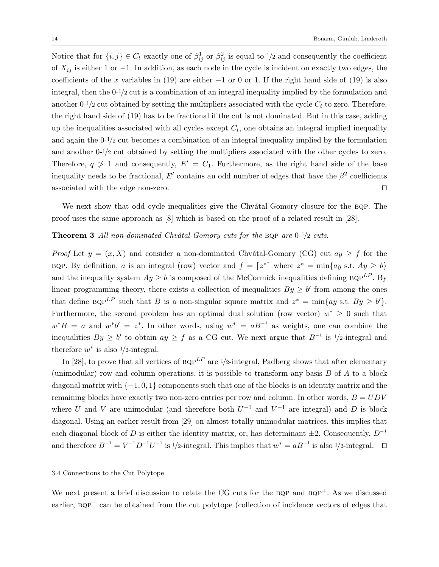Notice that for  $\{i, j\} \in C_t$  exactly one of  $\beta_{ij}^1$  or  $\beta_{ij}^2$  is equal to  $1/2$  and consequently the coefficient of  $X_{ij}$  is either 1 or −1. In addition, as each node in the cycle is incident on exactly two edges, the coefficients of the x variables in (19) are either  $-1$  or 0 or 1. If the right hand side of (19) is also integral, then the 0-1/2 cut is a combination of an integral inequality implied by the formulation and another 0-1/2 cut obtained by setting the multipliers associated with the cycle  $C_t$  to zero. Therefore, the right hand side of (19) has to be fractional if the cut is not dominated. But in this case, adding up the inequalities associated with all cycles except  $C_t$ , one obtains an integral implied inequality and again the 0-1/2 cut becomes a combination of an integral inequality implied by the formulation and another 0-1/2 cut obtained by setting the multipliers associated with the other cycles to zero. Therefore,  $q \geq 1$  and consequently,  $E' = C_1$ . Furthermore, as the right hand side of the base inequality needs to be fractional,  $E'$  contains an odd number of edges that have the  $\beta^2$  coefficients associated with the edge non-zero.  $\Box$ 

We next show that odd cycle inequalities give the Chvatal-Gomory closure for the BQP. The proof uses the same approach as [8] which is based on the proof of a related result in [28].

#### **Theorem 3** All non-dominated Chvátal-Gomory cuts for the BQP are  $0-1/2$  cuts.

*Proof* Let  $y = (x, X)$  and consider a non-dominated Chvátal-Gomory (CG) cut  $ay \geq f$  for the BQP. By definition, a is an integral (row) vector and  $f = \lceil z^* \rceil$  where  $z^* = \min\{ay \text{ s.t. } Ay \geq b\}$ and the inequality system  $Ay \geq b$  is composed of the McCormick inequalities defining  $BQP^{LP}$ . By linear programming theory, there exists a collection of inequalities  $By \geq b'$  from among the ones that define  $B\Omega P^{LP}$  such that B is a non-singular square matrix and  $z^* = \min\{ay \text{ s.t. } By \geq b'\}.$ Furthermore, the second problem has an optimal dual solution (row vector)  $w^* \geq 0$  such that  $w^*B = a$  and  $w^*b' = z^*$ . In other words, using  $w^* = aB^{-1}$  as weights, one can combine the inequalities  $By \geq b'$  to obtain  $ay \geq f$  as a CG cut. We next argue that  $B^{-1}$  is 1/2-integral and therefore  $w^*$  is also  $1/2$ -integral.

In [28], to prove that all vertices of  $BQP^{LP}$  are 1/2-integral, Padberg shows that after elementary (unimodular) row and column operations, it is possible to transform any basis  $B$  of  $A$  to a block diagonal matrix with  $\{-1, 0, 1\}$  components such that one of the blocks is an identity matrix and the remaining blocks have exactly two non-zero entries per row and column. In other words,  $B = UDV$ where U and V are unimodular (and therefore both  $U^{-1}$  and  $V^{-1}$  are integral) and D is block diagonal. Using an earlier result from [29] on almost totally unimodular matrices, this implies that each diagonal block of D is either the identity matrix, or, has determinant  $\pm 2$ . Consequently,  $D^{-1}$ and therefore  $B^{-1} = V^{-1}D^{-1}U^{-1}$  is 1/2-integral. This implies that  $w^* = aB^{-1}$  is also 1/2-integral.  $\square$ 

#### 3.4 Connections to the Cut Polytope

We next present a brief discussion to relate the CG cuts for the BQP and  $BQP^+$ . As we discussed earlier,  $BQP^+$  can be obtained from the cut polytope (collection of incidence vectors of edges that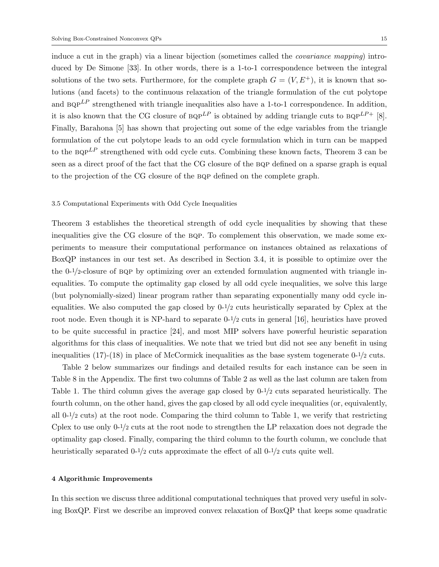induce a cut in the graph) via a linear bijection (sometimes called the covariance mapping) introduced by De Simone [33]. In other words, there is a 1-to-1 correspondence between the integral solutions of the two sets. Furthermore, for the complete graph  $G = (V, E^+)$ , it is known that solutions (and facets) to the continuous relaxation of the triangle formulation of the cut polytope and  $BQP^{LP}$  strengthened with triangle inequalities also have a 1-to-1 correspondence. In addition, it is also known that the CG closure of  $BQP^{LP}$  is obtained by adding triangle cuts to  $BQP^{LP+}$  [8]. Finally, Barahona [5] has shown that projecting out some of the edge variables from the triangle formulation of the cut polytope leads to an odd cycle formulation which in turn can be mapped to the  $BQP^{LP}$  strengthened with odd cycle cuts. Combining these known facts, Theorem 3 can be seen as a direct proof of the fact that the CG closure of the BQP defined on a sparse graph is equal to the projection of the CG closure of the bqp defined on the complete graph.

#### 3.5 Computational Experiments with Odd Cycle Inequalities

Theorem 3 establishes the theoretical strength of odd cycle inequalities by showing that these inequalities give the CG closure of the bqp. To complement this observation, we made some experiments to measure their computational performance on instances obtained as relaxations of BoxQP instances in our test set. As described in Section 3.4, it is possible to optimize over the the  $0-1/2$ -closure of BQP by optimizing over an extended formulation augmented with triangle inequalities. To compute the optimality gap closed by all odd cycle inequalities, we solve this large (but polynomially-sized) linear program rather than separating exponentially many odd cycle inequalities. We also computed the gap closed by 0-1/2 cuts heuristically separated by Cplex at the root node. Even though it is NP-hard to separate 0-1/2 cuts in general [16], heuristics have proved to be quite successful in practice [24], and most MIP solvers have powerful heuristic separation algorithms for this class of inequalities. We note that we tried but did not see any benefit in using inequalities (17)-(18) in place of McCormick inequalities as the base system togenerate  $0^{-1/2}$  cuts.

Table 2 below summarizes our findings and detailed results for each instance can be seen in Table 8 in the Appendix. The first two columns of Table 2 as well as the last column are taken from Table 1. The third column gives the average gap closed by 0-1/2 cuts separated heuristically. The fourth column, on the other hand, gives the gap closed by all odd cycle inequalities (or, equivalently, all  $0^{-1/2}$  cuts) at the root node. Comparing the third column to Table 1, we verify that restricting Cplex to use only  $0^{-1/2}$  cuts at the root node to strengthen the LP relaxation does not degrade the optimality gap closed. Finally, comparing the third column to the fourth column, we conclude that heuristically separated  $0^{-1/2}$  cuts approximate the effect of all  $0^{-1/2}$  cuts quite well.

#### 4 Algorithmic Improvements

In this section we discuss three additional computational techniques that proved very useful in solving BoxQP. First we describe an improved convex relaxation of BoxQP that keeps some quadratic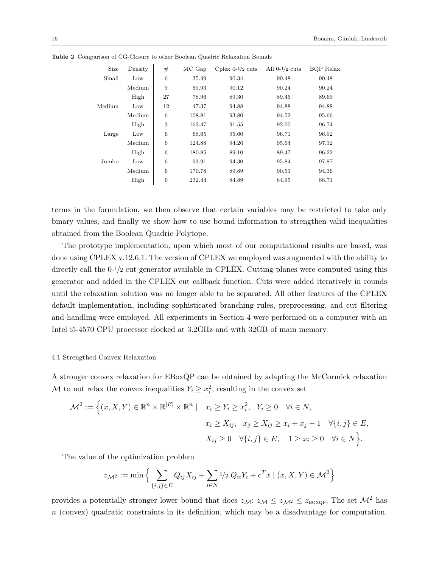| Size   | Density | #  | MC Gap | Cplex $0-1/2$ cuts | All $0-1/2$ cuts | BQP Relax. |
|--------|---------|----|--------|--------------------|------------------|------------|
| Small  | Low     | 6  | 35.49  | 90.34              | 90.48            | 90.48      |
|        | Medium  | 9  | 59.93  | 90.12              | 90.24            | 90.24      |
|        | High    | 27 | 78.96  | 89.30              | 89.45            | 89.69      |
| Medium | Low     | 12 | 47.37  | 94.88              | 94.88            | 94.88      |
|        | Medium  | 6  | 108.81 | 93.80              | 94.52            | 95.66      |
|        | High    | 3  | 163.47 | 91.55              | 92.00            | 96.74      |
| Large  | Low     | 6  | 68.65  | 95.60              | 96.71            | 96.92      |
|        | Medium  | 6  | 124.88 | 94.26              | 95.64            | 97.32      |
|        | High    | 6  | 180.85 | 89.10              | 89.47            | 96.22      |
| Jumbo  | Low     | 6  | 93.91  | 94.30              | 95.84            | 97.87      |
|        | Medium  | 6  | 170.78 | 89.89              | 90.53            | 94.36      |
|        | High    | 6  | 232.44 | 84.89              | 84.95            | 88.71      |

Table 2 Comparison of CG-Closure to other Boolean Quadric Relaxation Bounds

terms in the formulation, we then observe that certain variables may be restricted to take only binary values, and finally we show how to use bound information to strengthen valid inequalities obtained from the Boolean Quadric Polytope.

The prototype implementation, upon which most of our computational results are based, was done using CPLEX v.12.6.1. The version of CPLEX we employed was augmented with the ability to directly call the 0-1/2 cut generator available in CPLEX. Cutting planes were computed using this generator and added in the CPLEX cut callback function. Cuts were added iteratively in rounds until the relaxation solution was no longer able to be separated. All other features of the CPLEX default implementation, including sophisticated branching rules, preprocessing, and cut filtering and handling were employed. All experiments in Section 4 were performed on a computer with an Intel i5-4570 CPU processor clocked at 3.2GHz and with 32GB of main memory.

#### 4.1 Strengthed Convex Relaxation

A stronger convex relaxation for EBoxQP can be obtained by adapting the McCormick relaxation M to not relax the convex inequalities  $Y_i \geq x_i^2$ , resulting in the convex set

$$
\mathcal{M}^2 := \left\{ (x, X, Y) \in \mathbb{R}^n \times \mathbb{R}^{|E|} \times \mathbb{R}^n \mid x_i \ge Y_i \ge x_i^2, Y_i \ge 0 \quad \forall i \in N, \right\}
$$
  

$$
x_i \ge X_{ij}, x_j \ge X_{ij} \ge x_i + x_j - 1 \quad \forall \{i, j\} \in E,
$$
  

$$
X_{ij} \ge 0 \quad \forall \{i, j\} \in E, 1 \ge x_i \ge 0 \quad \forall i \in N \right\}.
$$

The value of the optimization problem

$$
z_{\mathcal{M}^2} := \min \Big\{ \sum_{\{i,j\} \in E} Q_{ij} X_{ij} + \sum_{i \in N} 1/2 \ Q_{ii} Y_i + c^T x \mid (x, X, Y) \in \mathcal{M}^2 \Big\}
$$

provides a potentially stronger lower bound that does  $z_{\mathcal{M}}$ :  $z_{\mathcal{M}} \leq z_{\mathcal{M}^2} \leq z_{\text{BoxQP}}$ . The set  $\mathcal{M}^2$  has  $n$  (convex) quadratic constraints in its definition, which may be a disadvantage for computation.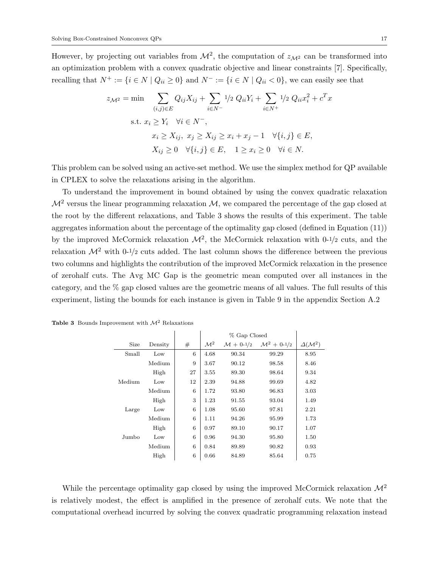However, by projecting out variables from  $\mathcal{M}^2$ , the computation of  $z_{\mathcal{M}^2}$  can be transformed into an optimization problem with a convex quadratic objective and linear constraints [7]. Specifically, recalling that  $N^+ := \{i \in N \mid Q_{ii} \geq 0\}$  and  $N^- := \{i \in N \mid Q_{ii} < 0\}$ , we can easily see that

$$
z_{\mathcal{M}^2} = \min \sum_{(i,j)\in E} Q_{ij} X_{ij} + \sum_{i\in N^-} 1/2 \ Q_{ii} Y_i + \sum_{i\in N^+} 1/2 \ Q_{ii} x_i^2 + c^T x
$$
  
s.t.  $x_i \ge Y_i \quad \forall i \in N^-$ ,  
 $x_i \ge X_{ij}, \ x_j \ge X_{ij} \ge x_i + x_j - 1 \quad \forall \{i, j\} \in E$ ,  
 $X_{ij} \ge 0 \quad \forall \{i, j\} \in E, \quad 1 \ge x_i \ge 0 \quad \forall i \in N$ .

This problem can be solved using an active-set method. We use the simplex method for QP available in CPLEX to solve the relaxations arising in the algorithm.

To understand the improvement in bound obtained by using the convex quadratic relaxation  $\mathcal{M}^2$  versus the linear programming relaxation  $\mathcal{M}$ , we compared the percentage of the gap closed at the root by the different relaxations, and Table 3 shows the results of this experiment. The table aggregates information about the percentage of the optimality gap closed (defined in Equation (11)) by the improved McCormick relaxation  $\mathcal{M}^2$ , the McCormick relaxation with 0-1/2 cuts, and the relaxation  $\mathcal{M}^2$  with 0-1/2 cuts added. The last column shows the difference between the previous two columns and highlights the contribution of the improved McCormick relaxation in the presence of zerohalf cuts. The Avg MC Gap is the geometric mean computed over all instances in the category, and the % gap closed values are the geometric means of all values. The full results of this experiment, listing the bounds for each instance is given in Table 9 in the appendix Section A.2

|        |         |    |                 | % Gap Closed             |                            |                         |
|--------|---------|----|-----------------|--------------------------|----------------------------|-------------------------|
| Size   | Density | #  | $\mathcal{M}^2$ | $\mathcal{M} + 0^{-1/2}$ | $\mathcal{M}^2 + 0^{-1/2}$ | $\Delta(\mathcal{M}^2)$ |
| Small  | Low     | 6  | 4.68            | 90.34                    | 99.29                      | 8.95                    |
|        | Medium  | 9  | 3.67            | 90.12                    | 98.58                      | 8.46                    |
|        | High    | 27 | 3.55            | 89.30                    | 98.64                      | 9.34                    |
| Medium | Low     | 12 | 2.39            | 94.88                    | 99.69                      | 4.82                    |
|        | Medium  | 6  | 1.72            | 93.80                    | 96.83                      | 3.03                    |
|        | High    | 3  | 1.23            | 91.55                    | 93.04                      | 1.49                    |
| Large  | Low     | 6  | 1.08            | 95.60                    | 97.81                      | 2.21                    |
|        | Medium  | 6  | 1.11            | 94.26                    | 95.99                      | 1.73                    |
|        | High    | 6  | 0.97            | 89.10                    | 90.17                      | 1.07                    |
| Jumbo  | Low     | 6  | 0.96            | 94.30                    | 95.80                      | 1.50                    |
|        | Medium  | 6  | 0.84            | 89.89                    | 90.82                      | 0.93                    |
|        | High    | 6  | 0.66            | 84.89                    | 85.64                      | 0.75                    |

|  |  | <b>Table 3</b> Bounds Improvement with $\mathcal{M}^2$ Relaxations |  |  |
|--|--|--------------------------------------------------------------------|--|--|
|--|--|--------------------------------------------------------------------|--|--|

While the percentage optimality gap closed by using the improved McCormick relaxation  $\mathcal{M}^2$ is relatively modest, the effect is amplified in the presence of zerohalf cuts. We note that the computational overhead incurred by solving the convex quadratic programming relaxation instead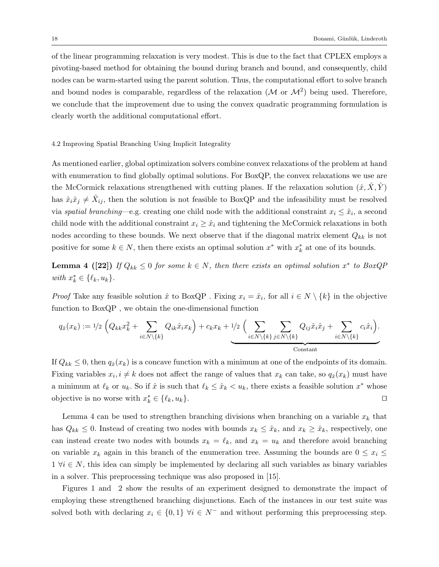of the linear programming relaxation is very modest. This is due to the fact that CPLEX employs a pivoting-based method for obtaining the bound during branch and bound, and consequently, child nodes can be warm-started using the parent solution. Thus, the computational effort to solve branch and bound nodes is comparable, regardless of the relaxation  $(M \text{ or } M^2)$  being used. Therefore, we conclude that the improvement due to using the convex quadratic programming formulation is clearly worth the additional computational effort.

#### 4.2 Improving Spatial Branching Using Implicit Integrality

As mentioned earlier, global optimization solvers combine convex relaxations of the problem at hand with enumeration to find globally optimal solutions. For BoxQP, the convex relaxations we use are the McCormick relaxations strengthened with cutting planes. If the relaxation solution  $(\hat{x}, \hat{X}, \hat{Y})$ has  $\hat{x}_i \hat{x}_j \neq \hat{X}_{ij}$ , then the solution is not feasible to BoxQP and the infeasibility must be resolved via spatial branching—e.g. creating one child node with the additional constraint  $x_i \leq \hat{x}_i$ , a second child node with the additional constraint  $x_i \geq \hat{x}_i$  and tightening the McCormick relaxations in both nodes according to these bounds. We next observe that if the diagonal matrix element  $Q_{kk}$  is not positive for some  $k \in N$ , then there exists an optimal solution  $x^*$  with  $x^*_k$  at one of its bounds.

**Lemma 4** ([22]) If  $Q_{kk} \leq 0$  for some  $k \in N$ , then there exists an optimal solution  $x^*$  to BoxQP with  $x_k^* \in \{\ell_k, u_k\}.$ 

*Proof* Take any feasible solution  $\hat{x}$  to BoxQP. Fixing  $x_i = \hat{x}_i$ , for all  $i \in N \setminus \{k\}$  in the objective function to BoxQP , we obtain the one-dimensional function

$$
q_{\hat{x}}(x_k) := 1/2 \left(Q_{kk} x_k^2 + \sum_{i \in N \setminus \{k\}} Q_{ik} \hat{x}_i x_k\right) + c_k x_k + 1/2 \left(\sum_{i \in N \setminus \{k\}} \sum_{j \in N \setminus \{k\}} Q_{ij} \hat{x}_i \hat{x}_j + \sum_{i \in N \setminus \{k\}} c_i \hat{x}_i\right).
$$
Constant

If  $Q_{kk} \leq 0$ , then  $q_{\hat{x}}(x_k)$  is a concave function with a minimum at one of the endpoints of its domain. Fixing variables  $x_i, i \neq k$  does not affect the range of values that  $x_k$  can take, so  $q_{\hat{x}}(x_k)$  must have a minimum at  $\ell_k$  or  $u_k$ . So if  $\hat{x}$  is such that  $\ell_k \leq \hat{x}_k < u_k$ , there exists a feasible solution  $x^*$  whose objective is no worse with  $x_k^* \in \{\ell_k, u_k\}.$ 

Lemma 4 can be used to strengthen branching divisions when branching on a variable  $x_k$  that has  $Q_{kk} \leq 0$ . Instead of creating two nodes with bounds  $x_k \leq \hat{x}_k$ , and  $x_k \geq \hat{x}_k$ , respectively, one can instead create two nodes with bounds  $x_k = \ell_k$ , and  $x_k = u_k$  and therefore avoid branching on variable  $x_k$  again in this branch of the enumeration tree. Assuming the bounds are  $0 \le x_i \le$  $1 \forall i \in N$ , this idea can simply be implemented by declaring all such variables as binary variables in a solver. This preprocessing technique was also proposed in [15].

Figures 1 and 2 show the results of an experiment designed to demonstrate the impact of employing these strengthened branching disjunctions. Each of the instances in our test suite was solved both with declaring  $x_i \in \{0,1\}$   $\forall i \in N^-$  and without performing this preprocessing step.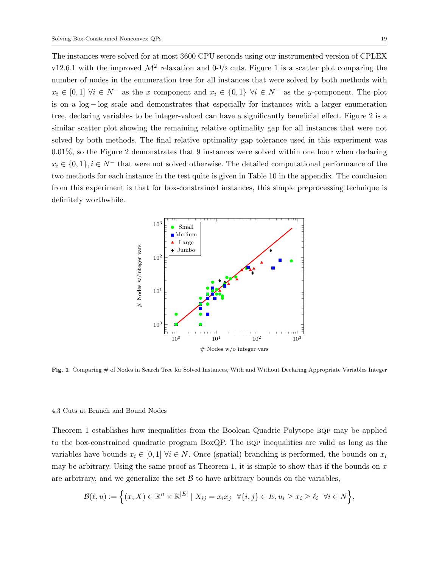The instances were solved for at most 3600 CPU seconds using our instrumented version of CPLEX v12.6.1 with the improved  $\mathcal{M}^2$  relaxation and 0-1/2 cuts. Figure 1 is a scatter plot comparing the number of nodes in the enumeration tree for all instances that were solved by both methods with  $x_i \in [0,1]$   $\forall i \in N^-$  as the x component and  $x_i \in \{0,1\}$   $\forall i \in N^-$  as the y-component. The plot is on a log − log scale and demonstrates that especially for instances with a larger enumeration tree, declaring variables to be integer-valued can have a significantly beneficial effect. Figure 2 is a similar scatter plot showing the remaining relative optimality gap for all instances that were not solved by both methods. The final relative optimality gap tolerance used in this experiment was 0.01%, so the Figure 2 demonstrates that 9 instances were solved within one hour when declaring  $x_i \in \{0,1\}, i \in \mathbb{N}$  that were not solved otherwise. The detailed computational performance of the two methods for each instance in the test quite is given in Table 10 in the appendix. The conclusion from this experiment is that for box-constrained instances, this simple preprocessing technique is definitely worthwhile.



Fig. 1 Comparing # of Nodes in Search Tree for Solved Instances, With and Without Declaring Appropriate Variables Integer

#### 4.3 Cuts at Branch and Bound Nodes

Theorem 1 establishes how inequalities from the Boolean Quadric Polytope BQP may be applied to the box-constrained quadratic program BoxQP. The BQP inequalities are valid as long as the variables have bounds  $x_i \in [0,1]$   $\forall i \in N$ . Once (spatial) branching is performed, the bounds on  $x_i$ may be arbitrary. Using the same proof as Theorem 1, it is simple to show that if the bounds on  $x$ are arbitrary, and we generalize the set  $\mathcal B$  to have arbitrary bounds on the variables,

$$
\mathcal{B}(\ell, u) := \left\{ (x, X) \in \mathbb{R}^n \times \mathbb{R}^{|E|} \mid X_{ij} = x_i x_j \quad \forall \{i, j\} \in E, u_i \ge x_i \ge \ell_i \quad \forall i \in N \right\},\
$$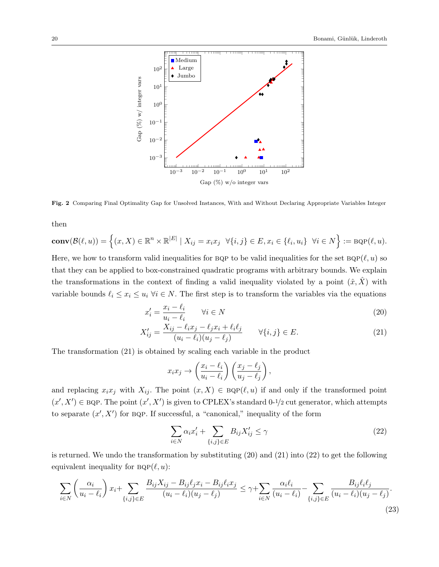

Fig. 2 Comparing Final Optimality Gap for Unsolved Instances, With and Without Declaring Appropriate Variables Integer

then

$$
\mathbf{conv}(\mathcal{B}(\ell,u)) = \left\{ (x,X) \in \mathbb{R}^n \times \mathbb{R}^{|E|} \mid X_{ij} = x_i x_j \quad \forall \{i,j\} \in E, x_i \in \{\ell_i, u_i\} \quad \forall i \in N \right\} := \mathbf{BQP}(\ell,u).
$$

Here, we how to transform valid inequalities for BQP to be valid inequalities for the set  $BQP(\ell, u)$  so that they can be applied to box-constrained quadratic programs with arbitrary bounds. We explain the transformations in the context of finding a valid inequality violated by a point  $(\hat{x}, \hat{X})$  with variable bounds  $\ell_i \leq x_i \leq u_i \ \forall i \in N$ . The first step is to transform the variables via the equations

$$
x_i' = \frac{x_i - \ell_i}{u_i - \ell_i} \qquad \forall i \in N
$$
\n
$$
(20)
$$

$$
X'_{ij} = \frac{X_{ij} - \ell_i x_j - \ell_j x_i + \ell_i \ell_j}{(u_i - \ell_i)(u_j - \ell_j)} \qquad \forall \{i, j\} \in E.
$$
 (21)

The transformation (21) is obtained by scaling each variable in the product

$$
x_i x_j \rightarrow \left(\frac{x_i - \ell_i}{u_i - \ell_i}\right) \left(\frac{x_j - \ell_j}{u_j - \ell_j}\right),
$$

and replacing  $x_ix_j$  with  $X_{ij}$ . The point  $(x, X) \in BQP(\ell, u)$  if and only if the transformed point  $(x', X') \in BQP$ . The point  $(x', X')$  is given to CPLEX's standard 0-1/2 cut generator, which attempts to separate  $(x', X')$  for BQP. If successful, a "canonical," inequality of the form

$$
\sum_{i \in N} \alpha_i x'_i + \sum_{\{i,j\} \in E} B_{ij} X'_{ij} \le \gamma \tag{22}
$$

is returned. We undo the transformation by substituting (20) and (21) into (22) to get the following equivalent inequality for  $BQP(\ell, u)$ :

$$
\sum_{i \in N} \left( \frac{\alpha_i}{u_i - \ell_i} \right) x_i + \sum_{\{i,j\} \in E} \frac{B_{ij} X_{ij} - B_{ij} \ell_j x_i - B_{ij} \ell_i x_j}{(u_i - \ell_i)(u_j - \ell_j)} \le \gamma + \sum_{i \in N} \frac{\alpha_i \ell_i}{(u_i - \ell_i)} - \sum_{\{i,j\} \in E} \frac{B_{ij} \ell_i \ell_j}{(u_i - \ell_i)(u_j - \ell_j)}.
$$
\n(23)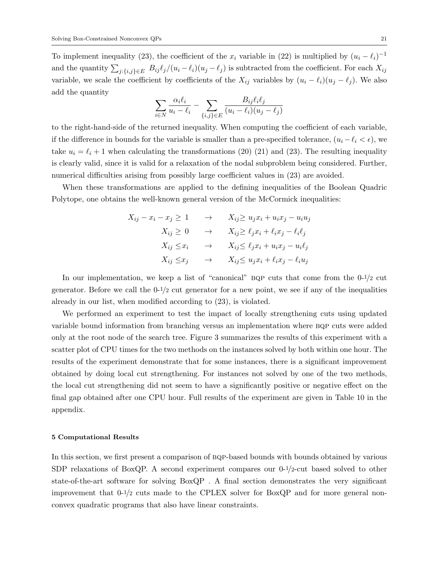To implement inequality (23), the coefficient of the  $x_i$  variable in (22) is multiplied by  $(u_i - \ell_i)^{-1}$ and the quantity  $\sum_{j:\{i,j\}\in E} B_{ij} \ell_j/(u_i - \ell_i)(u_j - \ell_j)$  is subtracted from the coefficient. For each  $X_{ij}$ variable, we scale the coefficient by coefficients of the  $X_{ij}$  variables by  $(u_i - \ell_i)(u_j - \ell_j)$ . We also add the quantity

$$
\sum_{i \in N} \frac{\alpha_i \ell_i}{u_i - \ell_i} - \sum_{\{i,j\} \in E} \frac{B_{ij} \ell_i \ell_j}{(u_i - \ell_i)(u_j - \ell_j)}
$$

to the right-hand-side of the returned inequality. When computing the coefficient of each variable, if the difference in bounds for the variable is smaller than a pre-specified tolerance,  $(u_i - \ell_i < \epsilon)$ , we take  $u_i = \ell_i + 1$  when calculating the transformations (20) (21) and (23). The resulting inequality is clearly valid, since it is valid for a relaxation of the nodal subproblem being considered. Further, numerical difficulties arising from possibly large coefficient values in (23) are avoided.

When these transformations are applied to the defining inequalities of the Boolean Quadric Polytope, one obtains the well-known general version of the McCormick inequalities:

$$
X_{ij} - x_i - x_j \ge 1 \qquad \to \qquad X_{ij} \ge u_j x_i + u_i x_j - u_i u_j
$$

$$
X_{ij} \ge 0 \qquad \to \qquad X_{ij} \ge \ell_j x_i + \ell_i x_j - \ell_i \ell_j
$$

$$
X_{ij} \le x_i \qquad \to \qquad X_{ij} \le \ell_j x_i + u_i x_j - u_i \ell_j
$$

$$
X_{ij} \le x_j \qquad \to \qquad X_{ij} \le u_j x_i + \ell_i x_j - \ell_i u_j
$$

In our implementation, we keep a list of "canonical" BQP cuts that come from the  $0-1/2$  cut generator. Before we call the  $0^{-1/2}$  cut generator for a new point, we see if any of the inequalities already in our list, when modified according to (23), is violated.

We performed an experiment to test the impact of locally strengthening cuts using updated variable bound information from branching versus an implementation where bqp cuts were added only at the root node of the search tree. Figure 3 summarizes the results of this experiment with a scatter plot of CPU times for the two methods on the instances solved by both within one hour. The results of the experiment demonstrate that for some instances, there is a significant improvement obtained by doing local cut strengthening. For instances not solved by one of the two methods, the local cut strengthening did not seem to have a significantly positive or negative effect on the final gap obtained after one CPU hour. Full results of the experiment are given in Table 10 in the appendix.

#### 5 Computational Results

In this section, we first present a comparison of BQP-based bounds with bounds obtained by various SDP relaxations of BoxQP. A second experiment compares our  $0^{-1/2}$ -cut based solved to other state-of-the-art software for solving BoxQP . A final section demonstrates the very significant improvement that  $0^{-1/2}$  cuts made to the CPLEX solver for BoxQP and for more general nonconvex quadratic programs that also have linear constraints.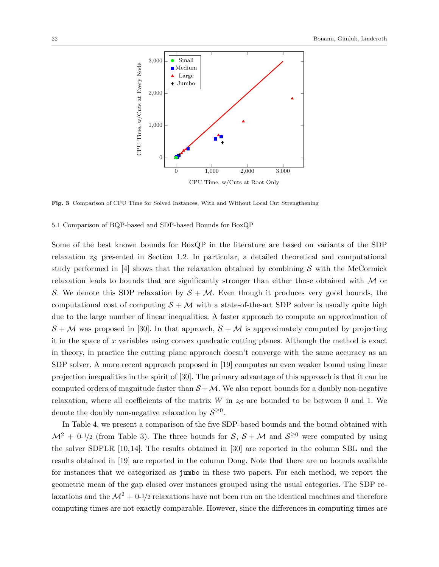

Fig. 3 Comparison of CPU Time for Solved Instances, With and Without Local Cut Strengthening

#### 5.1 Comparison of BQP-based and SDP-based Bounds for BoxQP

Some of the best known bounds for BoxQP in the literature are based on variants of the SDP relaxation  $z_{\mathcal{S}}$  presented in Section 1.2. In particular, a detailed theoretical and computational study performed in [4] shows that the relaxation obtained by combining  $S$  with the McCormick relaxation leads to bounds that are significantly stronger than either those obtained with M or S. We denote this SDP relaxation by  $S + M$ . Even though it produces very good bounds, the computational cost of computing  $S + M$  with a state-of-the-art SDP solver is usually quite high due to the large number of linear inequalities. A faster approach to compute an approximation of  $S + M$  was proposed in [30]. In that approach,  $S + M$  is approximately computed by projecting it in the space of  $x$  variables using convex quadratic cutting planes. Although the method is exact in theory, in practice the cutting plane approach doesn't converge with the same accuracy as an SDP solver. A more recent approach proposed in [19] computes an even weaker bound using linear projection inequalities in the spirit of [30]. The primary advantage of this approach is that it can be computed orders of magnitude faster than  $S + M$ . We also report bounds for a doubly non-negative relaxation, where all coefficients of the matrix  $W$  in  $z<sub>S</sub>$  are bounded to be between 0 and 1. We denote the doubly non-negative relaxation by  $S^{\geq 0}$ .

In Table 4, we present a comparison of the five SDP-based bounds and the bound obtained with  $\mathcal{M}^2 + 0^{-1/2}$  (from Table 3). The three bounds for  $\mathcal{S}, \mathcal{S} + \mathcal{M}$  and  $\mathcal{S}^{\geq 0}$  were computed by using the solver SDPLR [10, 14]. The results obtained in [30] are reported in the column SBL and the results obtained in [19] are reported in the column Dong. Note that there are no bounds available for instances that we categorized as jumbo in these two papers. For each method, we report the geometric mean of the gap closed over instances grouped using the usual categories. The SDP relaxations and the  $\mathcal{M}^2 + 0^{-1/2}$  relaxations have not been run on the identical machines and therefore computing times are not exactly comparable. However, since the differences in computing times are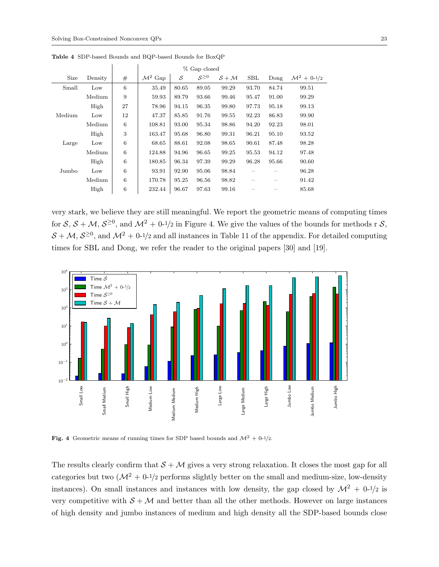|        |         |                 | % Gap closed        |       |              |         |            |       |                         |
|--------|---------|-----------------|---------------------|-------|--------------|---------|------------|-------|-------------------------|
| Size   | Density | #               | $\mathcal{M}^2$ Gap | S     | $S^{\geq 0}$ | $S + M$ | <b>SBL</b> | Dong  | $\mathcal{M}^2 + 0.1/2$ |
| Small  | Low     | 6               | 35.49               | 80.65 | 89.05        | 99.29   | 93.70      | 84.74 | 99.51                   |
|        | Medium  | 9               | 59.93               | 89.79 | 93.66        | 99.46   | 95.47      | 91.00 | 99.29                   |
|        | High    | 27              | 78.96               | 94.15 | 96.35        | 99.80   | 97.73      | 95.18 | 99.13                   |
| Medium | Low     | 12              | 47.37               | 85.85 | 91.76        | 99.55   | 92.23      | 86.83 | 99.90                   |
|        | Medium  | $\,6\,$         | 108.81              | 93.00 | 95.34        | 98.86   | 94.20      | 92.23 | 98.01                   |
|        | High    | 3               | 163.47              | 95.68 | 96.80        | 99.31   | 96.21      | 95.10 | 93.52                   |
| Large  | Low     | $6\phantom{.}6$ | 68.65               | 88.61 | 92.08        | 98.65   | 90.61      | 87.48 | 98.28                   |
|        | Medium  | $\,6\,$         | 124.88              | 94.96 | 96.65        | 99.25   | 95.53      | 94.12 | 97.48                   |
|        | High    | $\,6\,$         | 180.85              | 96.34 | 97.39        | 99.29   | 96.28      | 95.66 | 90.60                   |
| Jumbo  | Low     | 6               | 93.91               | 92.90 | 95.06        | 98.84   |            |       | 96.28                   |
|        | Medium  | $\,6\,$         | 170.78              | 95.25 | 96.56        | 98.82   |            |       | 91.42                   |
|        | High    | $6\phantom{.}6$ | 232.44              | 96.67 | 97.63        | 99.16   |            |       | 85.68                   |
|        |         |                 |                     |       |              |         |            |       |                         |

Table 4 SDP-based Bounds and BQP-based Bounds for BoxQP

very stark, we believe they are still meaningful. We report the geometric means of computing times for  $S, S + M, S^{\geq 0}$ , and  $\mathcal{M}^2 + 0^{-1/2}$  in Figure 4. We give the values of the bounds for methods r S,  $S + \mathcal{M}, S^{\geq 0}$ , and  $\mathcal{M}^2 + 0^{-1/2}$  and all instances in Table 11 of the appendix. For detailed computing times for SBL and Dong, we refer the reader to the original papers [30] and [19].



Fig. 4 Geometric means of running times for SDP based bounds and  $\mathcal{M}^2 + 0^{-1/2}$ .

The results clearly confirm that  $S + M$  gives a very strong relaxation. It closes the most gap for all categories but two  $(\mathcal{M}^2 + 0^{-1/2})$  performs slightly better on the small and medium-size, low-density instances). On small instances and instances with low density, the gap closed by  $\mathcal{M}^2$  + 0-1/2 is very competitive with  $S + M$  and better than all the other methods. However on large instances of high density and jumbo instances of medium and high density all the SDP-based bounds close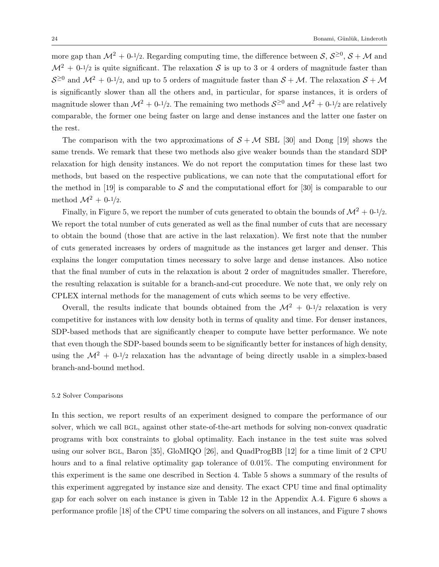more gap than  $\mathcal{M}^2 + 0.1/2$ . Regarding computing time, the difference between  $\mathcal{S}, \mathcal{S}^{\geq 0}, \mathcal{S} + \mathcal{M}$  and  $\mathcal{M}^2$  + 0-1/2 is quite significant. The relaxation S is up to 3 or 4 orders of magnitude faster than  $S^{\geq 0}$  and  $\mathcal{M}^2 + 0^{-1/2}$ , and up to 5 orders of magnitude faster than  $S + \mathcal{M}$ . The relaxation  $S + \mathcal{M}$ is significantly slower than all the others and, in particular, for sparse instances, it is orders of magnitude slower than  $\mathcal{M}^2 + 0^{-1/2}$ . The remaining two methods  $\mathcal{S}^{\geq 0}$  and  $\mathcal{M}^2 + 0^{-1/2}$  are relatively comparable, the former one being faster on large and dense instances and the latter one faster on the rest.

The comparison with the two approximations of  $S + M$  SBL [30] and Dong [19] shows the same trends. We remark that these two methods also give weaker bounds than the standard SDP relaxation for high density instances. We do not report the computation times for these last two methods, but based on the respective publications, we can note that the computational effort for the method in [19] is comparable to  $S$  and the computational effort for [30] is comparable to our method  $\mathcal{M}^2 + 0^{-1/2}$ .

Finally, in Figure 5, we report the number of cuts generated to obtain the bounds of  $\mathcal{M}^2 + 0^{-1/2}$ . We report the total number of cuts generated as well as the final number of cuts that are necessary to obtain the bound (those that are active in the last relaxation). We first note that the number of cuts generated increases by orders of magnitude as the instances get larger and denser. This explains the longer computation times necessary to solve large and dense instances. Also notice that the final number of cuts in the relaxation is about 2 order of magnitudes smaller. Therefore, the resulting relaxation is suitable for a branch-and-cut procedure. We note that, we only rely on CPLEX internal methods for the management of cuts which seems to be very effective.

Overall, the results indicate that bounds obtained from the  $\mathcal{M}^2 + 0^{-1/2}$  relaxation is very competitive for instances with low density both in terms of quality and time. For denser instances, SDP-based methods that are significantly cheaper to compute have better performance. We note that even though the SDP-based bounds seem to be significantly better for instances of high density, using the  $\mathcal{M}^2$  + 0-1/2 relaxation has the advantage of being directly usable in a simplex-based branch-and-bound method.

#### 5.2 Solver Comparisons

In this section, we report results of an experiment designed to compare the performance of our solver, which we call BGL, against other state-of-the-art methods for solving non-convex quadratic programs with box constraints to global optimality. Each instance in the test suite was solved using our solver bgl, Baron [35], GloMIQO [26], and QuadProgBB [12] for a time limit of 2 CPU hours and to a final relative optimality gap tolerance of 0.01%. The computing environment for this experiment is the same one described in Section 4. Table 5 shows a summary of the results of this experiment aggregated by instance size and density. The exact CPU time and final optimality gap for each solver on each instance is given in Table 12 in the Appendix A.4. Figure 6 shows a performance profile [18] of the CPU time comparing the solvers on all instances, and Figure 7 shows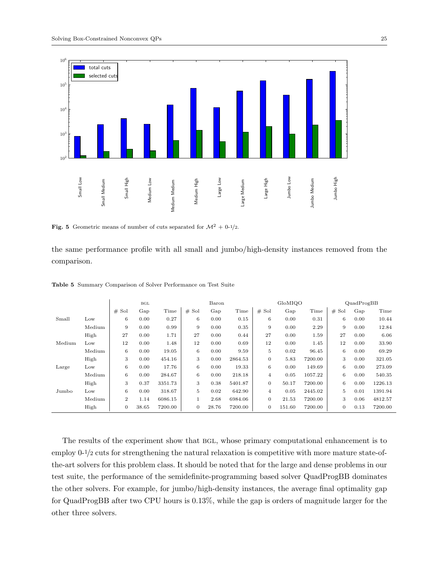

Fig. 5 Geometric means of number of cuts separated for  $\mathcal{M}^2 + 0.1/2$ .

the same performance profile with all small and jumbo/high-density instances removed from the comparison.

|        |        |                  | BGL   |         | Baron    |       | GloMIQO |                |        | QuadProgBB |                |      |         |
|--------|--------|------------------|-------|---------|----------|-------|---------|----------------|--------|------------|----------------|------|---------|
|        |        | # Sol            | Gap   | Time    | $#$ Sol  | Gap   | Time    | $#$ Sol        | Gap    | Time       | Sol<br>#       | Gap  | Time    |
| Small  | Low    | 6                | 0.00  | 0.27    | 6        | 0.00  | 0.15    | 6              | 0.00   | 0.31       | 6              | 0.00 | 10.44   |
|        | Medium | 9                | 0.00  | 0.99    | 9        | 0.00  | 0.35    | 9              | 0.00   | 2.29       | 9              | 0.00 | 12.84   |
|        | High   | 27               | 0.00  | 1.71    | 27       | 0.00  | 0.44    | 27             | 0.00   | 1.59       | 27             | 0.00 | 6.06    |
| Medium | Low    | 12               | 0.00  | 1.48    | 12       | 0.00  | 0.69    | 12             | 0.00   | 1.45       | 12             | 0.00 | 33.90   |
|        | Medium | 6                | 0.00  | 19.05   | 6        | 0.00  | 9.59    | 5              | 0.02   | 96.45      | 6              | 0.00 | 69.29   |
|        | High   | 3                | 0.00  | 454.16  | 3        | 0.00  | 2864.53 | $\overline{0}$ | 5.83   | 7200.00    | 3              | 0.00 | 321.05  |
| Large  | Low    | 6                | 0.00  | 17.76   | 6        | 0.00  | 19.33   | 6              | 0.00   | 149.69     | 6              | 0.00 | 273.09  |
|        | Medium | 6                | 0.00  | 284.67  | 6        | 0.00  | 218.18  | 4              | 0.05   | 1057.22    | 6              | 0.00 | 540.35  |
|        | High   | 3                | 0.37  | 3351.73 | 3        | 0.38  | 5401.87 | $\overline{0}$ | 50.17  | 7200.00    | 6              | 0.00 | 1226.13 |
| Jumbo  | Low    | 6                | 0.00  | 318.67  | 5        | 0.02  | 642.90  | 4              | 0.05   | 2445.02    | 5              | 0.01 | 1391.94 |
|        | Medium | $\overline{2}$   | 1.14  | 6086.15 |          | 2.68  | 6984.06 | $\overline{0}$ | 21.53  | 7200.00    | 3              | 0.06 | 4812.57 |
|        | High   | $\boldsymbol{0}$ | 38.65 | 7200.00 | $\theta$ | 28.76 | 7200.00 | $\overline{0}$ | 151.60 | 7200.00    | $\overline{0}$ | 0.13 | 7200.00 |

Table 5 Summary Comparison of Solver Performance on Test Suite

The results of the experiment show that BGL, whose primary computational enhancement is to employ 0-1/2 cuts for strengthening the natural relaxation is competitive with more mature state-ofthe-art solvers for this problem class. It should be noted that for the large and dense problems in our test suite, the performance of the semidefinite-programming based solver QuadProgBB dominates the other solvers. For example, for jumbo/high-density instances, the average final optimality gap for QuadProgBB after two CPU hours is 0.13%, while the gap is orders of magnitude larger for the other three solvers.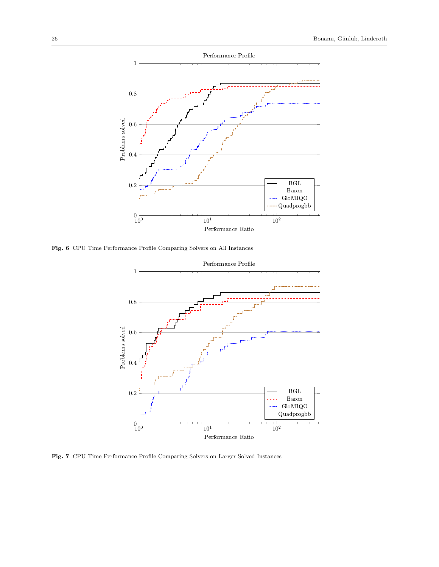

Fig. 6 CPU Time Performance Profile Comparing Solvers on All Instances



Fig. 7 CPU Time Performance Profile Comparing Solvers on Larger Solved Instances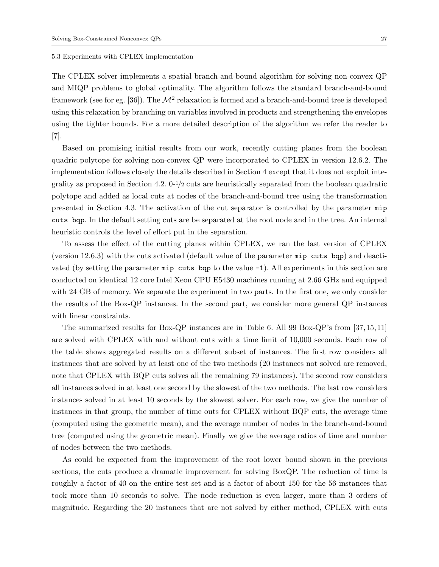#### 5.3 Experiments with CPLEX implementation

The CPLEX solver implements a spatial branch-and-bound algorithm for solving non-convex QP and MIQP problems to global optimality. The algorithm follows the standard branch-and-bound framework (see for eg. [36]). The  $\mathcal{M}^2$  relaxation is formed and a branch-and-bound tree is developed using this relaxation by branching on variables involved in products and strengthening the envelopes using the tighter bounds. For a more detailed description of the algorithm we refer the reader to  $|7|$ .

Based on promising initial results from our work, recently cutting planes from the boolean quadric polytope for solving non-convex QP were incorporated to CPLEX in version 12.6.2. The implementation follows closely the details described in Section 4 except that it does not exploit integrality as proposed in Section 4.2.  $0^{-1/2}$  cuts are heuristically separated from the boolean quadratic polytope and added as local cuts at nodes of the branch-and-bound tree using the transformation presented in Section 4.3. The activation of the cut separator is controlled by the parameter mip cuts bqp. In the default setting cuts are be separated at the root node and in the tree. An internal heuristic controls the level of effort put in the separation.

To assess the effect of the cutting planes within CPLEX, we ran the last version of CPLEX (version 12.6.3) with the cuts activated (default value of the parameter mip cuts bqp) and deactivated (by setting the parameter  $\min p$  cuts bqp to the value  $-1$ ). All experiments in this section are conducted on identical 12 core Intel Xeon CPU E5430 machines running at 2.66 GHz and equipped with 24 GB of memory. We separate the experiment in two parts. In the first one, we only consider the results of the Box-QP instances. In the second part, we consider more general QP instances with linear constraints.

The summarized results for Box-QP instances are in Table 6. All 99 Box-QP's from [37, 15, 11] are solved with CPLEX with and without cuts with a time limit of 10,000 seconds. Each row of the table shows aggregated results on a different subset of instances. The first row considers all instances that are solved by at least one of the two methods (20 instances not solved are removed, note that CPLEX with BQP cuts solves all the remaining 79 instances). The second row considers all instances solved in at least one second by the slowest of the two methods. The last row considers instances solved in at least 10 seconds by the slowest solver. For each row, we give the number of instances in that group, the number of time outs for CPLEX without BQP cuts, the average time (computed using the geometric mean), and the average number of nodes in the branch-and-bound tree (computed using the geometric mean). Finally we give the average ratios of time and number of nodes between the two methods.

As could be expected from the improvement of the root lower bound shown in the previous sections, the cuts produce a dramatic improvement for solving BoxQP. The reduction of time is roughly a factor of 40 on the entire test set and is a factor of about 150 for the 56 instances that took more than 10 seconds to solve. The node reduction is even larger, more than 3 orders of magnitude. Regarding the 20 instances that are not solved by either method, CPLEX with cuts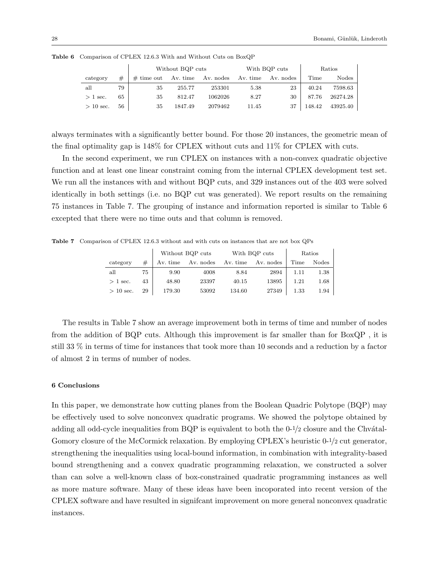|             |    |              | Without BQP cuts |           |          | With BQP cuts | Ratios |          |
|-------------|----|--------------|------------------|-----------|----------|---------------|--------|----------|
| category    | #  | $#$ time out | Av. time         | Av. nodes | Av. time | Av. nodes     | Time   | Nodes    |
| all         | 79 | 35           | 255.77           | 253301    | 5.38     | 23            | 40.24  | 7598.63  |
| $>1$ sec.   | 65 | 35           | 812.47           | 1062026   | 8.27     | 30            | 87.76  | 26274.28 |
| $> 10$ sec. | 56 | 35           | 1847.49          | 2079462   | 11.45    | 37            | 148.42 | 43925.40 |

Table 6 Comparison of CPLEX 12.6.3 With and Without Cuts on BoxQP

always terminates with a significantly better bound. For those 20 instances, the geometric mean of the final optimality gap is 148% for CPLEX without cuts and 11% for CPLEX with cuts.

In the second experiment, we run CPLEX on instances with a non-convex quadratic objective function and at least one linear constraint coming from the internal CPLEX development test set. We run all the instances with and without BQP cuts, and 329 instances out of the 403 were solved identically in both settings (i.e. no BQP cut was generated). We report results on the remaining 75 instances in Table 7. The grouping of instance and information reported is similar to Table 6 excepted that there were no time outs and that column is removed.

Table 7 Comparison of CPLEX 12.6.3 without and with cuts on instances that are not box QPs

|             |    |          | Without BQP cuts |          | With BQP cuts | Ratios |          |
|-------------|----|----------|------------------|----------|---------------|--------|----------|
| category    | #  | Av. time | Av. nodes        | Av. time | Av. nodes     | Time   | Nodes    |
| all         | 75 | 9.90     | 4008             | 8.84     | 2894          | 1.11   | 1.38     |
| $> 1$ sec.  | 43 | 48.80    | 23397            | 40.15    | 13895         | 1.21   | $1.68\,$ |
| $> 10$ sec. | 29 | 179.30   | 53092            | 134.60   | 27349         | 1.33   | 1.94     |

The results in Table 7 show an average improvement both in terms of time and number of nodes from the addition of BQP cuts. Although this improvement is far smaller than for BoxQP , it is still 33 % in terms of time for instances that took more than 10 seconds and a reduction by a factor of almost 2 in terms of number of nodes.

#### 6 Conclusions

In this paper, we demonstrate how cutting planes from the Boolean Quadric Polytope (BQP) may be effectively used to solve nonconvex quadratic programs. We showed the polytope obtained by adding all odd-cycle inequalities from BQP is equivalent to both the  $0<sup>-1</sup>/2$  closure and the Chvátal-Gomory closure of the McCormick relaxation. By employing CPLEX's heuristic 0-1/2 cut generator, strengthening the inequalities using local-bound information, in combination with integrality-based bound strengthening and a convex quadratic programming relaxation, we constructed a solver than can solve a well-known class of box-constrained quadratic programming instances as well as more mature software. Many of these ideas have been incoporated into recent version of the CPLEX software and have resulted in signifcant improvement on more general nonconvex quadratic instances.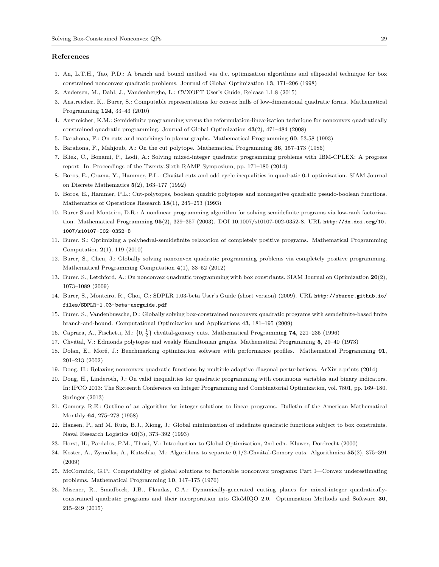#### References

- 1. An, L.T.H., Tao, P.D.: A branch and bound method via d.c. optimization algorithms and ellipsoidal technique for box constrained nonconvex quadratic problems. Journal of Global Optimization 13, 171–206 (1998)
- 2. Andersen, M., Dahl, J., Vandenberghe, L.: CVXOPT User's Guide, Release 1.1.8 (2015)
- 3. Anstreicher, K., Burer, S.: Computable representations for convex hulls of low-dimensional quadratic forms. Mathematical Programming 124, 33–43 (2010)
- 4. Anstreicher, K.M.: Semidefinite programming versus the reformulation-linearization technique for nonconvex quadratically constrained quadratic programming. Journal of Global Optimization 43(2), 471–484 (2008)
- 5. Barahona, F.: On cuts and matchings in planar graphs. Mathematical Programming 60, 53,58 (1993)
- 6. Barahona, F., Mahjoub, A.: On the cut polytope. Mathematical Programming 36, 157–173 (1986)
- 7. Bliek, C., Bonami, P., Lodi, A.: Solving mixed-integer quadratic programming problems with IBM-CPLEX: A progress report. In: Proceedings of the Twenty-Sixth RAMP Symposium, pp. 171–180 (2014)
- 8. Boros, E., Crama, Y., Hammer, P.L.: Chvátal cuts and odd cycle inequalities in quadratic 0-1 optimization. SIAM Journal on Discrete Mathematics 5(2), 163–177 (1992)
- 9. Boros, E., Hammer, P.L.: Cut-polytopes, boolean quadric polytopes and nonnegative quadratic pseudo-boolean functions. Mathematics of Operations Research 18(1), 245–253 (1993)
- 10. Burer S.and Monteiro, D.R.: A nonlinear programming algorithm for solving semidefinite programs via low-rank factorization. Mathematical Programming 95(2), 329–357 (2003). DOI 10.1007/s10107-002-0352-8. URL http://dx.doi.org/10. 1007/s10107-002-0352-8
- 11. Burer, S.: Optimizing a polyhedral-semidefinite relaxation of completely positive programs. Mathematical Programming Computation 2(1), 119 (2010)
- 12. Burer, S., Chen, J.: Globally solving nonconvex quadratic programming problems via completely positive programming. Mathematical Programming Computation 4(1), 33–52 (2012)
- 13. Burer, S., Letchford, A.: On nonconvex quadratic programming with box constriants. SIAM Journal on Optimization 20(2), 1073–1089 (2009)
- 14. Burer, S., Monteiro, R., Choi, C.: SDPLR 1.03-beta User's Guide (short version) (2009). URL http://sburer.github.io/ files/SDPLR-1.03-beta-usrguide.pdf
- 15. Burer, S., Vandenbussche, D.: Globally solving box-constrained nonconvex quadratic programs with semdefinite-based finite branch-and-bound. Computational Optimization and Applications 43, 181–195 (2009)
- 16. Caprara, A., Fischetti, M.:  $\{0, \frac{1}{2}\}$  chvátal-gomory cuts. Mathematical Programming 74, 221–235 (1996)
- 17. Chv´atal, V.: Edmonds polytopes and weakly Hamiltonian graphs. Mathematical Programming 5, 29–40 (1973)
- 18. Dolan, E., Moré, J.: Benchmarking optimization software with performance profiles. Mathematical Programming 91, 201–213 (2002)
- 19. Dong, H.: Relaxing nonconvex quadratic functions by multiple adaptive diagonal perturbations. ArXiv e-prints (2014)
- 20. Dong, H., Linderoth, J.: On valid inequalities for quadratic programming with continuous variables and binary indicators. In: IPCO 2013: The Sixteenth Conference on Integer Programming and Combinatorial Optimization, vol. 7801, pp. 169–180. Springer (2013)
- 21. Gomory, R.E.: Outline of an algorithm for integer solutions to linear programs. Bulletin of the American Mathematical Monthly 64, 275–278 (1958)
- 22. Hansen, P., anf M. Ruiz, B.J., Xiong, J.: Global minimization of indefinite quadratic functions subject to box constraints. Naval Research Logistics 40(3), 373–392 (1993)
- 23. Horst, H., Pardalos, P.M., Thoai, V.: Introduction to Global Optimization, 2nd edn. Kluwer, Dordrecht (2000)
- 24. Koster, A., Zymolka, A., Kutschka, M.: Algorithms to separate 0,1/2-Chv´atal-Gomory cuts. Algorithmica 55(2), 375–391 (2009)
- 25. McCormick, G.P.: Computability of global solutions to factorable nonconvex programs: Part I—Convex underestimating problems. Mathematical Programming 10, 147–175 (1976)
- 26. Misener, R., Smadbeck, J.B., Floudas, C.A.: Dynamically-generated cutting planes for mixed-integer quadraticallyconstrained quadratic programs and their incorporation into GloMIQO 2.0. Optimization Methods and Software 30, 215–249 (2015)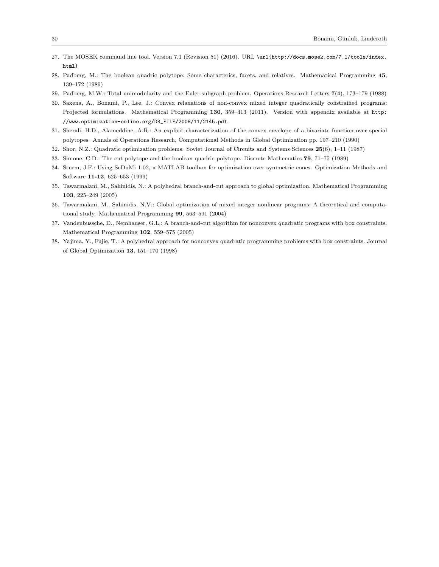- 27. The MOSEK command line tool. Version 7.1 (Revision 51) (2016). URL \url{http://docs.mosek.com/7.1/tools/index. html}
- 28. Padberg, M.: The boolean quadric polytope: Some characterics, facets, and relatives. Mathematical Programming 45, 139–172 (1989)
- 29. Padberg, M.W.: Total unimodularity and the Euler-subgraph problem. Operations Research Letters 7(4), 173–179 (1988)
- 30. Saxena, A., Bonami, P., Lee, J.: Convex relaxations of non-convex mixed integer quadratically constrained programs: Projected formulations. Mathematical Programming 130, 359–413 (2011). Version with appendix available at http: //www.optimization-online.org/DB\_FILE/2008/11/2145.pdf.
- 31. Sherali, H.D., Alameddine, A.R.: An explicit characterization of the convex envelope of a bivariate function over special polytopes. Annals of Operations Research, Computational Methods in Global Optimization pp. 197–210 (1990)
- 32. Shor, N.Z.: Quadratic optimization problems. Soviet Journal of Circuits and Systems Sciences 25(6), 1–11 (1987)
- 33. Simone, C.D.: The cut polytope and the boolean quadric polytope. Discrete Mathematics 79, 71–75 (1989)
- 34. Sturm, J.F.: Using SeDuMi 1.02, a MATLAB toolbox for optimization over symmetric cones. Optimization Methods and Software 11-12, 625–653 (1999)
- 35. Tawarmalani, M., Sahinidis, N.: A polyhedral branch-and-cut approach to global optimization. Mathematical Programming 103, 225–249 (2005)
- 36. Tawarmalani, M., Sahinidis, N.V.: Global optimization of mixed integer nonlinear programs: A theoretical and computational study. Mathematical Programming 99, 563–591 (2004)
- 37. Vandenbussche, D., Nemhauser, G.L.: A branch-and-cut algorithm for nonconvex quadratic programs with box constraints. Mathematical Programming 102, 559–575 (2005)
- 38. Yajima, Y., Fujie, T.: A polyhedral approach for nonconvex quadratic programming problems with box constraints. Journal of Global Optimization 13, 151–170 (1998)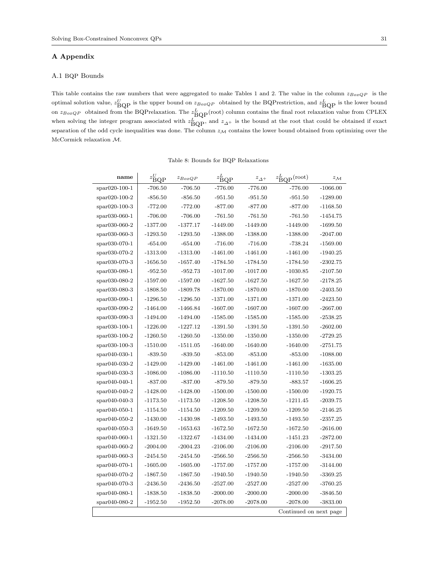#### A Appendix

#### A.1 BQP Bounds

This table contains the raw numbers that were aggregated to make Tables 1 and 2. The value in the column  $z_{BoxQP}$  is the optimal solution value,  $z_{\text{BQP}}^U$  is the upper bound on  $z_{BoxQP}$  obtained by the BQP restriction, and  $z_{\text{BQP}}^L$  is the lower bound on  $z_{BoxQP}$  obtained from the BQPrelaxation. The  $z_{BOP}^L$ (root) column contains the final root relaxation value from CPLEX when solving the integer program associated with  $z_{\text{BOP}}^L$ , and  $z_{\Delta^+}$  is the bound at the root that could be obtained if exact separation of the odd cycle inequalities was done. The column  $z_M$  contains the lower bound obtained from optimizing over the McCormick relaxation M.

| name             | $z_{\text{BQP}}^U$ | $z_{BoxQP}$ | $z_{\rm BQP}^L$ | $z_{\Delta^+}$ | $z_\mathit{BQP}^L(\mathrm{root})$ | $z_{\mathcal{M}}$ |
|------------------|--------------------|-------------|-----------------|----------------|-----------------------------------|-------------------|
| spar020-100-1    | $-706.50$          | $-706.50$   | $-776.00$       | $-776.00$      | $-776.00$                         | $-1066.00$        |
| $*$ par020-100-2 | $-856.50$          | $-856.50$   | $-951.50$       | $-951.50$      | $-951.50$                         | $-1289.00$        |
| $*$ par020-100-3 | $-772.00$          | $-772.00$   | $-877.00$       | $-877.00$      | $-877.00$                         | $-1168.50$        |
| $spr030-060-1$   | $-706.00$          | $-706.00$   | $-761.50$       | $-761.50$      | $-761.50$                         | $-1454.75$        |
| spar030-060-2    | $-1377.00$         | $-1377.17$  | $-1449.00$      | $-1449.00$     | $-1449.00$                        | $-1699.50$        |
| spar030-060-3    | $-1293.50$         | $-1293.50$  | $-1388.00$      | $-1388.00$     | $-1388.00$                        | $-2047.00$        |
| spar030-070-1    | $-654.00$          | $-654.00$   | $-716.00$       | $-716.00$      | $-738.24$                         | $-1569.00$        |
| spar030-070-2    | $-1313.00$         | $-1313.00$  | $-1461.00$      | $-1461.00$     | $-1461.00$                        | $-1940.25$        |
| spar030-070-3    | $-1656.50$         | $-1657.40$  | $-1784.50$      | $-1784.50$     | $-1784.50$                        | $-2302.75$        |
| spar030-080-1    | $-952.50$          | $-952.73$   | $-1017.00$      | $-1017.00$     | $-1030.85$                        | $-2107.50$        |
| spar030-080-2    | $-1597.00$         | $-1597.00$  | $-1627.50$      | $-1627.50$     | $-1627.50$                        | $-2178.25$        |
| $spr030-080-3$   | $-1808.50$         | $-1809.78$  | $-1870.00$      | $-1870.00$     | $-1870.00$                        | $-2403.50$        |
| spar030-090-1    | $-1296.50$         | $-1296.50$  | $-1371.00$      | $-1371.00$     | $-1371.00$                        | $-2423.50$        |
| $spr030-090-2$   | $-1464.00$         | $-1466.84$  | $-1607.00$      | $-1607.00$     | $-1607.00$                        | $-2667.00$        |
| spar030-090-3    | $-1494.00$         | $-1494.00$  | $-1585.00$      | $-1585.00$     | $-1585.00$                        | $-2538.25$        |
| spar030-100-1    | $-1226.00$         | $-1227.12$  | $-1391.50$      | $-1391.50$     | $-1391.50$                        | $-2602.00$        |
| spar030-100-2    | $-1260.50$         | $-1260.50$  | $-1350.00$      | $-1350.00$     | $-1350.00$                        | $-2729.25$        |
| spar030-100-3    | $-1510.00$         | $-1511.05$  | $-1640.00$      | $-1640.00$     | $-1640.00$                        | $-2751.75$        |
| spar040-030-1    | $-839.50$          | $-839.50$   | $-853.00$       | $-853.00$      | $-853.00$                         | $-1088.00$        |
| $spr040-030-2$   | $-1429.00$         | $-1429.00$  | $-1461.00$      | $-1461.00$     | $-1461.00$                        | $-1635.00$        |
| spar040-030-3    | $-1086.00$         | $-1086.00$  | $-1110.50$      | $-1110.50$     | $-1110.50$                        | $-1303.25$        |
| spar040-040-1    | $-837.00$          | $-837.00$   | $-879.50$       | $-879.50$      | $-883.57$                         | $-1606.25$        |
| $spr040-040-2$   | $-1428.00$         | $-1428.00$  | $-1500.00$      | $-1500.00$     | $-1500.00$                        | $-1920.75$        |
| spar040-040-3    | $-1173.50$         | $-1173.50$  | $-1208.50$      | $-1208.50$     | $-1211.45$                        | $-2039.75$        |
| spar040-050-1    | $-1154.50$         | $-1154.50$  | $-1209.50$      | $-1209.50$     | $-1209.50$                        | $-2146.25$        |
| $spr040-050-2$   | $-1430.00$         | $-1430.98$  | $-1493.50$      | $-1493.50$     | $-1493.50$                        | $-2357.25$        |
| $spr040-050-3$   | $-1649.50$         | $-1653.63$  | $-1672.50$      | $-1672.50$     | $-1672.50$                        | $-2616.00$        |
| spar040-060-1    | $-1321.50$         | $-1322.67$  | $-1434.00$      | $-1434.00$     | $-1451.23$                        | $-2872.00$        |
| $spr040-060-2$   | $-2004.00$         | $-2004.23$  | $-2106.00$      | $-2106.00$     | $-2106.00$                        | $-2917.50$        |
| $spr040-060-3$   | $-2454.50$         | $-2454.50$  | $-2566.50$      | $-2566.50$     | $-2566.50$                        | $-3434.00$        |
| spar040-070-1    | $-1605.00$         | $-1605.00$  | $-1757.00$      | $-1757.00$     | $-1757.00$                        | $-3144.00$        |
| spar040-070-2    | $-1867.50$         | $-1867.50$  | $-1940.50$      | $-1940.50$     | $-1940.50$                        | $-3369.25$        |
| $spr040-070-3$   | $-2436.50$         | $-2436.50$  | $-2527.00$      | $-2527.00$     | $-2527.00$                        | $-3760.25$        |
| spar040-080-1    | $-1838.50$         | $-1838.50$  | $-2000.00$      | $-2000.00$     | $-2000.00$                        | $-3846.50$        |
| spar040-080-2    | $-1952.50$         | $-1952.50$  | $-2078.00$      | $-2078.00$     | $-2078.00$                        | $-3833.00$        |
|                  |                    |             |                 |                | Continued on next page            |                   |

Table 8: Bounds for BQP Relaxations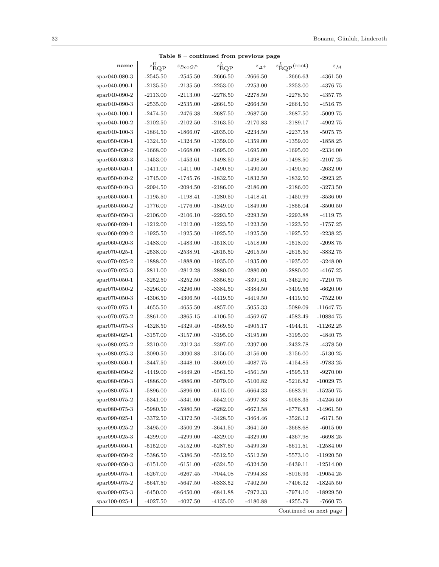|                           |                                  | Table $8$ – continued from previous page |                 |                |                                 |                   |
|---------------------------|----------------------------------|------------------------------------------|-----------------|----------------|---------------------------------|-------------------|
| name                      | $z_{\mathrm{BQP}}^{\mathcal{U}}$ | $z_{BoxQP}$                              | $z_{\rm BQP}^L$ | $z_{\Delta^+}$ | $z_{\text{BQP}}^L(\text{root})$ | $z_{\mathcal{M}}$ |
| spar040-080-3             | $-2545.50$                       | $-2545.50$                               | $-2666.50$      | $-2666.50$     | $-2666.63$                      | $-4361.50$        |
| $spr040-090-1$            | $-2135.50$                       | $-2135.50$                               | $-2253.00$      | $-2253.00$     | $-2253.00$                      | $-4376.75$        |
| $spr040-090-2$            | $-2113.00$                       | $-2113.00$                               | $-2278.50$      | $-2278.50$     | $-2278.50$                      | -4357.75          |
| $spr040-090-3$            | $-2535.00$                       | $-2535.00$                               | $-2664.50$      | $-2664.50$     | $-2664.50$                      | $-4516.75$        |
| $spr040-100-1$            | $-2474.50$                       | $-2476.38$                               | $-2687.50$      | $-2687.50$     | $-2687.50$                      | $-5009.75$        |
| $\text{spar040-100-2}$    | $-2102.50$                       | $-2102.50$                               | $-2163.50$      | $-2170.83$     | $-2189.17$                      | $-4902.75$        |
| $spr040-100-3$            | $-1864.50$                       | $-1866.07$                               | $-2035.00$      | $-2234.50$     | $-2237.58$                      | $-5075.75$        |
| $spr050-030-1$            | $-1324.50$                       | $-1324.50$                               | $-1359.00$      | $-1359.00$     | $-1359.00$                      | $-1858.25$        |
| $\frac{$20,050-030-2}{ }$ | $-1668.00$                       | $-1668.00$                               | $-1695.00$      | $-1695.00$     | $-1695.00$                      | $-2334.00$        |
| $spr050-030-3$            | $-1453.00$                       | $-1453.61$                               | $-1498.50$      | $-1498.50$     | $-1498.50$                      | $-2107.25$        |
| $spr050-040-1$            | $-1411.00$                       | $-1411.00$                               | $-1490.50$      | $-1490.50$     | $-1490.50$                      | $-2632.00$        |
| $spr050-040-2$            | $-1745.00$                       | $-1745.76$                               | $-1832.50$      | $-1832.50$     | $-1832.50$                      | $-2923.25$        |
| $\text{spar}050-040-3$    | $-2094.50$                       | $-2094.50$                               | $-2186.00$      | $-2186.00$     | $-2186.00$                      | $-3273.50$        |
| $spr050-050-1$            | $-1195.50$                       | $-1198.41$                               | $-1280.50$      | $-1418.41$     | $-1450.99$                      | $-3536.00$        |
| $spr050-050-2$            | $-1776.00$                       | $-1776.00$                               | $-1849.00$      | $-1849.00$     | $-1855.04$                      | $-3500.50$        |
| $spr050-050-3$            | $-2106.00$                       | $-2106.10$                               | $-2293.50$      | $-2293.50$     | $-2293.88$                      | $-4119.75$        |
| $spr060-020-1$            | $-1212.00$                       | $-1212.00$                               | $-1223.50$      | $-1223.50$     | $-1223.50$                      | $-1757.25$        |
| $spr060-020-2$            | $-1925.50$                       | $-1925.50$                               | $-1925.50$      | $-1925.50$     | $-1925.50$                      | $-2238.25$        |
| $*$ par060-020-3          | $-1483.00$                       | $-1483.00$                               | $-1518.00$      | $-1518.00$     | $-1518.00$                      | $-2098.75$        |
| $*$ par070-025-1          | $-2538.00$                       | $-2538.91$                               | $-2615.50$      | $-2615.50$     | $-2615.50$                      | $-3832.75$        |
| $*$ par070-025-2          | $-1888.00$                       | $-1888.00$                               | $-1935.00$      | $-1935.00$     | $-1935.00$                      | $-3248.00$        |
| $*$ par070-025-3          | $-2811.00$                       | $-2812.28$                               | $-2880.00$      | $-2880.00$     | $-2880.00$                      | $-4167.25$        |
| $spr070-050-1$            | $-3252.50$                       | $-3252.50$                               | $-3356.50$      | $-3391.61$     | $-3462.90$                      | $-7210.75$        |
| $spr070-050-2$            | $-3296.00$                       | $-3296.00$                               | $-3384.50$      | $-3384.50$     | $-3409.56$                      | $-6620.00$        |
| $*$ par070-050-3          | $-4306.50$                       | $-4306.50$                               | $-4419.50$      | $-4419.50$     | $-4419.50$                      | $-7522.00$        |
| $*$ par070-075-1          | $-4655.50$                       | $-4655.50$                               | $-4857.00$      | $-5055.33$     | $-5089.09$                      | -11647.75         |
| $spr070-075-2$            | $-3861.00$                       | $-3865.15$                               | $-4106.50$      | $-4562.67$     | $-4583.49$                      | $-10884.75$       |
| $*$ par070-075-3          | -4328.50                         | $-4329.40$                               | $-4569.50$      | $-4905.17$     | -4944.31                        | $-11262.25$       |
| $span080-025-1$           | $-3157.00$                       | $-3157.00$                               | $-3195.00$      | $-3195.00$     | $-3195.00$                      | -4840.75          |
| $span080-025-2$           | $-2310.00$                       | $-2312.34$                               | $-2397.00$      | $-2397.00$     | $-2432.78$                      | $-4378.50$        |
| $span080-025-3$           | $-3090.50$                       | $-3090.88$                               | $-3156.00$      | $-3156.00$     | $-3156.00$                      | $-5130.25$        |
| $span080-050-1$           | $-3447.50$                       | $-3448.10$                               | $-3669.00$      | -4087.75       | $-4154.85$                      | $-9783.25$        |
| $span080-050-2$           | -4449.00                         | $-4449.20$                               | $-4561.50$      | $-4561.50$     | $-4595.53$                      | $-9270.00$        |
| spar080-050-3             | $-4886.00$                       | $-4886.00$                               | $-5079.00$      | $-5100.82$     | $-5216.82$                      | $-10029.75$       |
| spar080-075-1             | $-5896.00$                       | $-5896.00$                               | $-6115.00$      | $-6664.33$     | $-6683.91$                      | $-15250.75$       |
| $span080-075-2$           | $-5341.00$                       | $-5341.00$                               | $-5542.00$      | -5997.83       | $-6058.35$                      | $-14246.50$       |
| spar080-075-3             | $-5980.50$                       | $-5980.50$                               | $-6282.00$      | $-6673.58$     | $-6776.83$                      | $-14961.50$       |
| $span090-025-1$           | $-3372.50$                       | $-3372.50$                               | $-3428.50$      | -3464.46       | $-3526.12$                      | $-6171.50$        |
| $span090-025-2$           | $-3495.00$                       | $-3500.29$                               | $-3641.50$      | $-3641.50$     | $-3668.68$                      | $-6015.00$        |
| spar090-025-3             | $-4299.00$                       | $-4299.00$                               | $-4329.00$      | $-4329.00$     | $-4367.98$                      | $-6698.25$        |
| $span090-050-1$           | $-5152.00$                       | $-5152.00$                               | $-5287.50$      | $-5499.30$     | $-5611.51$                      | $-12584.00$       |
| spar090-050-2             | $-5386.50$                       | $-5386.50$                               | $-5512.50$      | $-5512.50$     | $-5573.10$                      | $-11920.50$       |
| $span090-050-3$           | $-6151.00$                       | $-6151.00$                               | $-6324.50$      | $-6324.50$     | $-6439.11$                      | $-12514.00$       |
| spar090-075-1             | $-6267.00$                       | $-6267.45$                               | $-7044.08$      | $-7994.83$     | $-8016.93$                      | $-19054.25$       |
| spar090-075-2             | $-5647.50$                       | $-5647.50$                               | $-6333.52$      | $-7402.50$     | -7406.32                        | $-18245.50$       |
| $span090-075-3$           | $-6450.00$                       | $-6450.00$                               | $-6841.88$      | -7972.33       | -7974.10                        | $-18929.50$       |
| spar100-025-1             | $-4027.50$                       | $-4027.50$                               | $-4135.00$      | $-4180.88$     | $-4255.79$                      | $-7660.75$        |
|                           |                                  |                                          |                 |                | Continued on next page          |                   |

Table 8 – continued from previous page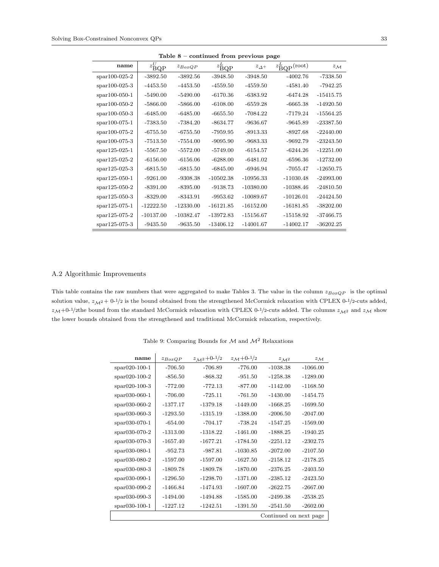| rable o – commuted from previous page |                      |             |                      |                |                                 |                   |  |  |
|---------------------------------------|----------------------|-------------|----------------------|----------------|---------------------------------|-------------------|--|--|
| name                                  | $z_{\mathrm{BQP}}^U$ | $z_{BoxQP}$ | $z_{\mathrm{BQP}}^L$ | $z_{\Delta^+}$ | $z_{\text{BQP}}^L(\text{root})$ | $z_{\mathcal{M}}$ |  |  |
| $spr100-025-2$                        | $-3892.50$           | $-3892.56$  | $-3948.50$           | $-3948.50$     | $-4002.76$                      | $-7338.50$        |  |  |
| $spr100-025-3$                        | $-4453.50$           | $-4453.50$  | $-4559.50$           | $-4559.50$     | $-4581.40$                      | $-7942.25$        |  |  |
| $spr100-050-1$                        | $-5490.00$           | $-5490.00$  | $-6170.36$           | $-6383.92$     | $-6474.28$                      | $-15415.75$       |  |  |
| $spr100-050-2$                        | $-5866.00$           | $-5866.00$  | $-6108.00$           | $-6559.28$     | $-6665.38$                      | $-14920.50$       |  |  |
| $spr100-050-3$                        | $-6485.00$           | $-6485.00$  | $-6655.50$           | $-7084.22$     | $-7179.24$                      | $-15564.25$       |  |  |
| $spr100-075-1$                        | $-7383.50$           | $-7384.20$  | $-8634.77$           | $-9636.67$     | $-9645.89$                      | $-23387.50$       |  |  |
| $spr100-075-2$                        | $-6755.50$           | $-6755.50$  | -7959.95             | $-8913.33$     | $-8927.68$                      | $-22440.00$       |  |  |
| $spr100-075-3$                        | $-7513.50$           | $-7554.00$  | $-9095.90$           | $-9683.33$     | $-9692.79$                      | $-23243.50$       |  |  |
| $spr125-025-1$                        | $-5567.50$           | $-5572.00$  | $-5749.00$           | $-6154.57$     | $-6244.26$                      | $-12251.00$       |  |  |
| $spr125-025-2$                        | $-6156.00$           | $-6156.06$  | $-6288.00$           | $-6481.02$     | $-6596.36$                      | $-12732.00$       |  |  |
| $spr125-025-3$                        | $-6815.50$           | $-6815.50$  | $-6845.00$           | $-6946.94$     | $-7055.47$                      | $-12650.75$       |  |  |
| $spr125-050-1$                        | $-9261.00$           | $-9308.38$  | $-10502.38$          | $-10956.33$    | $-11030.48$                     | $-24993.00$       |  |  |
| $spr125-050-2$                        | $-8391.00$           | $-8395.00$  | $-9138.73$           | $-10380.00$    | $-10388.46$                     | $-24810.50$       |  |  |
| $spr125-050-3$                        | $-8329.00$           | $-8343.91$  | $-9953.62$           | $-10089.67$    | $-10126.01$                     | $-24424.50$       |  |  |
| spar125-075-1                         | $-12222.50$          | $-12330.00$ | $-16121.85$          | $-16152.00$    | $-16181.85$                     | $-38202.00$       |  |  |
| $spr125-075-2$                        | $-10137.00$          | $-10382.47$ | $-13972.83$          | $-15156.67$    | $-15158.92$                     | $-37466.75$       |  |  |
| $spr125-075-3$                        | $-9435.50$           | $-9635.50$  | $-13406.12$          | $-14001.67$    | $-14002.17$                     | $-36202.25$       |  |  |

Table  $8$  – continued from previous page

#### A.2 Algorithmic Improvements

This table contains the raw numbers that were aggregated to make Tables 3. The value in the column  $z_{BoxQP}$  is the optimal solution value,  $z_{\mathcal{M}^2}$  + 0-1/2 is the bound obtained from the strengthened McCormick relaxation with CPLEX 0-1/2-cuts added,  $z_{\mathcal{M}}+0$ -1/2the bound from the standard McCormick relaxation with CPLEX 0-1/2-cuts added. The columns  $z_{\mathcal{M}^2}$  and  $z_{\mathcal{M}}$  show the lower bounds obtained from the strengthened and traditional McCormick relaxation, respectively.

| name                 | $z_{BoxQP}$ | $z_{\mathcal{M}^2} + 0^{-1/2}$ | $z_{\mathcal{M}} + 0^{-1/2}$ | $z_{\mathcal{M}^2}$    | $z_{\mathcal{M}}$ |
|----------------------|-------------|--------------------------------|------------------------------|------------------------|-------------------|
| $*$ spar $020-100-1$ | $-706.50$   | -706.89                        | $-776.00$                    | $-1038.38$             | $-1066.00$        |
| $*$ par020-100-2     | $-856.50$   | -868.32                        | $-951.50$                    | $-1258.38$             | $-1289.00$        |
| $*$ par020-100-3     | $-772.00$   | $-772.13$                      | $-877.00$                    | $-1142.00$             | $-1168.50$        |
| $span030-060-1$      | $-706.00$   | $-725.11$                      | $-761.50$                    | $-1430.00$             | $-1454.75$        |
| $span030-060-2$      | $-1377.17$  | $-1379.18$                     | $-1449.00$                   | $-1668.25$             | $-1699.50$        |
| $*$ par030-060-3     | $-1293.50$  | $-1315.19$                     | $-1388.00$                   | $-2006.50$             | $-2047.00$        |
| $span030-070-1$      | $-654.00$   | $-704.17$                      | -738.24                      | $-1547.25$             | $-1569.00$        |
| $*$ par030-070-2     | $-1313.00$  | $-1318.22$                     | $-1461.00$                   | $-1888.25$             | $-1940.25$        |
| $spr030-070-3$       | $-1657.40$  | $-1677.21$                     | $-1784.50$                   | $-2251.12$             | $-2302.75$        |
| $span030-080-1$      | $-952.73$   | $-987.81$                      | $-1030.85$                   | $-2072.00$             | $-2107.50$        |
| $spr030-080-2$       | $-1597.00$  | $-1597.00$                     | $-1627.50$                   | $-2158.12$             | $-2178.25$        |
| $spr030-080-3$       | $-1809.78$  | $-1809.78$                     | $-1870.00$                   | $-2376.25$             | $-2403.50$        |
| $spr030-090-1$       | $-1296.50$  | $-1298.70$                     | $-1371.00$                   | $-2385.12$             | $-2423.50$        |
| $spr030-090-2$       | $-1466.84$  | $-1474.93$                     | $-1607.00$                   | $-2622.75$             | $-2667.00$        |
| $spr030-090-3$       | $-1494.00$  | $-1494.88$                     | $-1585.00$                   | $-2499.38$             | $-2538.25$        |
| $span030-100-1$      | $-1227.12$  | $-1242.51$                     | $-1391.50$                   | $-2541.50$             | $-2602.00$        |
|                      |             |                                |                              | Continued on next page |                   |

Table 9: Comparing Bounds for  $\mathcal M$  and  $\mathcal M^2$  Relaxations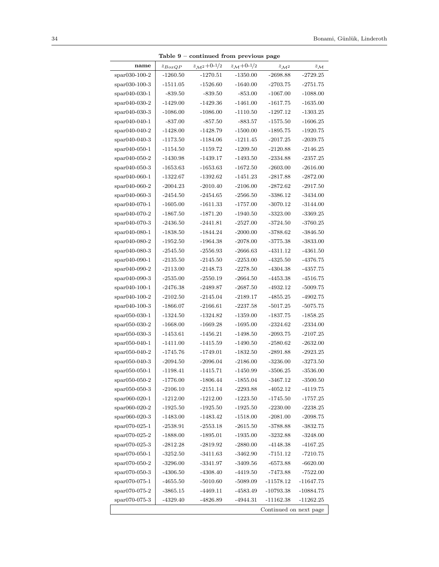| Table $9$ – continued from previous page |             |                                |                              |                        |                   |  |  |  |
|------------------------------------------|-------------|--------------------------------|------------------------------|------------------------|-------------------|--|--|--|
| name                                     | $z_{BoxQP}$ | $z_{\mathcal{M}^2} + 0^{-1/2}$ | $z_{\mathcal{M}} + 0^{-1/2}$ | $z_{\mathcal{M}^2}$    | $z_{\mathcal{M}}$ |  |  |  |
| spar030-100-2                            | $-1260.50$  | $-1270.51$                     | $-1350.00$                   | $-2698.88$             | $-2729.25$        |  |  |  |
| $span030-100-3$                          | $-1511.05$  | $-1526.60$                     | $-1640.00$                   | $-2703.75$             | -2751.75          |  |  |  |
| $spr040-030-1$                           | $-839.50$   | $-839.50$                      | $-853.00$                    | $-1067.00$             | $-1088.00$        |  |  |  |
| $span040-030-2$                          | $-1429.00$  | $-1429.36$                     | $-1461.00$                   | $-1617.75$             | $-1635.00$        |  |  |  |
| $span040-030-3$                          | $-1086.00$  | $-1086.00$                     | $-1110.50$                   | -1297.12               | $-1303.25$        |  |  |  |
| $\text{spar040-040-1}$                   | $-837.00$   | $-857.50$                      | -883.57                      | $-1575.50$             | $-1606.25$        |  |  |  |
| $spr040-040-2$                           | $-1428.00$  | $-1428.79$                     | $-1500.00$                   | $-1895.75$             | $-1920.75$        |  |  |  |
| $\text{spar040-040-3}$                   | $-1173.50$  | $-1184.06$                     | $-1211.45$                   | $-2017.25$             | -2039.75          |  |  |  |
| $\text{spar040-050-1}$                   | $-1154.50$  | $-1159.72$                     | $-1209.50$                   | $-2120.88$             | $-2146.25$        |  |  |  |
| $span040-050-2$                          | $-1430.98$  | $-1439.17$                     | $-1493.50$                   | $-2334.88$             | $-2357.25$        |  |  |  |
| $span040-050-3$                          | $-1653.63$  | $-1653.63$                     | $-1672.50$                   | $-2603.00$             | $-2616.00$        |  |  |  |
| $\text{spar040-060-1}$                   | $-1322.67$  | $-1392.62$                     | $-1451.23$                   | $-2817.88$             | $-2872.00$        |  |  |  |
| $\text{spar040-060-2}$                   | $-2004.23$  | $-2010.40$                     | $-2106.00$                   | $-2872.62$             | $-2917.50$        |  |  |  |
| $*$ par040-060-3                         | $-2454.50$  | $-2454.65$                     | $-2566.50$                   | $-3386.12$             | -3434.00          |  |  |  |
| $spr040-070-1$                           | $-1605.00$  | $-1611.33$                     | $-1757.00$                   | $-3070.12$             | $-3144.00$        |  |  |  |
| $\text{spar040-070-2}$                   | $-1867.50$  | $-1871.20$                     | $-1940.50$                   | $-3323.00$             | $-3369.25$        |  |  |  |
| $\text{spar040-070-3}$                   | $-2436.50$  | $-2441.81$                     | $-2527.00$                   | $-3724.50$             | $-3760.25$        |  |  |  |
| $span040-080-1$                          | $-1838.50$  | $-1844.24$                     | $-2000.00$                   | $-3788.62$             | $-3846.50$        |  |  |  |
| $spr040-080-2$                           | $-1952.50$  | $-1964.38$                     | $-2078.00$                   | $-3775.38$             | $-3833.00$        |  |  |  |
| $\text{spar040-080-3}$                   | $-2545.50$  | $-2556.93$                     | $-2666.63$                   | -4311.12               | $-4361.50$        |  |  |  |
| $\text{spar040-090-1}$                   | $-2135.50$  | $-2145.50$                     | $-2253.00$                   | $-4325.50$             | -4376.75          |  |  |  |
| $spr040-090-2$                           | $-2113.00$  | $-2148.73$                     | $-2278.50$                   | $-4304.38$             | $-4357.75$        |  |  |  |
| $\text{spar040-090-3}$                   | $-2535.00$  | $-2550.19$                     | $-2664.50$                   | $-4453.38$             | $-4516.75$        |  |  |  |
| $\text{spar040-100-1}$                   | $-2476.38$  | $-2489.87$                     | $-2687.50$                   | -4932.12               | -5009.75          |  |  |  |
| $\text{spar040-100-2}$                   | $-2102.50$  | $-2145.04$                     | $-2189.17$                   | $-4855.25$             | $-4902.75$        |  |  |  |
| $\text{spar040-100-3}$                   | $-1866.07$  | $-2166.61$                     | $-2237.58$                   | $-5017.25$             | $-5075.75$        |  |  |  |
| $\text{spar}050-030-1$                   | $-1324.50$  | $-1324.82$                     | $-1359.00$                   | -1837.75               | $-1858.25$        |  |  |  |
| $span050-030-2$                          | $-1668.00$  | $-1669.28$                     | $-1695.00$                   | $-2324.62$             | $-2334.00$        |  |  |  |
| $span050-030-3$                          | $-1453.61$  | $-1456.21$                     | $-1498.50$                   | $-2093.75$             | $-2107.25$        |  |  |  |
| $spr050-040-1$                           | $-1411.00$  | $-1415.59$                     | $-1490.50$                   | $-2580.62$             | $-2632.00$        |  |  |  |
| $spr050-040-2$                           | $-1745.76$  | $-1749.01$                     | $-1832.50$                   | $-2891.88$             | $-2923.25$        |  |  |  |
| $\text{spar}050-040-3$                   | $-2094.50$  | $-2096.04$                     | $-2186.00$                   | $-3236.00$             | $-3273.50$        |  |  |  |
| $span050-050-1$                          | $-1198.41$  | -1415.71                       | $-1450.99$                   | -3506.25               | $-3536.00$        |  |  |  |
| spar050-050-2                            | $-1776.00$  | $-1806.44$                     | $-1855.04$                   | -3467.12               | $-3500.50$        |  |  |  |
| spar050-050-3                            | $-2106.10$  | $-2151.14$                     | $-2293.88$                   | $-4052.12$             | $-4119.75$        |  |  |  |
| spar060-020-1                            | $-1212.00$  | $-1212.00$                     | $-1223.50$                   | $-1745.50$             | $-1757.25$        |  |  |  |
| spar060-020-2                            | $-1925.50$  | $-1925.50$                     | $-1925.50$                   | $-2230.00$             | $-2238.25$        |  |  |  |
| spar060-020-3                            | $-1483.00$  | $-1483.42$                     | $-1518.00$                   | $-2081.00$             | $-2098.75$        |  |  |  |
| $*$ par070-025-1                         | $-2538.91$  | $-2553.18$                     | $-2615.50$                   | -3788.88               | -3832.75          |  |  |  |
| spar070-025-2                            | $-1888.00$  | $-1895.01$                     | $-1935.00$                   | $-3232.88$             | $-3248.00$        |  |  |  |
| $*$ par070-025-3                         | $-2812.28$  | $-2819.92$                     | $-2880.00$                   | $-4148.38$             | $-4167.25$        |  |  |  |
| $*$ par070-050-1                         | $-3252.50$  | $-3411.63$                     | $-3462.90$                   | $-7151.12$             | $-7210.75$        |  |  |  |
| spar070-050-2                            | $-3296.00$  | $-3341.97$                     | $-3409.56$                   | $-6573.88$             | $-6620.00$        |  |  |  |
| $*$ par070-050-3                         | $-4306.50$  | $-4308.40$                     | $-4419.50$                   | $-7473.88$             | -7522.00          |  |  |  |
| $*$ par070-075-1                         | $-4655.50$  | $-5010.60$                     | $-5089.09$                   | $-11578.12$            | $-11647.75$       |  |  |  |
| $*$ par070-075-2                         | $-3865.15$  | $-4469.11$                     | -4583.49                     | -10793.38              | $-10884.75$       |  |  |  |
| $*$ par070-075-3                         | $-4329.40$  | $-4826.89$                     | $-4944.31$                   | $-11162.38$            | $-11262.25$       |  |  |  |
|                                          |             |                                |                              | Continued on next page |                   |  |  |  |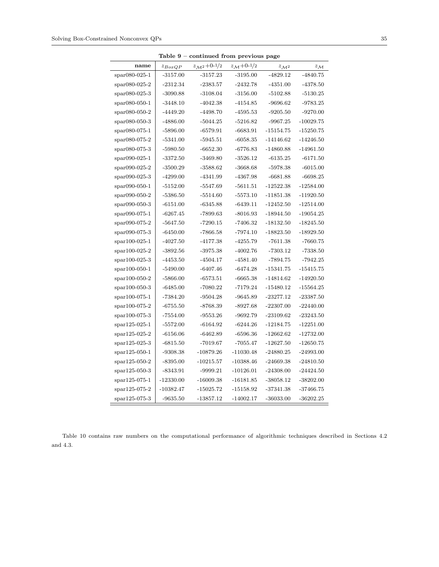|                  |             | rable 9 – continued from previous page |                           |                     |                   |
|------------------|-------------|----------------------------------------|---------------------------|---------------------|-------------------|
| name             | $z_{BoxQP}$ | $z_{\mathcal{M}^2} + 0^{-1/2}$         | $z_{\mathcal{M}} + 0.1/2$ | $z_{\mathcal{M}^2}$ | $z_{\mathcal{M}}$ |
| $span080-025-1$  | $-3157.00$  | $-3157.23$                             | $-3195.00$                | $-4829.12$          | $-4840.75$        |
| $span080-025-2$  | -2312.34    | $-2383.57$                             | -2432.78                  | $-4351.00$          | $-4378.50$        |
| $span080-025-3$  | $-3090.88$  | $-3108.04$                             | $-3156.00$                | $-5102.88$          | $-5130.25$        |
| spar080-050-1    | $-3448.10$  | $-4042.38$                             | $-4154.85$                | $-9696.62$          | $-9783.25$        |
| $span080-050-2$  | $-4449.20$  | $-4498.70$                             | $-4595.53$                | $-9205.50$          | $-9270.00$        |
| $spr080-050-3$   | $-4886.00$  | $-5044.25$                             | $-5216.82$                | $-9967.25$          | $-10029.75$       |
| spar080-075-1    | $-5896.00$  | $-6579.91$                             | $-6683.91$                | $-15154.75$         | $-15250.75$       |
| $spr080-075-2$   | $-5341.00$  | $-5945.51$                             | $-6058.35$                | $-14146.62$         | $-14246.50$       |
| $span080-075-3$  | $-5980.50$  | $-6652.30$                             | $-6776.83$                | $-14860.88$         | $-14961.50$       |
| $span090-025-1$  | $-3372.50$  | $-3469.80$                             | $-3526.12$                | $-6135.25$          | $-6171.50$        |
| $span090-025-2$  | $-3500.29$  | $-3588.62$                             | -3668.68                  | $-5978.38$          | $-6015.00$        |
| spar090-025-3    | $-4299.00$  | $-4341.99$                             | $-4367.98$                | $-6681.88$          | $-6698.25$        |
| $span090-050-1$  | $-5152.00$  | $-5547.69$                             | $-5611.51$                | $-12522.38$         | $-12584.00$       |
| $span090-050-2$  | $-5386.50$  | $-5514.60$                             | $-5573.10$                | $-11851.38$         | $-11920.50$       |
| $span090-050-3$  | $-6151.00$  | $-6345.88$                             | $-6439.11$                | $-12452.50$         | $-12514.00$       |
| $span090-075-1$  | $-6267.45$  | -7899.63                               | $-8016.93$                | $-18944.50$         | $-19054.25$       |
| spar090-075-2    | $-5647.50$  | $-7290.15$                             | -7406.32                  | $-18132.50$         | $-18245.50$       |
| spar090-075-3    | $-6450.00$  | $-7866.58$                             | $-7974.10$                | $-18823.50$         | $-18929.50$       |
| $*$ par100-025-1 | $-4027.50$  | $-4177.38$                             | $-4255.79$                | $-7611.38$          | $-7660.75$        |
| $*$ par100-025-2 | $-3892.56$  | $-3975.38$                             | $-4002.76$                | $-7303.12$          | $-7338.50$        |
| $spr100-025-3$   | $-4453.50$  | $-4504.17$                             | $-4581.40$                | $-7894.75$          | $-7942.25$        |
| $spr100-050-1$   | $-5490.00$  | $-6407.46$                             | $-6474.28$                | $-15341.75$         | $-15415.75$       |
| spar100-050-2    | $-5866.00$  | $-6573.51$                             | $-6665.38$                | $-14814.62$         | $-14920.50$       |
| $*$ par100-050-3 | $-6485.00$  | $-7080.22$                             | $-7179.24$                | $-15480.12$         | $-15564.25$       |
| $*$ par100-075-1 | $-7384.20$  | $-9504.28$                             | $-9645.89$                | $-23277.12$         | $-23387.50$       |
| $spr100-075-2$   | $-6755.50$  | -8768.39                               | $-8927.68$                | $-22307.00$         | $-22440.00$       |
| $*$ par100-075-3 | $-7554.00$  | $-9553.26$                             | $-9692.79$                | $-23109.62$         | $-23243.50$       |
| $spr125-025-1$   | $-5572.00$  | $-6164.92$                             | $-6244.26$                | $-12184.75$         | $-12251.00$       |
| $spr125-025-2$   | $-6156.06$  | -6462.89                               | $-6596.36$                | $-12662.62$         | $-12732.00$       |
| $spr125-025-3$   | $-6815.50$  | $-7019.67$                             | $-7055.47$                | $-12627.50$         | $-12650.75$       |
| $spr125-050-1$   | $-9308.38$  | $-10879.26$                            | -11030.48                 | $-24880.25$         | $-24993.00$       |
| $spr125-050-2$   | $-8395.00$  | $-10215.57$                            | $-10388.46$               | $-24669.38$         | $-24810.50$       |
| spar125-050-3    | $-8343.91$  | $-9999.21$                             | $-10126.01$               | $-24308.00$         | $-24424.50$       |
| $spr125-075-1$   | $-12330.00$ | $-16009.38$                            | $-16181.85$               | $-38058.12$         | $-38202.00$       |
| $spr125-075-2$   | $-10382.47$ | $-15025.72$                            | $-15158.92$               | -37341.38           | -37466.75         |
| spar125-075-3    | $-9635.50$  | $-13857.12$                            | $-14002.17$               | $-36033.00$         | $-36202.25$       |

Table  $9$  – continued from previous

Table 10 contains raw numbers on the computational performance of algorithmic techniques described in Sections 4.2 and 4.3.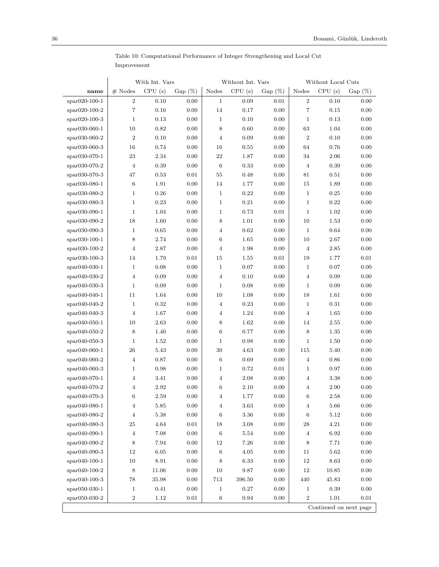| CPU(s)<br>Gap $(\%)$<br>CPU(s)<br>Gap $(\%)$<br>CPU(s)<br>$#$ Nodes<br>Nodes<br>Nodes<br>$Gap(\%)$<br>name<br>$\boldsymbol{2}$<br>$\,2$<br>spar020-100-1<br>0.10<br>0.00<br>0.09<br>0.10<br>0.00<br>$\mathbf{1}$<br>0.01<br>$\overline{7}$<br>7<br>0.00<br>$14\,$<br>0.00<br>$spr020-100-2$<br>0.16<br>0.17<br>0.15<br>0.00<br>0.00<br>0.00<br>0.00<br>$*$ par020-100-3<br>$\mathbf 1$<br>0.13<br>$\mathbf{1}$<br>0.10<br>$\mathbf{1}$<br>0.13<br>10<br>0.82<br>0.00<br>8<br>0.60<br>0.00<br>63<br>0.00<br>$spr030-060-1$<br>1.04<br>$\overline{2}$<br>0.00<br>0.09<br>0.00<br>$\sqrt{2}$<br>$spr030-060-2$<br>0.10<br>$\overline{4}$<br>0.10<br>0.00<br>16<br>0.74<br>0.00<br>16<br>64<br>$spr030-060-3$<br>0.55<br>0.00<br>0.76<br>0.00<br>23<br>$22\,$<br>spar030-070-1<br>2.34<br>0.00<br>1.87<br>0.00<br>34<br>2.06<br>0.00<br>0.39<br>0.00<br>0.33<br>spar030-070-2<br>4<br>6<br>0.00<br>$\overline{4}$<br>0.39<br>0.00<br>0.01<br>$55\,$<br>spar030-070-3<br>47<br>0.53<br>0.48<br>0.00<br>81<br>0.51<br>0.00<br>6<br>spar030-080-1<br>1.91<br>0.00<br>14<br>1.77<br>0.00<br>15<br>1.89<br>0.00<br>$\rm 0.26$<br>0.00<br>0.00<br>spar030-080-2<br>$\mathbf 1$<br>$\mathbf{1}$<br>0.22<br>0.00<br>$\mathbf{1}$<br>0.25<br>$\mathbf{1}$<br>spar030-080-3<br>0.23<br>0.00<br>$\mathbf{1}$<br>0.21<br>0.00<br>$\mathbf{1}$<br>0.22<br>0.00<br>spar030-090-1<br>$\mathbf 1$<br>1.04<br>0.00<br>$\mathbf{1}$<br>0.73<br>0.01<br>$\mathbf{1}$<br>1.02<br>0.00<br>18<br>1.60<br>8<br>0.00<br>spar030-090-2<br>0.00<br>1.01<br>10<br>1.53<br>0.00<br>0.62<br>0.00<br>spar030-090-3<br>1<br>0.65<br>0.00<br>$\overline{4}$<br>$\mathbf{1}$<br>0.64<br>0.00<br>8<br>2.74<br>0.00<br>$\,6$<br>1.65<br>0.00<br>$spr030-100-1$<br>0.00<br>10<br>2.67<br>$\overline{4}$<br>0.00<br>$spr030-100-2$<br>2.87<br>$\overline{4}$<br>1.98<br>0.00<br>$\overline{4}$<br>2.85<br>0.00<br>0.01<br>$0.01\,$<br>$spr030-100-3$<br>14<br>1.79<br>15<br>1.55<br>0.01<br>19<br>1.77<br>$\mathbf{1}$<br>0.00<br>0.00<br>$spr040-030-1$<br>0.08<br>$\mathbf{1}$<br>0.07<br>$\mathbf{1}$<br>0.07<br>0.00<br>$spr040-030-2$<br>4<br>0.09<br>0.00<br>$\overline{4}$<br>0.10<br>0.00<br>$\overline{4}$<br>0.09<br>0.00<br>0.09<br>0.00<br>0.08<br>0.00<br>0.00<br>$spr040-030-3$<br>$\mathbf 1$<br>$\mathbf{1}$<br>$\mathbf{1}$<br>0.09<br>18<br>spar040-040-1<br>11<br>1.64<br>0.00<br>$10\,$<br>1.08<br>0.00<br>1.61<br>0.00<br>$spr040-040-2$<br>1<br>0.32<br>0.00<br>$\overline{4}$<br>0.23<br>0.00<br>$\mathbf{1}$<br>0.31<br>0.00<br>$\overline{4}$<br>0.00<br>0.00<br>$spr040-040-3$<br>1.67<br>$\overline{4}$<br>1.24<br>0.00<br>$\overline{4}$<br>1.65<br>8<br>$spr040-050-1$<br>10<br>2.63<br>0.00<br>1.62<br>0.00<br>14<br>2.55<br>0.00<br>8<br>$\,6$<br>8<br>$spr040-050-2$<br>1.40<br>0.00<br>0.77<br>0.00<br>1.35<br>0.00<br>$spr040-050-3$<br>$\mathbf 1$<br>1.52<br>0.00<br>$\mathbf{1}$<br>0.98<br>0.00<br>$\mathbf{1}$<br>1.50<br>0.00<br>26<br>0.00<br>30<br>4.63<br>$spr040-060-1$<br>5.43<br>0.00<br>115<br>5.40<br>0.00<br>0.87<br>0.00<br>$\,6\,$<br>$spr040-060-2$<br>4<br>0.69<br>0.00<br>$\overline{4}$<br>0.86<br>0.00<br>0.00<br>0.00<br>$spr040-060-3$<br>$\mathbf 1$<br>0.98<br>$\mathbf{1}$<br>0.72<br>0.01<br>$\mathbf{1}$<br>0.97<br>$\overline{4}$<br>3.41<br>0.00<br>2.08<br>0.00<br>0.00<br>spar040-070-1<br>$\overline{4}$<br>$\overline{4}$<br>3.38<br>2.92<br>$6\phantom{.}6$<br>$spr040-070-2$<br>4<br>0.00<br>2.10<br>0.00<br>$\overline{4}$<br>2.90<br>0.00<br>$\,6$<br>$0.00\,$<br>1.77<br>$0.00\,$<br>$\,$ 6 $\,$<br>$\phantom{-}2.58$<br>spar040-070-3<br>$2.59\,$<br>$0.00\,$<br>4<br>$0.00\,$<br>spar040-080-1<br>$\overline{\mathbf{4}}$<br>5.85<br>0.00<br>$\overline{4}$<br>3.63<br>0.00<br>$\overline{4}$<br>5.66<br>spar040-080-2<br>$5.38\,$<br>0.00<br>$3.36\,$<br>0.00<br>0.00<br>$\overline{\mathbf{4}}$<br>6<br>6<br>5.12<br>$25\,$<br>$4.64\,$<br>$0.01\,$<br>$18\,$<br>$3.08\,$<br>0.00<br>$4.21\,$<br>$0.00\,$<br>spar040-080-3<br>28<br>spar040-090-1<br>$\overline{4}$<br>7.08<br>0.00<br>$\,6\,$<br>$5.54\,$<br>$0.00\,$<br>$6.92\,$<br>0.00<br>$\overline{4}$<br>8<br>7.94<br>0.00<br>$12\,$<br>7.26<br>0.00<br>8<br>0.00<br>$spr040-090-2$<br>7.71<br>$12\,$<br>$6.05\,$<br>0.00<br>$\,6$<br>0.00<br>0.00<br>$spr040-090-3$<br>4.05<br>11<br>5.62<br>$10\,$<br>$8.91\,$<br>$6.33\,$<br>$0.00\,$<br>$0.00\,$<br>spar040-100-1<br>0.00<br>8<br>12<br>8.63<br>spar040-100-2<br>8<br>$11.06\,$<br>$0.00\,$<br>$10\,$<br>$9.87\,$<br>0.00<br>$12\,$<br>$10.85\,$<br>$0.00\,$<br>$35.98\,$<br>$0.00\,$<br>$713\,$<br>396.50<br>0.00<br>440<br>45.83<br>$0.00\,$<br>$spr040-100-3$<br>78<br>spar050-030-1<br>$0.00\,$<br>0.27<br>$0.00\,$<br>$0.00\,$<br>$\mathbf 1$<br>0.41<br>$\mathbf{1}$<br>$\mathbf{1}$<br>0.39<br>$\boldsymbol{2}$<br>$0.01\,$<br>$\,2$<br>$0.01\,$<br>$spr050-030-2$<br>1.12<br>$\,6\,$<br>0.94<br>0.00<br>1.01<br>Continued on next page |  | With Int. Vars |  | Without Int. Vars |  | Without Local Cuts |  |
|------------------------------------------------------------------------------------------------------------------------------------------------------------------------------------------------------------------------------------------------------------------------------------------------------------------------------------------------------------------------------------------------------------------------------------------------------------------------------------------------------------------------------------------------------------------------------------------------------------------------------------------------------------------------------------------------------------------------------------------------------------------------------------------------------------------------------------------------------------------------------------------------------------------------------------------------------------------------------------------------------------------------------------------------------------------------------------------------------------------------------------------------------------------------------------------------------------------------------------------------------------------------------------------------------------------------------------------------------------------------------------------------------------------------------------------------------------------------------------------------------------------------------------------------------------------------------------------------------------------------------------------------------------------------------------------------------------------------------------------------------------------------------------------------------------------------------------------------------------------------------------------------------------------------------------------------------------------------------------------------------------------------------------------------------------------------------------------------------------------------------------------------------------------------------------------------------------------------------------------------------------------------------------------------------------------------------------------------------------------------------------------------------------------------------------------------------------------------------------------------------------------------------------------------------------------------------------------------------------------------------------------------------------------------------------------------------------------------------------------------------------------------------------------------------------------------------------------------------------------------------------------------------------------------------------------------------------------------------------------------------------------------------------------------------------------------------------------------------------------------------------------------------------------------------------------------------------------------------------------------------------------------------------------------------------------------------------------------------------------------------------------------------------------------------------------------------------------------------------------------------------------------------------------------------------------------------------------------------------------------------------------------------------------------------------------------------------------------------------------------------------------------------------------------------------------------------------------------------------------------------------------------------------------------------------------------------------------------------------------------------------------------------------------------------------------------------------------------------------------------------------------------------------------------------------------------------------------------------------------------------------------------------------------------------------------------------------------------------------------------------------------------------------------------------------------------------------------------------------------------------------------------------------------------------------------------------------------------------------------------------------------------------------------------------------------------------------------------------------------------------------------------------------------------------------------------------------------------------------------------------------------------|--|----------------|--|-------------------|--|--------------------|--|
|                                                                                                                                                                                                                                                                                                                                                                                                                                                                                                                                                                                                                                                                                                                                                                                                                                                                                                                                                                                                                                                                                                                                                                                                                                                                                                                                                                                                                                                                                                                                                                                                                                                                                                                                                                                                                                                                                                                                                                                                                                                                                                                                                                                                                                                                                                                                                                                                                                                                                                                                                                                                                                                                                                                                                                                                                                                                                                                                                                                                                                                                                                                                                                                                                                                                                                                                                                                                                                                                                                                                                                                                                                                                                                                                                                                                                                                                                                                                                                                                                                                                                                                                                                                                                                                                                                                                                                                                                                                                                                                                                                                                                                                                                                                                                                                                                                                                                                |  |                |  |                   |  |                    |  |
|                                                                                                                                                                                                                                                                                                                                                                                                                                                                                                                                                                                                                                                                                                                                                                                                                                                                                                                                                                                                                                                                                                                                                                                                                                                                                                                                                                                                                                                                                                                                                                                                                                                                                                                                                                                                                                                                                                                                                                                                                                                                                                                                                                                                                                                                                                                                                                                                                                                                                                                                                                                                                                                                                                                                                                                                                                                                                                                                                                                                                                                                                                                                                                                                                                                                                                                                                                                                                                                                                                                                                                                                                                                                                                                                                                                                                                                                                                                                                                                                                                                                                                                                                                                                                                                                                                                                                                                                                                                                                                                                                                                                                                                                                                                                                                                                                                                                                                |  |                |  |                   |  |                    |  |
|                                                                                                                                                                                                                                                                                                                                                                                                                                                                                                                                                                                                                                                                                                                                                                                                                                                                                                                                                                                                                                                                                                                                                                                                                                                                                                                                                                                                                                                                                                                                                                                                                                                                                                                                                                                                                                                                                                                                                                                                                                                                                                                                                                                                                                                                                                                                                                                                                                                                                                                                                                                                                                                                                                                                                                                                                                                                                                                                                                                                                                                                                                                                                                                                                                                                                                                                                                                                                                                                                                                                                                                                                                                                                                                                                                                                                                                                                                                                                                                                                                                                                                                                                                                                                                                                                                                                                                                                                                                                                                                                                                                                                                                                                                                                                                                                                                                                                                |  |                |  |                   |  |                    |  |
|                                                                                                                                                                                                                                                                                                                                                                                                                                                                                                                                                                                                                                                                                                                                                                                                                                                                                                                                                                                                                                                                                                                                                                                                                                                                                                                                                                                                                                                                                                                                                                                                                                                                                                                                                                                                                                                                                                                                                                                                                                                                                                                                                                                                                                                                                                                                                                                                                                                                                                                                                                                                                                                                                                                                                                                                                                                                                                                                                                                                                                                                                                                                                                                                                                                                                                                                                                                                                                                                                                                                                                                                                                                                                                                                                                                                                                                                                                                                                                                                                                                                                                                                                                                                                                                                                                                                                                                                                                                                                                                                                                                                                                                                                                                                                                                                                                                                                                |  |                |  |                   |  |                    |  |
|                                                                                                                                                                                                                                                                                                                                                                                                                                                                                                                                                                                                                                                                                                                                                                                                                                                                                                                                                                                                                                                                                                                                                                                                                                                                                                                                                                                                                                                                                                                                                                                                                                                                                                                                                                                                                                                                                                                                                                                                                                                                                                                                                                                                                                                                                                                                                                                                                                                                                                                                                                                                                                                                                                                                                                                                                                                                                                                                                                                                                                                                                                                                                                                                                                                                                                                                                                                                                                                                                                                                                                                                                                                                                                                                                                                                                                                                                                                                                                                                                                                                                                                                                                                                                                                                                                                                                                                                                                                                                                                                                                                                                                                                                                                                                                                                                                                                                                |  |                |  |                   |  |                    |  |
|                                                                                                                                                                                                                                                                                                                                                                                                                                                                                                                                                                                                                                                                                                                                                                                                                                                                                                                                                                                                                                                                                                                                                                                                                                                                                                                                                                                                                                                                                                                                                                                                                                                                                                                                                                                                                                                                                                                                                                                                                                                                                                                                                                                                                                                                                                                                                                                                                                                                                                                                                                                                                                                                                                                                                                                                                                                                                                                                                                                                                                                                                                                                                                                                                                                                                                                                                                                                                                                                                                                                                                                                                                                                                                                                                                                                                                                                                                                                                                                                                                                                                                                                                                                                                                                                                                                                                                                                                                                                                                                                                                                                                                                                                                                                                                                                                                                                                                |  |                |  |                   |  |                    |  |
|                                                                                                                                                                                                                                                                                                                                                                                                                                                                                                                                                                                                                                                                                                                                                                                                                                                                                                                                                                                                                                                                                                                                                                                                                                                                                                                                                                                                                                                                                                                                                                                                                                                                                                                                                                                                                                                                                                                                                                                                                                                                                                                                                                                                                                                                                                                                                                                                                                                                                                                                                                                                                                                                                                                                                                                                                                                                                                                                                                                                                                                                                                                                                                                                                                                                                                                                                                                                                                                                                                                                                                                                                                                                                                                                                                                                                                                                                                                                                                                                                                                                                                                                                                                                                                                                                                                                                                                                                                                                                                                                                                                                                                                                                                                                                                                                                                                                                                |  |                |  |                   |  |                    |  |
|                                                                                                                                                                                                                                                                                                                                                                                                                                                                                                                                                                                                                                                                                                                                                                                                                                                                                                                                                                                                                                                                                                                                                                                                                                                                                                                                                                                                                                                                                                                                                                                                                                                                                                                                                                                                                                                                                                                                                                                                                                                                                                                                                                                                                                                                                                                                                                                                                                                                                                                                                                                                                                                                                                                                                                                                                                                                                                                                                                                                                                                                                                                                                                                                                                                                                                                                                                                                                                                                                                                                                                                                                                                                                                                                                                                                                                                                                                                                                                                                                                                                                                                                                                                                                                                                                                                                                                                                                                                                                                                                                                                                                                                                                                                                                                                                                                                                                                |  |                |  |                   |  |                    |  |
|                                                                                                                                                                                                                                                                                                                                                                                                                                                                                                                                                                                                                                                                                                                                                                                                                                                                                                                                                                                                                                                                                                                                                                                                                                                                                                                                                                                                                                                                                                                                                                                                                                                                                                                                                                                                                                                                                                                                                                                                                                                                                                                                                                                                                                                                                                                                                                                                                                                                                                                                                                                                                                                                                                                                                                                                                                                                                                                                                                                                                                                                                                                                                                                                                                                                                                                                                                                                                                                                                                                                                                                                                                                                                                                                                                                                                                                                                                                                                                                                                                                                                                                                                                                                                                                                                                                                                                                                                                                                                                                                                                                                                                                                                                                                                                                                                                                                                                |  |                |  |                   |  |                    |  |
|                                                                                                                                                                                                                                                                                                                                                                                                                                                                                                                                                                                                                                                                                                                                                                                                                                                                                                                                                                                                                                                                                                                                                                                                                                                                                                                                                                                                                                                                                                                                                                                                                                                                                                                                                                                                                                                                                                                                                                                                                                                                                                                                                                                                                                                                                                                                                                                                                                                                                                                                                                                                                                                                                                                                                                                                                                                                                                                                                                                                                                                                                                                                                                                                                                                                                                                                                                                                                                                                                                                                                                                                                                                                                                                                                                                                                                                                                                                                                                                                                                                                                                                                                                                                                                                                                                                                                                                                                                                                                                                                                                                                                                                                                                                                                                                                                                                                                                |  |                |  |                   |  |                    |  |
|                                                                                                                                                                                                                                                                                                                                                                                                                                                                                                                                                                                                                                                                                                                                                                                                                                                                                                                                                                                                                                                                                                                                                                                                                                                                                                                                                                                                                                                                                                                                                                                                                                                                                                                                                                                                                                                                                                                                                                                                                                                                                                                                                                                                                                                                                                                                                                                                                                                                                                                                                                                                                                                                                                                                                                                                                                                                                                                                                                                                                                                                                                                                                                                                                                                                                                                                                                                                                                                                                                                                                                                                                                                                                                                                                                                                                                                                                                                                                                                                                                                                                                                                                                                                                                                                                                                                                                                                                                                                                                                                                                                                                                                                                                                                                                                                                                                                                                |  |                |  |                   |  |                    |  |
|                                                                                                                                                                                                                                                                                                                                                                                                                                                                                                                                                                                                                                                                                                                                                                                                                                                                                                                                                                                                                                                                                                                                                                                                                                                                                                                                                                                                                                                                                                                                                                                                                                                                                                                                                                                                                                                                                                                                                                                                                                                                                                                                                                                                                                                                                                                                                                                                                                                                                                                                                                                                                                                                                                                                                                                                                                                                                                                                                                                                                                                                                                                                                                                                                                                                                                                                                                                                                                                                                                                                                                                                                                                                                                                                                                                                                                                                                                                                                                                                                                                                                                                                                                                                                                                                                                                                                                                                                                                                                                                                                                                                                                                                                                                                                                                                                                                                                                |  |                |  |                   |  |                    |  |
|                                                                                                                                                                                                                                                                                                                                                                                                                                                                                                                                                                                                                                                                                                                                                                                                                                                                                                                                                                                                                                                                                                                                                                                                                                                                                                                                                                                                                                                                                                                                                                                                                                                                                                                                                                                                                                                                                                                                                                                                                                                                                                                                                                                                                                                                                                                                                                                                                                                                                                                                                                                                                                                                                                                                                                                                                                                                                                                                                                                                                                                                                                                                                                                                                                                                                                                                                                                                                                                                                                                                                                                                                                                                                                                                                                                                                                                                                                                                                                                                                                                                                                                                                                                                                                                                                                                                                                                                                                                                                                                                                                                                                                                                                                                                                                                                                                                                                                |  |                |  |                   |  |                    |  |
|                                                                                                                                                                                                                                                                                                                                                                                                                                                                                                                                                                                                                                                                                                                                                                                                                                                                                                                                                                                                                                                                                                                                                                                                                                                                                                                                                                                                                                                                                                                                                                                                                                                                                                                                                                                                                                                                                                                                                                                                                                                                                                                                                                                                                                                                                                                                                                                                                                                                                                                                                                                                                                                                                                                                                                                                                                                                                                                                                                                                                                                                                                                                                                                                                                                                                                                                                                                                                                                                                                                                                                                                                                                                                                                                                                                                                                                                                                                                                                                                                                                                                                                                                                                                                                                                                                                                                                                                                                                                                                                                                                                                                                                                                                                                                                                                                                                                                                |  |                |  |                   |  |                    |  |
|                                                                                                                                                                                                                                                                                                                                                                                                                                                                                                                                                                                                                                                                                                                                                                                                                                                                                                                                                                                                                                                                                                                                                                                                                                                                                                                                                                                                                                                                                                                                                                                                                                                                                                                                                                                                                                                                                                                                                                                                                                                                                                                                                                                                                                                                                                                                                                                                                                                                                                                                                                                                                                                                                                                                                                                                                                                                                                                                                                                                                                                                                                                                                                                                                                                                                                                                                                                                                                                                                                                                                                                                                                                                                                                                                                                                                                                                                                                                                                                                                                                                                                                                                                                                                                                                                                                                                                                                                                                                                                                                                                                                                                                                                                                                                                                                                                                                                                |  |                |  |                   |  |                    |  |
|                                                                                                                                                                                                                                                                                                                                                                                                                                                                                                                                                                                                                                                                                                                                                                                                                                                                                                                                                                                                                                                                                                                                                                                                                                                                                                                                                                                                                                                                                                                                                                                                                                                                                                                                                                                                                                                                                                                                                                                                                                                                                                                                                                                                                                                                                                                                                                                                                                                                                                                                                                                                                                                                                                                                                                                                                                                                                                                                                                                                                                                                                                                                                                                                                                                                                                                                                                                                                                                                                                                                                                                                                                                                                                                                                                                                                                                                                                                                                                                                                                                                                                                                                                                                                                                                                                                                                                                                                                                                                                                                                                                                                                                                                                                                                                                                                                                                                                |  |                |  |                   |  |                    |  |
|                                                                                                                                                                                                                                                                                                                                                                                                                                                                                                                                                                                                                                                                                                                                                                                                                                                                                                                                                                                                                                                                                                                                                                                                                                                                                                                                                                                                                                                                                                                                                                                                                                                                                                                                                                                                                                                                                                                                                                                                                                                                                                                                                                                                                                                                                                                                                                                                                                                                                                                                                                                                                                                                                                                                                                                                                                                                                                                                                                                                                                                                                                                                                                                                                                                                                                                                                                                                                                                                                                                                                                                                                                                                                                                                                                                                                                                                                                                                                                                                                                                                                                                                                                                                                                                                                                                                                                                                                                                                                                                                                                                                                                                                                                                                                                                                                                                                                                |  |                |  |                   |  |                    |  |
|                                                                                                                                                                                                                                                                                                                                                                                                                                                                                                                                                                                                                                                                                                                                                                                                                                                                                                                                                                                                                                                                                                                                                                                                                                                                                                                                                                                                                                                                                                                                                                                                                                                                                                                                                                                                                                                                                                                                                                                                                                                                                                                                                                                                                                                                                                                                                                                                                                                                                                                                                                                                                                                                                                                                                                                                                                                                                                                                                                                                                                                                                                                                                                                                                                                                                                                                                                                                                                                                                                                                                                                                                                                                                                                                                                                                                                                                                                                                                                                                                                                                                                                                                                                                                                                                                                                                                                                                                                                                                                                                                                                                                                                                                                                                                                                                                                                                                                |  |                |  |                   |  |                    |  |
|                                                                                                                                                                                                                                                                                                                                                                                                                                                                                                                                                                                                                                                                                                                                                                                                                                                                                                                                                                                                                                                                                                                                                                                                                                                                                                                                                                                                                                                                                                                                                                                                                                                                                                                                                                                                                                                                                                                                                                                                                                                                                                                                                                                                                                                                                                                                                                                                                                                                                                                                                                                                                                                                                                                                                                                                                                                                                                                                                                                                                                                                                                                                                                                                                                                                                                                                                                                                                                                                                                                                                                                                                                                                                                                                                                                                                                                                                                                                                                                                                                                                                                                                                                                                                                                                                                                                                                                                                                                                                                                                                                                                                                                                                                                                                                                                                                                                                                |  |                |  |                   |  |                    |  |
|                                                                                                                                                                                                                                                                                                                                                                                                                                                                                                                                                                                                                                                                                                                                                                                                                                                                                                                                                                                                                                                                                                                                                                                                                                                                                                                                                                                                                                                                                                                                                                                                                                                                                                                                                                                                                                                                                                                                                                                                                                                                                                                                                                                                                                                                                                                                                                                                                                                                                                                                                                                                                                                                                                                                                                                                                                                                                                                                                                                                                                                                                                                                                                                                                                                                                                                                                                                                                                                                                                                                                                                                                                                                                                                                                                                                                                                                                                                                                                                                                                                                                                                                                                                                                                                                                                                                                                                                                                                                                                                                                                                                                                                                                                                                                                                                                                                                                                |  |                |  |                   |  |                    |  |
|                                                                                                                                                                                                                                                                                                                                                                                                                                                                                                                                                                                                                                                                                                                                                                                                                                                                                                                                                                                                                                                                                                                                                                                                                                                                                                                                                                                                                                                                                                                                                                                                                                                                                                                                                                                                                                                                                                                                                                                                                                                                                                                                                                                                                                                                                                                                                                                                                                                                                                                                                                                                                                                                                                                                                                                                                                                                                                                                                                                                                                                                                                                                                                                                                                                                                                                                                                                                                                                                                                                                                                                                                                                                                                                                                                                                                                                                                                                                                                                                                                                                                                                                                                                                                                                                                                                                                                                                                                                                                                                                                                                                                                                                                                                                                                                                                                                                                                |  |                |  |                   |  |                    |  |
|                                                                                                                                                                                                                                                                                                                                                                                                                                                                                                                                                                                                                                                                                                                                                                                                                                                                                                                                                                                                                                                                                                                                                                                                                                                                                                                                                                                                                                                                                                                                                                                                                                                                                                                                                                                                                                                                                                                                                                                                                                                                                                                                                                                                                                                                                                                                                                                                                                                                                                                                                                                                                                                                                                                                                                                                                                                                                                                                                                                                                                                                                                                                                                                                                                                                                                                                                                                                                                                                                                                                                                                                                                                                                                                                                                                                                                                                                                                                                                                                                                                                                                                                                                                                                                                                                                                                                                                                                                                                                                                                                                                                                                                                                                                                                                                                                                                                                                |  |                |  |                   |  |                    |  |
|                                                                                                                                                                                                                                                                                                                                                                                                                                                                                                                                                                                                                                                                                                                                                                                                                                                                                                                                                                                                                                                                                                                                                                                                                                                                                                                                                                                                                                                                                                                                                                                                                                                                                                                                                                                                                                                                                                                                                                                                                                                                                                                                                                                                                                                                                                                                                                                                                                                                                                                                                                                                                                                                                                                                                                                                                                                                                                                                                                                                                                                                                                                                                                                                                                                                                                                                                                                                                                                                                                                                                                                                                                                                                                                                                                                                                                                                                                                                                                                                                                                                                                                                                                                                                                                                                                                                                                                                                                                                                                                                                                                                                                                                                                                                                                                                                                                                                                |  |                |  |                   |  |                    |  |
|                                                                                                                                                                                                                                                                                                                                                                                                                                                                                                                                                                                                                                                                                                                                                                                                                                                                                                                                                                                                                                                                                                                                                                                                                                                                                                                                                                                                                                                                                                                                                                                                                                                                                                                                                                                                                                                                                                                                                                                                                                                                                                                                                                                                                                                                                                                                                                                                                                                                                                                                                                                                                                                                                                                                                                                                                                                                                                                                                                                                                                                                                                                                                                                                                                                                                                                                                                                                                                                                                                                                                                                                                                                                                                                                                                                                                                                                                                                                                                                                                                                                                                                                                                                                                                                                                                                                                                                                                                                                                                                                                                                                                                                                                                                                                                                                                                                                                                |  |                |  |                   |  |                    |  |
|                                                                                                                                                                                                                                                                                                                                                                                                                                                                                                                                                                                                                                                                                                                                                                                                                                                                                                                                                                                                                                                                                                                                                                                                                                                                                                                                                                                                                                                                                                                                                                                                                                                                                                                                                                                                                                                                                                                                                                                                                                                                                                                                                                                                                                                                                                                                                                                                                                                                                                                                                                                                                                                                                                                                                                                                                                                                                                                                                                                                                                                                                                                                                                                                                                                                                                                                                                                                                                                                                                                                                                                                                                                                                                                                                                                                                                                                                                                                                                                                                                                                                                                                                                                                                                                                                                                                                                                                                                                                                                                                                                                                                                                                                                                                                                                                                                                                                                |  |                |  |                   |  |                    |  |
|                                                                                                                                                                                                                                                                                                                                                                                                                                                                                                                                                                                                                                                                                                                                                                                                                                                                                                                                                                                                                                                                                                                                                                                                                                                                                                                                                                                                                                                                                                                                                                                                                                                                                                                                                                                                                                                                                                                                                                                                                                                                                                                                                                                                                                                                                                                                                                                                                                                                                                                                                                                                                                                                                                                                                                                                                                                                                                                                                                                                                                                                                                                                                                                                                                                                                                                                                                                                                                                                                                                                                                                                                                                                                                                                                                                                                                                                                                                                                                                                                                                                                                                                                                                                                                                                                                                                                                                                                                                                                                                                                                                                                                                                                                                                                                                                                                                                                                |  |                |  |                   |  |                    |  |
|                                                                                                                                                                                                                                                                                                                                                                                                                                                                                                                                                                                                                                                                                                                                                                                                                                                                                                                                                                                                                                                                                                                                                                                                                                                                                                                                                                                                                                                                                                                                                                                                                                                                                                                                                                                                                                                                                                                                                                                                                                                                                                                                                                                                                                                                                                                                                                                                                                                                                                                                                                                                                                                                                                                                                                                                                                                                                                                                                                                                                                                                                                                                                                                                                                                                                                                                                                                                                                                                                                                                                                                                                                                                                                                                                                                                                                                                                                                                                                                                                                                                                                                                                                                                                                                                                                                                                                                                                                                                                                                                                                                                                                                                                                                                                                                                                                                                                                |  |                |  |                   |  |                    |  |
|                                                                                                                                                                                                                                                                                                                                                                                                                                                                                                                                                                                                                                                                                                                                                                                                                                                                                                                                                                                                                                                                                                                                                                                                                                                                                                                                                                                                                                                                                                                                                                                                                                                                                                                                                                                                                                                                                                                                                                                                                                                                                                                                                                                                                                                                                                                                                                                                                                                                                                                                                                                                                                                                                                                                                                                                                                                                                                                                                                                                                                                                                                                                                                                                                                                                                                                                                                                                                                                                                                                                                                                                                                                                                                                                                                                                                                                                                                                                                                                                                                                                                                                                                                                                                                                                                                                                                                                                                                                                                                                                                                                                                                                                                                                                                                                                                                                                                                |  |                |  |                   |  |                    |  |
|                                                                                                                                                                                                                                                                                                                                                                                                                                                                                                                                                                                                                                                                                                                                                                                                                                                                                                                                                                                                                                                                                                                                                                                                                                                                                                                                                                                                                                                                                                                                                                                                                                                                                                                                                                                                                                                                                                                                                                                                                                                                                                                                                                                                                                                                                                                                                                                                                                                                                                                                                                                                                                                                                                                                                                                                                                                                                                                                                                                                                                                                                                                                                                                                                                                                                                                                                                                                                                                                                                                                                                                                                                                                                                                                                                                                                                                                                                                                                                                                                                                                                                                                                                                                                                                                                                                                                                                                                                                                                                                                                                                                                                                                                                                                                                                                                                                                                                |  |                |  |                   |  |                    |  |
|                                                                                                                                                                                                                                                                                                                                                                                                                                                                                                                                                                                                                                                                                                                                                                                                                                                                                                                                                                                                                                                                                                                                                                                                                                                                                                                                                                                                                                                                                                                                                                                                                                                                                                                                                                                                                                                                                                                                                                                                                                                                                                                                                                                                                                                                                                                                                                                                                                                                                                                                                                                                                                                                                                                                                                                                                                                                                                                                                                                                                                                                                                                                                                                                                                                                                                                                                                                                                                                                                                                                                                                                                                                                                                                                                                                                                                                                                                                                                                                                                                                                                                                                                                                                                                                                                                                                                                                                                                                                                                                                                                                                                                                                                                                                                                                                                                                                                                |  |                |  |                   |  |                    |  |
|                                                                                                                                                                                                                                                                                                                                                                                                                                                                                                                                                                                                                                                                                                                                                                                                                                                                                                                                                                                                                                                                                                                                                                                                                                                                                                                                                                                                                                                                                                                                                                                                                                                                                                                                                                                                                                                                                                                                                                                                                                                                                                                                                                                                                                                                                                                                                                                                                                                                                                                                                                                                                                                                                                                                                                                                                                                                                                                                                                                                                                                                                                                                                                                                                                                                                                                                                                                                                                                                                                                                                                                                                                                                                                                                                                                                                                                                                                                                                                                                                                                                                                                                                                                                                                                                                                                                                                                                                                                                                                                                                                                                                                                                                                                                                                                                                                                                                                |  |                |  |                   |  |                    |  |
|                                                                                                                                                                                                                                                                                                                                                                                                                                                                                                                                                                                                                                                                                                                                                                                                                                                                                                                                                                                                                                                                                                                                                                                                                                                                                                                                                                                                                                                                                                                                                                                                                                                                                                                                                                                                                                                                                                                                                                                                                                                                                                                                                                                                                                                                                                                                                                                                                                                                                                                                                                                                                                                                                                                                                                                                                                                                                                                                                                                                                                                                                                                                                                                                                                                                                                                                                                                                                                                                                                                                                                                                                                                                                                                                                                                                                                                                                                                                                                                                                                                                                                                                                                                                                                                                                                                                                                                                                                                                                                                                                                                                                                                                                                                                                                                                                                                                                                |  |                |  |                   |  |                    |  |
|                                                                                                                                                                                                                                                                                                                                                                                                                                                                                                                                                                                                                                                                                                                                                                                                                                                                                                                                                                                                                                                                                                                                                                                                                                                                                                                                                                                                                                                                                                                                                                                                                                                                                                                                                                                                                                                                                                                                                                                                                                                                                                                                                                                                                                                                                                                                                                                                                                                                                                                                                                                                                                                                                                                                                                                                                                                                                                                                                                                                                                                                                                                                                                                                                                                                                                                                                                                                                                                                                                                                                                                                                                                                                                                                                                                                                                                                                                                                                                                                                                                                                                                                                                                                                                                                                                                                                                                                                                                                                                                                                                                                                                                                                                                                                                                                                                                                                                |  |                |  |                   |  |                    |  |
|                                                                                                                                                                                                                                                                                                                                                                                                                                                                                                                                                                                                                                                                                                                                                                                                                                                                                                                                                                                                                                                                                                                                                                                                                                                                                                                                                                                                                                                                                                                                                                                                                                                                                                                                                                                                                                                                                                                                                                                                                                                                                                                                                                                                                                                                                                                                                                                                                                                                                                                                                                                                                                                                                                                                                                                                                                                                                                                                                                                                                                                                                                                                                                                                                                                                                                                                                                                                                                                                                                                                                                                                                                                                                                                                                                                                                                                                                                                                                                                                                                                                                                                                                                                                                                                                                                                                                                                                                                                                                                                                                                                                                                                                                                                                                                                                                                                                                                |  |                |  |                   |  |                    |  |
|                                                                                                                                                                                                                                                                                                                                                                                                                                                                                                                                                                                                                                                                                                                                                                                                                                                                                                                                                                                                                                                                                                                                                                                                                                                                                                                                                                                                                                                                                                                                                                                                                                                                                                                                                                                                                                                                                                                                                                                                                                                                                                                                                                                                                                                                                                                                                                                                                                                                                                                                                                                                                                                                                                                                                                                                                                                                                                                                                                                                                                                                                                                                                                                                                                                                                                                                                                                                                                                                                                                                                                                                                                                                                                                                                                                                                                                                                                                                                                                                                                                                                                                                                                                                                                                                                                                                                                                                                                                                                                                                                                                                                                                                                                                                                                                                                                                                                                |  |                |  |                   |  |                    |  |
|                                                                                                                                                                                                                                                                                                                                                                                                                                                                                                                                                                                                                                                                                                                                                                                                                                                                                                                                                                                                                                                                                                                                                                                                                                                                                                                                                                                                                                                                                                                                                                                                                                                                                                                                                                                                                                                                                                                                                                                                                                                                                                                                                                                                                                                                                                                                                                                                                                                                                                                                                                                                                                                                                                                                                                                                                                                                                                                                                                                                                                                                                                                                                                                                                                                                                                                                                                                                                                                                                                                                                                                                                                                                                                                                                                                                                                                                                                                                                                                                                                                                                                                                                                                                                                                                                                                                                                                                                                                                                                                                                                                                                                                                                                                                                                                                                                                                                                |  |                |  |                   |  |                    |  |
|                                                                                                                                                                                                                                                                                                                                                                                                                                                                                                                                                                                                                                                                                                                                                                                                                                                                                                                                                                                                                                                                                                                                                                                                                                                                                                                                                                                                                                                                                                                                                                                                                                                                                                                                                                                                                                                                                                                                                                                                                                                                                                                                                                                                                                                                                                                                                                                                                                                                                                                                                                                                                                                                                                                                                                                                                                                                                                                                                                                                                                                                                                                                                                                                                                                                                                                                                                                                                                                                                                                                                                                                                                                                                                                                                                                                                                                                                                                                                                                                                                                                                                                                                                                                                                                                                                                                                                                                                                                                                                                                                                                                                                                                                                                                                                                                                                                                                                |  |                |  |                   |  |                    |  |
|                                                                                                                                                                                                                                                                                                                                                                                                                                                                                                                                                                                                                                                                                                                                                                                                                                                                                                                                                                                                                                                                                                                                                                                                                                                                                                                                                                                                                                                                                                                                                                                                                                                                                                                                                                                                                                                                                                                                                                                                                                                                                                                                                                                                                                                                                                                                                                                                                                                                                                                                                                                                                                                                                                                                                                                                                                                                                                                                                                                                                                                                                                                                                                                                                                                                                                                                                                                                                                                                                                                                                                                                                                                                                                                                                                                                                                                                                                                                                                                                                                                                                                                                                                                                                                                                                                                                                                                                                                                                                                                                                                                                                                                                                                                                                                                                                                                                                                |  |                |  |                   |  |                    |  |
|                                                                                                                                                                                                                                                                                                                                                                                                                                                                                                                                                                                                                                                                                                                                                                                                                                                                                                                                                                                                                                                                                                                                                                                                                                                                                                                                                                                                                                                                                                                                                                                                                                                                                                                                                                                                                                                                                                                                                                                                                                                                                                                                                                                                                                                                                                                                                                                                                                                                                                                                                                                                                                                                                                                                                                                                                                                                                                                                                                                                                                                                                                                                                                                                                                                                                                                                                                                                                                                                                                                                                                                                                                                                                                                                                                                                                                                                                                                                                                                                                                                                                                                                                                                                                                                                                                                                                                                                                                                                                                                                                                                                                                                                                                                                                                                                                                                                                                |  |                |  |                   |  |                    |  |
|                                                                                                                                                                                                                                                                                                                                                                                                                                                                                                                                                                                                                                                                                                                                                                                                                                                                                                                                                                                                                                                                                                                                                                                                                                                                                                                                                                                                                                                                                                                                                                                                                                                                                                                                                                                                                                                                                                                                                                                                                                                                                                                                                                                                                                                                                                                                                                                                                                                                                                                                                                                                                                                                                                                                                                                                                                                                                                                                                                                                                                                                                                                                                                                                                                                                                                                                                                                                                                                                                                                                                                                                                                                                                                                                                                                                                                                                                                                                                                                                                                                                                                                                                                                                                                                                                                                                                                                                                                                                                                                                                                                                                                                                                                                                                                                                                                                                                                |  |                |  |                   |  |                    |  |
|                                                                                                                                                                                                                                                                                                                                                                                                                                                                                                                                                                                                                                                                                                                                                                                                                                                                                                                                                                                                                                                                                                                                                                                                                                                                                                                                                                                                                                                                                                                                                                                                                                                                                                                                                                                                                                                                                                                                                                                                                                                                                                                                                                                                                                                                                                                                                                                                                                                                                                                                                                                                                                                                                                                                                                                                                                                                                                                                                                                                                                                                                                                                                                                                                                                                                                                                                                                                                                                                                                                                                                                                                                                                                                                                                                                                                                                                                                                                                                                                                                                                                                                                                                                                                                                                                                                                                                                                                                                                                                                                                                                                                                                                                                                                                                                                                                                                                                |  |                |  |                   |  |                    |  |
|                                                                                                                                                                                                                                                                                                                                                                                                                                                                                                                                                                                                                                                                                                                                                                                                                                                                                                                                                                                                                                                                                                                                                                                                                                                                                                                                                                                                                                                                                                                                                                                                                                                                                                                                                                                                                                                                                                                                                                                                                                                                                                                                                                                                                                                                                                                                                                                                                                                                                                                                                                                                                                                                                                                                                                                                                                                                                                                                                                                                                                                                                                                                                                                                                                                                                                                                                                                                                                                                                                                                                                                                                                                                                                                                                                                                                                                                                                                                                                                                                                                                                                                                                                                                                                                                                                                                                                                                                                                                                                                                                                                                                                                                                                                                                                                                                                                                                                |  |                |  |                   |  |                    |  |
|                                                                                                                                                                                                                                                                                                                                                                                                                                                                                                                                                                                                                                                                                                                                                                                                                                                                                                                                                                                                                                                                                                                                                                                                                                                                                                                                                                                                                                                                                                                                                                                                                                                                                                                                                                                                                                                                                                                                                                                                                                                                                                                                                                                                                                                                                                                                                                                                                                                                                                                                                                                                                                                                                                                                                                                                                                                                                                                                                                                                                                                                                                                                                                                                                                                                                                                                                                                                                                                                                                                                                                                                                                                                                                                                                                                                                                                                                                                                                                                                                                                                                                                                                                                                                                                                                                                                                                                                                                                                                                                                                                                                                                                                                                                                                                                                                                                                                                |  |                |  |                   |  |                    |  |
|                                                                                                                                                                                                                                                                                                                                                                                                                                                                                                                                                                                                                                                                                                                                                                                                                                                                                                                                                                                                                                                                                                                                                                                                                                                                                                                                                                                                                                                                                                                                                                                                                                                                                                                                                                                                                                                                                                                                                                                                                                                                                                                                                                                                                                                                                                                                                                                                                                                                                                                                                                                                                                                                                                                                                                                                                                                                                                                                                                                                                                                                                                                                                                                                                                                                                                                                                                                                                                                                                                                                                                                                                                                                                                                                                                                                                                                                                                                                                                                                                                                                                                                                                                                                                                                                                                                                                                                                                                                                                                                                                                                                                                                                                                                                                                                                                                                                                                |  |                |  |                   |  |                    |  |
|                                                                                                                                                                                                                                                                                                                                                                                                                                                                                                                                                                                                                                                                                                                                                                                                                                                                                                                                                                                                                                                                                                                                                                                                                                                                                                                                                                                                                                                                                                                                                                                                                                                                                                                                                                                                                                                                                                                                                                                                                                                                                                                                                                                                                                                                                                                                                                                                                                                                                                                                                                                                                                                                                                                                                                                                                                                                                                                                                                                                                                                                                                                                                                                                                                                                                                                                                                                                                                                                                                                                                                                                                                                                                                                                                                                                                                                                                                                                                                                                                                                                                                                                                                                                                                                                                                                                                                                                                                                                                                                                                                                                                                                                                                                                                                                                                                                                                                |  |                |  |                   |  |                    |  |

Table 10: Computational Performance of Integer Strengthening and Local Cut Improvement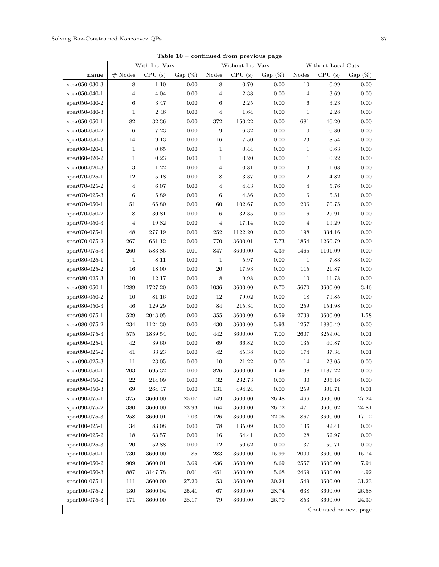| Table $10$ – continued from previous page                 |                |                |           |                  |                   |            |                |                        |           |
|-----------------------------------------------------------|----------------|----------------|-----------|------------------|-------------------|------------|----------------|------------------------|-----------|
|                                                           |                | With Int. Vars |           |                  | Without Int. Vars |            |                | Without Local Cuts     |           |
| name                                                      | $#$ Nodes      | CPU(s)         | $Gap(\%)$ | Nodes            | CPU(s)            | Gap $(\%)$ | Nodes          | CPU(s)                 | $Gap(\%)$ |
| spar050-030-3                                             | 8              | 1.10           | 0.00      | 8                | 0.70              | 0.00       | 10             | 0.99                   | 0.00      |
| $spr050-040-1$                                            | $\overline{4}$ | 4.04           | 0.00      | 4                | 2.38              | 0.00       | $\overline{4}$ | 3.69                   | 0.00      |
| $spr050-040-2$                                            | $\,6\,$        | 3.47           | 0.00      | $\,6$            | 2.25              | 0.00       | $\,6\,$        | 3.23                   | $0.00\,$  |
| $spr050-040-3$                                            | $\mathbf{1}$   | 2.46           | 0.00      | $\overline{4}$   | 1.64              | $0.00\,$   | 1              | 2.28                   | 0.00      |
| $spr050-050-1$                                            | 82             | 32.36          | 0.00      | 372              | 150.22            | $0.00\,$   | 681            | 46.20                  | 0.00      |
| $spr050-050-2$                                            | $\,6\,$        | 7.23           | 0.00      | $\boldsymbol{9}$ | 6.32              | $0.00\,$   | 10             | 6.80                   | 0.00      |
| $*$ par050-050-3                                          | 14             | 9.13           | 0.00      | 16               | 7.50              | $0.00\,$   | $\bf 23$       | 8.54                   | 0.00      |
| $spr060-020-1$                                            | $\mathbf{1}$   | 0.65           | 0.00      | $\mathbf{1}$     | 0.44              | $0.00\,$   | $\mathbf{1}$   | 0.63                   | 0.00      |
| $spr060-020-2$                                            | $1\,$          | 0.23           | 0.00      | $\mathbf{1}$     | 0.20              | 0.00       | $\mathbf{1}$   | 0.22                   | 0.00      |
| $spr060-020-3$                                            | $\sqrt{3}$     | 1.22           | 0.00      | 4                | 0.81              | $0.00\,$   | $\sqrt{3}$     | 1.08                   | 0.00      |
| $spr070-025-1$                                            | $12\,$         | 5.18           | 0.00      | 8                | 3.37              | $0.00\,$   | 12             | 4.82                   | 0.00      |
| $spr070-025-2$                                            | $\overline{4}$ | 6.07           | 0.00      | 4                | 4.43              | $0.00\,$   | $\overline{4}$ | 5.76                   | 0.00      |
| $spr070-025-3$                                            | $\,6\,$        | 5.89           | 0.00      | $6\phantom{1}6$  | 4.56              | 0.00       | $\,6\,$        | 5.51                   | 0.00      |
| $spr070-050-1$                                            | 51             | 65.80          | 0.00      | 60               | 102.67            | $0.00\,$   | $\,206$        | 70.75                  | 0.00      |
| $spr070-050-2$                                            | 8              | 30.81          | 0.00      | $\,6\,$          | 32.35             | 0.00       | 16             | 29.91                  | 0.00      |
| $*$ spar070-050-3                                         | $\overline{4}$ | 19.82          | 0.00      | $\overline{4}$   | 17.14             | 0.00       | $\overline{4}$ | 19.29                  | 0.00      |
| $*$ par070-075-1                                          | 48             | 277.19         | 0.00      | 252              | 1122.20           | 0.00       | 198            | 334.16                 | 0.00      |
| $*$ par070-075-2                                          | 267            | 651.12         | 0.00      | 770              | 3600.01           | 7.73       | 1854           | 1260.79                | 0.00      |
| $spr070-075-3$                                            | 260            | 583.86         | 0.01      | 847              | 3600.00           | 4.39       | 1465           | 1101.09                | 0.00      |
| $spr080-025-1$                                            | $\mathbf{1}$   | 8.11           | 0.00      | $\mathbf{1}$     | 5.97              | 0.00       | $\mathbf{1}$   | 7.83                   | 0.00      |
| $spr080-025-2$                                            | 16             | 18.00          | 0.00      | $20\,$           | 17.93             | $0.00\,$   | 115            | 21.87                  | 0.00      |
| $span080-025-3$                                           | 10             | 12.17          | 0.00      | $8\,$            | 9.98              | 0.00       | 10             | 11.78                  | 0.00      |
| $spr080-050-1$                                            | 1289           | 1727.20        | 0.00      | 1036             | 3600.00           | 9.70       | 5670           | 3600.00                | 3.46      |
| $spr080-050-2$                                            | 10             | 81.16          | 0.00      | 12               | 79.02             | $0.00\,$   | 18             | 79.85                  | 0.00      |
| $spr080-050-3$                                            | 46             | 129.29         | 0.00      | 84               | 215.34            | 0.00       | 259            | 154.98                 | 0.00      |
| $spr080-075-1$                                            | 529            | 2043.05        | 0.00      | 355              | 3600.00           | 6.59       | 2739           | 3600.00                | 1.58      |
| $spr080-075-2$                                            | 234            | 1124.30        | 0.00      | 430              | 3600.00           | 5.93       | 1257           | 1886.49                | 0.00      |
| $spr080-075-3$                                            | 575            | 1839.54        | 0.01      | 442              | 3600.00           | 7.00       | 2607           | 3259.04                | $0.01\,$  |
| $span090-025-1$                                           | 42             | 39.60          | 0.00      | 69               | 66.82             | 0.00       | 135            | 40.87                  | 0.00      |
| $span090-025-2$                                           | 41             | 33.23          | 0.00      | 42               | 45.38             | 0.00       | 174            | 37.34                  | 0.01      |
| $span090-025-3$                                           | 11             | 23.05          | 0.00      | 10               | 21.22             | $0.00\,$   | 14             | 23.05                  | 0.00      |
|                                                           | 203            | 695.32         | 0.00      | 826              | 3600.00           | 1.49       | 1138           | 1187.22                | 0.00      |
| $span090-050-1$<br>$\mathrm{spar090\text{-}050\text{-}2}$ | $\bf{22}$      | 214.09         | 0.00      | 32               | 232.73            | $0.00\,$   | $30\,$         | 206.16                 | 0.00      |
|                                                           |                |                |           |                  |                   |            |                |                        |           |
| spar090-050-3                                             | 69             | 264.47         | 0.00      | 131              | 494.24            | $0.00\,$   | 259            | 301.71                 | $0.01\,$  |
| $span090-075-1$                                           | 375            | 3600.00        | 25.07     | 149              | 3600.00           | 26.48      | 1466           | 3600.00                | 27.24     |
| $span090-075-2$                                           | 380            | 3600.00        | 23.93     | 164              | 3600.00           | 26.72      | 1471           | 3600.02                | 24.81     |
| $span090-075-3$                                           | 258            | 3600.01        | 17.03     | 126              | 3600.00           | 22.06      | 867            | 3600.00                | 17.12     |
| spar100-025-1                                             | 34             | 83.08          | 0.00      | 78               | 135.09            | $0.00\,$   | 136            | 92.41                  | $0.00\,$  |
| $spr100-025-2$                                            | 18             | 63.57          | $0.00\,$  | 16               | 64.41             | 0.00       | 28             | 62.97                  | 0.00      |
| spar100-025-3                                             | $20\,$         | 52.88          | $0.00\,$  | 12               | 50.62             | 0.00       | 37             | 50.71                  | 0.00      |
| $spr100-050-1$                                            | 730            | 3600.00        | 11.85     | 283              | 3600.00           | 15.99      | 2000           | 3600.00                | 15.74     |
| $spr100-050-2$                                            | 909            | 3600.01        | 3.69      | 436              | 3600.00           | 8.69       | 2557           | 3600.00                | 7.94      |
| $spr100-050-3$                                            | 887            | 3147.78        | 0.01      | 451              | 3600.00           | 5.68       | 2469           | 3600.00                | 4.92      |
| spar100-075-1                                             | $111\,$        | 3600.00        | $27.20\,$ | $53\,$           | 3600.00           | $30.24\,$  | 549            | 3600.00                | $31.23\,$ |
| spar100-075-2                                             | 130            | 3600.04        | 25.41     | $67\,$           | 3600.00           | 28.74      | 638            | 3600.00                | 26.58     |
| spar100-075-3                                             | 171            | 3600.00        | 28.17     | 79               | 3600.00           | 26.70      | 853            | 3600.00                | 24.30     |
|                                                           |                |                |           |                  |                   |            |                | Continued on next page |           |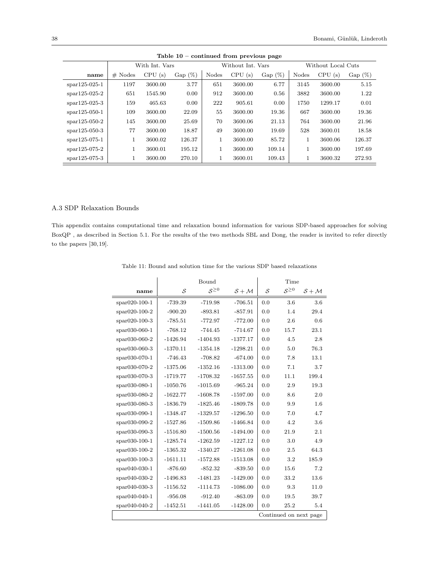|                | $\frac{1}{2}$  |         |            |       |                   |           |                    |         |           |  |
|----------------|----------------|---------|------------|-------|-------------------|-----------|--------------------|---------|-----------|--|
|                | With Int. Vars |         |            |       | Without Int. Vars |           | Without Local Cuts |         |           |  |
| name           | $#$ Nodes      | CPU(s)  | Gap $(\%)$ | Nodes | CPU(s)            | $Gap(\%)$ | Nodes              | CPU(s)  | $Gap(\%)$ |  |
| $spr125-025-1$ | 1197           | 3600.00 | 3.77       | 651   | 3600.00           | 6.77      | 3145               | 3600.00 | 5.15      |  |
| $spr125-025-2$ | 651            | 1545.90 | 0.00       | 912   | 3600.00           | 0.56      | 3882               | 3600.00 | 1.22      |  |
| $spr125-025-3$ | 159            | 465.63  | 0.00       | 222   | 905.61            | 0.00      | 1750               | 1299.17 | 0.01      |  |
| $spr125-050-1$ | 109            | 3600.00 | 22.09      | 55    | 3600.00           | 19.36     | 667                | 3600.00 | 19.36     |  |
| $spr125-050-2$ | 145            | 3600.00 | 25.69      | 70    | 3600.06           | 21.13     | 764                | 3600.00 | 21.96     |  |
| $spr125-050-3$ | 77             | 3600.00 | 18.87      | 49    | 3600.00           | 19.69     | 528                | 3600.01 | 18.58     |  |
| $spr125-075-1$ | 1              | 3600.02 | 126.37     |       | 3600.00           | 85.72     | 1                  | 3600.06 | 126.37    |  |
| $spr125-075-2$ |                | 3600.01 | 195.12     |       | 3600.00           | 109.14    | 1                  | 3600.00 | 197.69    |  |
| $spr125-075-3$ | 1              | 3600.00 | 270.10     |       | 3600.01           | 109.43    | 1                  | 3600.32 | 272.93    |  |

Table 10 – continued from previous page

#### A.3 SDP Relaxation Bounds

This appendix contains computational time and relaxation bound information for various SDP-based approaches for solving BoxQP , as described in Section 5.1. For the results of the two methods SBL and Dong, the reader is invited to refer directly to the papers  $[30,19].$ 

| Table 11: Bound and solution time for the various SDP based relaxations |  |  |  |
|-------------------------------------------------------------------------|--|--|--|
|-------------------------------------------------------------------------|--|--|--|

|                | Bound      |              |            | Time |              |                        |
|----------------|------------|--------------|------------|------|--------------|------------------------|
| name           | S          | $S^{\geq 0}$ | $S + M$    | S    | $S^{\geq 0}$ | $S + M$                |
| $spr020-100-1$ | $-739.39$  | $-719.98$    | $-706.51$  | 0.0  | 3.6          | 3.6                    |
| $spr020-100-2$ | $-900.20$  | $-893.81$    | $-857.91$  | 0.0  | 1.4          | 29.4                   |
| $spr020-100-3$ | $-785.51$  | $-772.97$    | $-772.00$  | 0.0  | 2.6          | 0.6                    |
| spar030-060-1  | $-768.12$  | $-744.45$    | $-714.67$  | 0.0  | 15.7         | 23.1                   |
| spar030-060-2  | $-1426.94$ | $-1404.93$   | $-1377.17$ | 0.0  | 4.5          | 2.8                    |
| spar030-060-3  | $-1370.11$ | $-1354.18$   | $-1298.21$ | 0.0  | 5.0          | 76.3                   |
| spar030-070-1  | $-746.43$  | $-708.82$    | $-674.00$  | 0.0  | 7.8          | 13.1                   |
| $spr030-070-2$ | $-1375.06$ | $-1352.16$   | $-1313.00$ | 0.0  | 7.1          | 3.7                    |
| spar030-070-3  | $-1719.77$ | $-1708.32$   | $-1657.55$ | 0.0  | 11.1         | 199.4                  |
| spar030-080-1  | $-1050.76$ | $-1015.69$   | $-965.24$  | 0.0  | 2.9          | 19.3                   |
| spar030-080-2  | $-1622.77$ | $-1608.78$   | $-1597.00$ | 0.0  | 8.6          | 2.0                    |
| spar030-080-3  | $-1836.79$ | $-1825.46$   | $-1809.78$ | 0.0  | 9.9          | 1.6                    |
| $spr030-090-1$ | $-1348.47$ | $-1329.57$   | $-1296.50$ | 0.0  | 7.0          | 4.7                    |
| $spr030-090-2$ | $-1527.86$ | $-1509.86$   | $-1466.84$ | 0.0  | 4.2          | 3.6                    |
| spar030-090-3  | $-1516.80$ | $-1500.56$   | $-1494.00$ | 0.0  | 21.9         | 2.1                    |
| $spr030-100-1$ | $-1285.74$ | $-1262.59$   | $-1227.12$ | 0.0  | 3.0          | 4.9                    |
| $spr030-100-2$ | $-1365.32$ | $-1340.27$   | $-1261.08$ | 0.0  | 2.5          | 64.3                   |
| $spr030-100-3$ | $-1611.11$ | $-1572.88$   | $-1513.08$ | 0.0  | 3.2          | 185.9                  |
| $spr040-030-1$ | $-876.60$  | $-852.32$    | $-839.50$  | 0.0  | 15.6         | 7.2                    |
| $spr040-030-2$ | $-1496.83$ | $-1481.23$   | $-1429.00$ | 0.0  | 33.2         | 13.6                   |
| $spr040-030-3$ | $-1156.52$ | $-1114.73$   | $-1086.00$ | 0.0  | 9.3          | 11.0                   |
| spar040-040-1  | $-956.08$  | $-912.40$    | $-863.09$  | 0.0  | 19.5         | 39.7                   |
| $spr040-040-2$ | $-1452.51$ | $-1441.05$   | $-1428.00$ | 0.0  | 25.2         | 5.4                    |
|                |            |              |            |      |              | Continued on next page |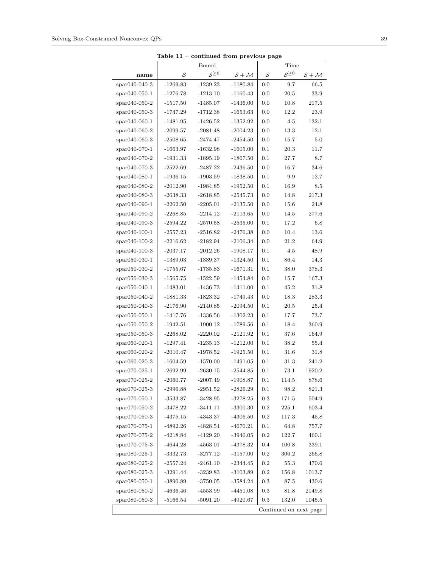|                |                                                           | Bound        |            |         | Time                   |         |
|----------------|-----------------------------------------------------------|--------------|------------|---------|------------------------|---------|
| name           | $\mathcal{S}% _{M_{1},M_{2}}^{\alpha,\beta}(\varepsilon)$ | $S^{\geq 0}$ | $S + M$    | S       | $S^{\geq 0}$           | $S + M$ |
| spar040-040-3  | $-1269.83$                                                | $-1239.23$   | $-1180.84$ | 0.0     | 9.7                    | 66.5    |
| spar040-050-1  | $-1276.78$                                                | $-1213.10$   | $-1160.43$ | 0.0     | 20.5                   | 33.9    |
| spar040-050-2  | $-1517.50$                                                | $-1485.07$   | $-1436.00$ | 0.0     | 10.8                   | 217.5   |
| $spr040-050-3$ | $-1747.29$                                                | $-1712.38$   | $-1653.63$ | 0.0     | 12.2                   | 23.9    |
| spar040-060-1  | $-1481.95$                                                | $-1426.52$   | $-1352.92$ | 0.0     | 4.5                    | 132.1   |
| spar040-060-2  | $-2099.57$                                                | $-2081.48$   | $-2004.23$ | 0.0     | 13.3                   | 12.1    |
| spar040-060-3  | $-2508.65$                                                | $-2474.47$   | $-2454.50$ | 0.0     | 15.7                   | 5.0     |
| spar040-070-1  | $-1663.97$                                                | $-1632.98$   | $-1605.00$ | 0.1     | 20.3                   | 11.7    |
| spar040-070-2  | $-1931.33$                                                | $-1895.19$   | $-1867.50$ | 0.1     | 27.7                   | 8.7     |
| spar040-070-3  | $-2522.69$                                                | $-2487.22$   | $-2436.50$ | 0.0     | 16.7                   | 34.6    |
| spar040-080-1  | $-1936.15$                                                | $-1903.59$   | $-1838.50$ | 0.1     | 9.9                    | 12.7    |
| $spr040-080-2$ | $-2012.90$                                                | $-1984.85$   | $-1952.50$ | 0.1     | 16.9                   | 8.5     |
| spar040-080-3  | $-2638.33$                                                | $-2618.85$   | $-2545.73$ | 0.0     | 14.8                   | 217.3   |
| $spr040-090-1$ | $-2262.50$                                                | $-2205.01$   | $-2135.50$ | 0.0     | 15.6                   | 24.8    |
| spar040-090-2  | $-2268.85$                                                | $-2214.12$   | $-2113.65$ | 0.0     | 14.5                   | 277.6   |
| spar040-090-3  | $-2594.22$                                                | $-2570.58$   | $-2535.00$ | 0.1     | 17.2                   | 6.8     |
| spar040-100-1  | $-2557.23$                                                | $-2516.82$   | $-2476.38$ | 0.0     | 10.4                   | 13.6    |
| spar040-100-2  | $-2216.62$                                                | $-2182.94$   | $-2106.34$ | 0.0     | 21.2                   | 64.9    |
| spar040-100-3  | $-2037.17$                                                | $-2012.26$   | $-1908.17$ | 0.1     | 4.5                    | 48.9    |
| spar050-030-1  | $-1389.03$                                                | $-1339.37$   | $-1324.50$ | 0.1     | 86.4                   | 14.3    |
| spar050-030-2  | $-1755.67$                                                | $-1735.83$   | $-1671.31$ | 0.1     | 38.0                   | 378.3   |
| spar050-030-3  | $-1565.75$                                                | $-1522.59$   | $-1454.84$ | 0.0     | 15.7                   | 167.3   |
| spar050-040-1  | $-1483.01$                                                | $-1436.73$   | $-1411.00$ | 0.1     | 45.2                   | 31.8    |
| $spr050-040-2$ | $-1881.33$                                                | $-1823.32$   | $-1749.43$ | 0.0     | 18.3                   | 283.3   |
| spar050-040-3  | $-2176.90$                                                | $-2140.85$   | $-2094.50$ | 0.1     | 20.5                   | 25.4    |
| $spr050-050-1$ | $-1417.76$                                                | $-1336.56$   | $-1302.23$ | 0.1     | 17.7                   | 73.7    |
| spar050-050-2  | $-1942.51$                                                | $-1900.12$   | $-1789.56$ | 0.1     | 18.4                   | 360.9   |
| spar050-050-3  | $-2268.02$                                                | $-2220.02$   | $-2121.92$ | 0.1     | 37.6                   | 164.9   |
| spar060-020-1  | $-1297.41$                                                | $-1235.13$   | $-1212.00$ | 0.1     | 38.2                   | 55.4    |
| spar060-020-2  | $-2010.47$                                                | $-1978.52$   | $-1925.50$ | 0.1     | 31.6                   | 31.8    |
| spar060-020-3  | $-1604.59$                                                | $-1570.00$   | $-1491.05$ | 0.1     | 31.3                   | 241.2   |
| spar070-025-1  | $-2692.99$                                                | $-2630.15$   | $-2544.85$ | 0.1     | 73.1                   | 1920.2  |
| spar070-025-2  | $-2060.77$                                                | $-2007.49$   | $-1908.87$ | 0.1     | 114.5                  | 878.6   |
| spar070-025-3  | $-2996.88$                                                | $-2951.52$   | $-2826.29$ | 0.1     | 98.2                   | 821.3   |
| spar070-050-1  | -3533.87                                                  | $-3428.95$   | $-3278.25$ | 0.3     | 171.5                  | 504.9   |
| $spr070-050-2$ | $-3478.22$                                                | $-3411.11$   | $-3300.30$ | 0.2     | 225.1                  | 603.4   |
| spar070-050-3  | $-4375.15$                                                | $-4343.37$   | $-4306.50$ | 0.2     | 117.3                  | 45.8    |
| spar070-075-1  | $-4892.26$                                                | $-4828.54$   | $-4670.21$ | 0.1     | 64.8                   | 757.7   |
| spar070-075-2  | $-4218.84$                                                | $-4129.20$   | $-3946.05$ | 0.2     | 122.7                  | 460.1   |
| spar070-075-3  | -4644.28                                                  | $-4563.01$   | $-4378.32$ | 0.4     | 100.8                  | 339.1   |
| spar080-025-1  | $-3332.73$                                                | $-3277.12$   | $-3157.00$ | $0.2\,$ | 306.2                  | 266.8   |
| spar080-025-2  | $-2557.24$                                                | $-2461.10$   | $-2344.45$ | 0.2     | 55.3                   | 470.6   |
| spar080-025-3  | $-3291.44$                                                | $-3239.83$   | $-3103.89$ | 0.2     | 156.8                  | 1013.7  |
| $spr080-050-1$ | $-3890.89$                                                | $-3750.05$   | $-3584.24$ | $0.3\,$ | 87.5                   | 430.6   |
| spar080-050-2  | $-4636.46$                                                | $-4553.99$   | $-4451.08$ | $0.3\,$ | 81.8                   | 2149.8  |
| spar080-050-3  | $-5166.54$                                                | $-5091.20$   | $-4920.67$ | 0.3     | 132.0                  | 1045.5  |
|                |                                                           |              |            |         | Continued on next page |         |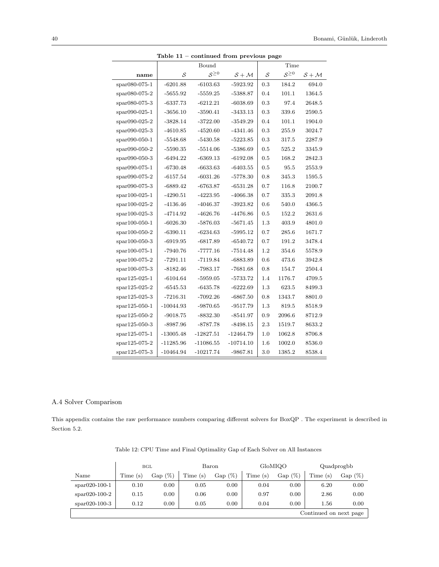|                 |                   | $\frac{1}{2}$<br>Bound<br>Time |             |                                                           |              |         |
|-----------------|-------------------|--------------------------------|-------------|-----------------------------------------------------------|--------------|---------|
| name            | $\mathcal{S}_{0}$ | $S^{\geq 0}$                   | $S + M$     | $\mathcal{S}% _{M_{1},M_{2}}^{\alpha,\beta}(\varepsilon)$ | $S^{\geq 0}$ | $S + M$ |
| spar080-075-1   | $-6201.88$        | $-6103.63$                     | $-5923.92$  | 0.3                                                       | 184.2        | 694.0   |
| spar080-075-2   | $-5655.92$        | $-5559.25$                     | $-5388.87$  | 0.4                                                       | 101.1        | 1364.5  |
| $span080-075-3$ | $-6337.73$        | $-6212.21$                     | $-6038.69$  | 0.3                                                       | 97.4         | 2648.5  |
| spar090-025-1   | $-3656.10$        | $-3590.41$                     | $-3433.13$  | 0.3                                                       | 339.6        | 2590.5  |
| $span090-025-2$ | $-3828.14$        | $-3722.00$                     | $-3549.29$  | 0.4                                                       | 101.1        | 1904.0  |
| $span090-025-3$ | $-4610.85$        | $-4520.60$                     | $-4341.46$  | 0.3                                                       | 255.9        | 3024.7  |
| spar090-050-1   | $-5548.68$        | $-5430.58$                     | $-5223.85$  | 0.3                                                       | 317.5        | 2287.9  |
| spar090-050-2   | $-5590.35$        | $-5514.06$                     | $-5386.69$  | 0.5                                                       | 525.2        | 3345.9  |
| spar090-050-3   | $-6494.22$        | $-6369.13$                     | $-6192.08$  | 0.5                                                       | 168.2        | 2842.3  |
| spar090-075-1   | $-6730.48$        | $-6633.63$                     | $-6403.55$  | 0.5                                                       | 95.5         | 2553.9  |
| spar090-075-2   | $-6157.54$        | $-6031.26$                     | $-5778.30$  | 0.8                                                       | 345.3        | 1595.5  |
| spar090-075-3   | $-6889.42$        | $-6763.87$                     | $-6531.28$  | 0.7                                                       | 116.8        | 2100.7  |
| spar100-025-1   | $-4290.51$        | $-4223.95$                     | $-4066.38$  | 0.7                                                       | 335.3        | 2091.8  |
| spar100-025-2   | $-4136.46$        | $-4046.37$                     | $-3923.82$  | 0.6                                                       | 540.0        | 4366.5  |
| spar100-025-3   | -4714.92          | $-4626.76$                     | $-4476.86$  | 0.5                                                       | 152.2        | 2631.6  |
| spar100-050-1   | $-6026.30$        | $-5876.03$                     | $-5671.45$  | 1.3                                                       | 403.9        | 4801.0  |
| spar100-050-2   | $-6390.11$        | $-6234.63$                     | $-5995.12$  | 0.7                                                       | 285.6        | 1671.7  |
| $spr100-050-3$  | $-6919.95$        | $-6817.89$                     | $-6540.72$  | 0.7                                                       | 191.2        | 3478.4  |
| spar100-075-1   | $-7940.76$        | $-7777.16$                     | $-7514.48$  | 1.2                                                       | 354.6        | 5578.9  |
| $spr100-075-2$  | $-7291.11$        | $-7119.84$                     | $-6883.89$  | 0.6                                                       | 473.6        | 3942.8  |
| spar100-075-3   | $-8182.46$        | $-7983.17$                     | $-7681.68$  | 0.8                                                       | 154.7        | 2504.4  |
| $spr125-025-1$  | $-6104.64$        | $-5959.05$                     | $-5733.72$  | 1.4                                                       | 1176.7       | 4709.5  |
| spar125-025-2   | $-6545.53$        | $-6435.78$                     | $-6222.69$  | 1.3                                                       | 623.5        | 8499.3  |
| $spr125-025-3$  | $-7216.31$        | $-7092.26$                     | $-6867.50$  | 0.8                                                       | 1343.7       | 8801.0  |
| $spr125-050-1$  | $-10044.93$       | $-9870.65$                     | $-9517.79$  | 1.3                                                       | 819.5        | 8518.9  |
| $spr125-050-2$  | $-9018.75$        | $-8832.30$                     | $-8541.97$  | 0.9                                                       | 2096.6       | 8712.9  |
| $spr125-050-3$  | $-8987.96$        | -8787.78                       | $-8498.15$  | 2.3                                                       | 1519.7       | 8633.2  |
| $spr125-075-1$  | $-13005.48$       | $-12827.51$                    | $-12464.79$ | 1.0                                                       | 1062.8       | 8706.8  |
| spar125-075-2   | $-11285.96$       | $-11086.55$                    | $-10714.10$ | 1.6                                                       | 1002.0       | 8536.0  |
| spar125-075-3   | $-10464.94$       | $-10217.74$                    | $-9867.81$  | 3.0                                                       | 1385.2       | 8538.4  |

Table 11 – continued from previous page

#### A.4 Solver Comparison

This appendix contains the raw performance numbers comparing different solvers for BoxQP . The experiment is described in Section 5.2.

|                        |         | BGL       |         | Baron     |         | GloMIQO   |         | Quadprogbb |
|------------------------|---------|-----------|---------|-----------|---------|-----------|---------|------------|
| Name                   | Time(s) | $Gap(\%)$ | Time(s) | $Gap(\%)$ | Time(s) | $Gap(\%)$ | Time(s) | $Gap(\%)$  |
| $*$ spar $020-100-1$   | 0.10    | 0.00      | 0.05    | 0.00      | 0.04    | 0.00      | 6.20    | 0.00       |
| $*$ par $020-100-2$    | 0.15    | 0.00      | 0.06    | 0.00      | 0.97    | 0.00      | 2.86    | 0.00       |
| $*$ par $020-100-3$    | 0.12    | 0.00      | 0.05    | 0.00      | 0.04    | 0.00      | 1.56    | 0.00       |
| Continued on next page |         |           |         |           |         |           |         |            |

Table 12: CPU Time and Final Optimality Gap of Each Solver on All Instances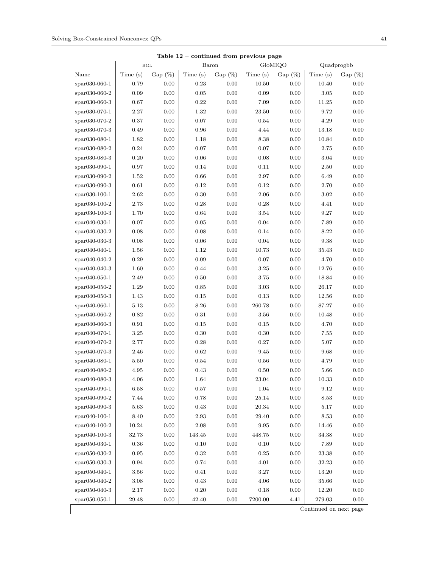|                        | $_{\rm BGL}$ |            | Baron      | continued from previous page |            | GloMIQO   | Quadprogbb |           |
|------------------------|--------------|------------|------------|------------------------------|------------|-----------|------------|-----------|
| Name                   | Time (s)     | Gap $(\%)$ | Time (s)   | Gap $(\%)$                   | Time $(s)$ | $Gap(\%)$ | Time(s)    | $Gap(\%)$ |
| spar030-060-1          | 0.79         | 0.00       | 0.23       | 0.00                         | 10.50      | 0.00      | 10.40      | 0.00      |
| $*$ par030-060-2       | $0.09\,$     | 0.00       | $\rm 0.05$ | 0.00                         | 0.09       | 0.00      | $3.05\,$   | 0.00      |
| $*$ par030-060-3       | 0.67         | $0.00\,$   | 0.22       | 0.00                         | 7.09       | 0.00      | 11.25      | 0.00      |
| $*$ par030-070-1       | 2.27         | 0.00       | 1.32       | 0.00                         | 23.50      | 0.00      | 9.72       | 0.00      |
| spar030-070-2          | 0.37         | 0.00       | 0.07       | 0.00                         | 0.54       | 0.00      | 4.29       | 0.00      |
| spar030-070-3          | 0.49         | 0.00       | 0.96       | 0.00                         | 4.44       | 0.00      | 13.18      | 0.00      |
| $spr030-080-1$         | $1.82\,$     | $0.00\,$   | 1.18       | 0.00                         | 8.38       | 0.00      | 10.84      | 0.00      |
| $*$ par030-080-2       | 0.24         | 0.00       | 0.07       | 0.00                         | 0.07       | 0.00      | 2.75       | 0.00      |
| $*$ par030-080-3       | 0.20         | $0.00\,$   | 0.06       | 0.00                         | 0.08       | 0.00      | $3.04\,$   | 0.00      |
| $*$ par030-090-1       | 0.97         | 0.00       | 0.14       | 0.00                         | 0.11       | 0.00      | 2.50       | 0.00      |
| $*$ par030-090-2       | 1.52         | 0.00       | 0.66       | 0.00                         | 2.97       | 0.00      | 6.49       | 0.00      |
| $*$ par030-090-3       | 0.61         | 0.00       | 0.12       | 0.00                         | 0.12       | 0.00      | 2.70       | 0.00      |
| $*$ par030-100-1       | 2.62         | 0.00       | 0.30       | 0.00                         | 2.06       | 0.00      | 3.02       | 0.00      |
| $*$ par030-100-2       | 2.73         | 0.00       | 0.28       | 0.00                         | 0.28       | 0.00      | 4.41       | 0.00      |
| $*$ par030-100-3       | 1.70         | 0.00       | 0.64       | 0.00                         | 3.54       | 0.00      | 9.27       | 0.00      |
| $*$ par040-030-1       | 0.07         | 0.00       | $\rm 0.05$ | 0.00                         | 0.04       | 0.00      | 7.89       | 0.00      |
| $spr040-030-2$         | 0.08         | $0.00\,$   | 0.08       | 0.00                         | 0.14       | 0.00      | 8.22       | 0.00      |
| $*$ par040-030-3       | 0.08         | 0.00       | $0.06\,$   | 0.00                         | 0.04       | 0.00      | 9.38       | 0.00      |
| $*$ par040-040-1       | 1.56         | 0.00       | 1.12       | 0.00                         | 10.73      | 0.00      | 35.43      | 0.00      |
| $*$ par040-040-2       | 0.29         | 0.00       | $0.09\,$   | 0.00                         | 0.07       | 0.00      | 4.70       | 0.00      |
| $*$ par040-040-3       | 1.60         | 0.00       | 0.44       | 0.00                         | $3.25\,$   | 0.00      | 12.76      | $0.00\,$  |
| $spr040-050-1$         | 2.49         | 0.00       | $0.50\,$   | 0.00                         | 3.75       | 0.00      | 18.84      | 0.00      |
| $*$ par040-050-2       | 1.29         | 0.00       | 0.85       | 0.00                         | 3.03       | 0.00      | 26.17      | 0.00      |
| $*$ par040-050-3       | 1.43         | 0.00       | 0.15       | 0.00                         | 0.13       | 0.00      | 12.56      | 0.00      |
| $spr040-060-1$         | 5.13         | 0.00       | 8.26       | 0.00                         | 260.78     | 0.00      | 87.27      | 0.00      |
| $*$ par040-060-2       | 0.82         | 0.00       | 0.31       | 0.00                         | 3.56       | 0.00      | 10.48      | 0.00      |
| $*$ par040-060-3       | 0.91         | $0.00\,$   | 0.15       | 0.00                         | $0.15\,$   | 0.00      | 4.70       | 0.00      |
| $*$ par040-070-1       | 3.25         | 0.00       | 0.30       | 0.00                         | 0.30       | 0.00      | 7.55       | 0.00      |
| $*$ par040-070-2       | 2.77         | 0.00       | 0.28       | 0.00                         | 0.27       | 0.00      | 5.07       | 0.00      |
| $*$ par040-070-3       | 2.46         | $0.00\,$   | 0.62       | 0.00                         | 9.45       | 0.00      | 9.68       | $0.00\,$  |
| $spr040-080-1$         | 5.50         | 0.00       | 0.54       | 0.00                         | 0.56       | 0.00      | 4.79       | 0.00      |
| spar040-080-2          | 4.95         | 0.00       | 0.43       | 0.00                         | 0.50       | 0.00      | 5.66       | 0.00      |
| spar040-080-3          | $4.06\,$     | 0.00       | 1.64       | $0.00\,$                     | 23.04      | $0.00\,$  | 10.33      | $0.00\,$  |
| $spr040-090-1$         | 6.58         | 0.00       | 0.57       | 0.00                         | 1.04       | 0.00      | 9.12       | $0.00\,$  |
| $spr040-090-2$         | 7.44         | $0.00\,$   | 0.78       | 0.00                         | 25.14      | 0.00      | $8.53\,$   | 0.00      |
| $spr040-090-3$         | $5.63\,$     | $0.00\,$   | 0.43       | 0.00                         | 20.34      | 0.00      | $5.17\,$   | 0.00      |
| $spr040-100-1$         | 8.40         | $0.00\,$   | 2.93       | 0.00                         | 29.40      | 0.00      | 8.53       | 0.00      |
| $*$ par040-100-2       | 10.24        | $0.00\,$   | 2.08       | 0.00                         | 9.95       | 0.00      | 14.46      | 0.00      |
| $*$ par040-100-3       | 32.73        | $0.00\,$   | 143.45     | 0.00                         | 448.75     | 0.00      | 34.38      | 0.00      |
| $*$ par050-030-1       | $0.36\,$     | $0.00\,$   | 0.10       | 0.00                         | 0.10       | 0.00      | 7.89       | 0.00      |
| $*$ par050-030-2       | $\rm 0.95$   | $0.00\,$   | $\rm 0.32$ | 0.00                         | $\rm 0.25$ | 0.00      | 23.38      | $0.00\,$  |
| $*$ par050-030-3       | 0.94         | $0.00\,$   | 0.74       | 0.00                         | 4.01       | 0.00      | 32.23      | 0.00      |
| $*$ par050-040-1       | 3.56         | 0.00       | 0.41       | 0.00                         | 3.27       | 0.00      | 13.20      | 0.00      |
| $*$ par050-040-2       | $3.08\,$     | 0.00       | 0.43       | 0.00                         | 4.06       | 0.00      | 35.66      | 0.00      |
| spar050-040-3          | 2.17         | 0.00       | 0.20       | 0.00                         | 0.18       | 0.00      | 12.20      | 0.00      |
| $spr050-050-1$         | 29.48        | 0.00       | 42.40      | 0.00                         | 7200.00    | 4.41      | 279.03     | 0.00      |
| Continued on next page |              |            |            |                              |            |           |            |           |

#### Table 12 – continued from previous page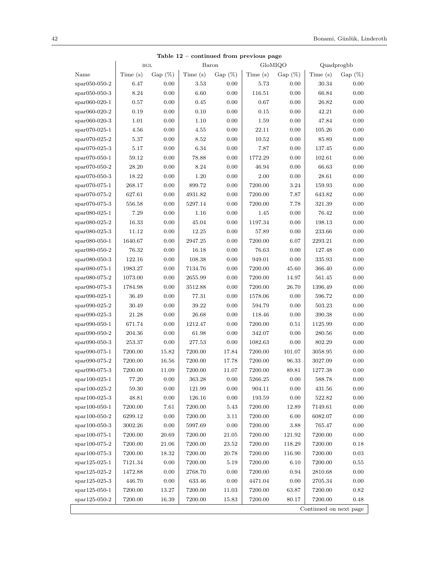| rable 12 – continued from previous page<br>GloMIQO<br>Quadprogbb<br>$_{\rm BGL}$<br>Baron |         |            |         |            |         |           |                        |           |
|-------------------------------------------------------------------------------------------|---------|------------|---------|------------|---------|-----------|------------------------|-----------|
| Name                                                                                      | Time(s) | Gap $(\%)$ | Time(s) | Gap $(\%)$ | Time(s) | $Gap(\%)$ | Time(s)                | $Gap(\%)$ |
| $*$ par050-050-2                                                                          | 6.47    | 0.00       | 3.53    | 0.00       | 5.73    | 0.00      | 30.34                  | 0.00      |
| $span050-050-3$                                                                           | 8.24    | 0.00       | 6.60    | 0.00       | 116.51  | 0.00      | 66.84                  | 0.00      |
| $span060-020-1$                                                                           | 0.57    | 0.00       | 0.45    | 0.00       | 0.67    | 0.00      | 26.82                  | 0.00      |
| $*$ par060-020-2                                                                          | 0.19    | 0.00       | 0.10    | 0.00       | 0.15    | 0.00      | 42.21                  | 0.00      |
| $span060-020-3$                                                                           | 1.01    | 0.00       | 1.10    | 0.00       | 1.59    | 0.00      | 47.84                  | 0.00      |
| $*$ par070-025-1                                                                          | 4.56    | 0.00       | 4.55    | 0.00       | 22.11   | 0.00      | 105.26                 | 0.00      |
| $*$ par070-025-2                                                                          | 5.37    | 0.00       | 8.52    | 0.00       | 10.52   | 0.00      | 85.89                  | 0.00      |
| $*$ par070-025-3                                                                          | 5.17    | 0.00       | 6.34    | 0.00       | 7.87    | 0.00      | 137.45                 | 0.00      |
| $*$ spar070-050-1                                                                         | 59.12   | 0.00       | 78.88   | 0.00       | 1772.29 | 0.00      | 102.61                 | 0.00      |
| $*$ par070-050-2                                                                          | 28.20   | 0.00       | 8.24    | 0.00       | 46.94   | 0.00      | 66.63                  | 0.00      |
| $*$ spar070-050-3                                                                         | 18.22   | 0.00       | 1.20    | 0.00       | 2.00    | 0.00      | 28.61                  | 0.00      |
| $*$ spar070-075-1                                                                         | 268.17  | 0.00       | 899.72  | 0.00       | 7200.00 | 3.24      | 159.93                 | 0.00      |
| $*$ spar070-075-2                                                                         | 627.61  | 0.00       | 4931.82 | 0.00       | 7200.00 | 7.87      | 643.82                 | 0.00      |
| $*$ spar070-075-3                                                                         | 556.58  | 0.00       | 5297.14 | 0.00       | 7200.00 | 7.78      | 321.39                 | 0.00      |
| $span080-025-1$                                                                           | 7.29    | 0.00       | 1.16    | 0.00       | 1.45    | 0.00      | 76.42                  | 0.00      |
| $span080-025-2$                                                                           | 16.33   | 0.00       | 45.04   | 0.00       | 1197.34 | 0.00      | 198.13                 | 0.00      |
| $*$ par080-025-3                                                                          | 11.12   | 0.00       | 12.25   | 0.00       | 57.89   | 0.00      | 233.66                 | 0.00      |
| $span080-050-1$                                                                           | 1640.67 | 0.00       | 2947.25 | 0.00       | 7200.00 | 6.07      | 2293.21                | 0.00      |
| $*$ par080-050-2                                                                          | 76.32   | 0.00       | 16.18   | 0.00       | 76.63   | 0.00      | 127.48                 | 0.00      |
| $span080-050-3$                                                                           | 122.16  | 0.00       | 108.38  | 0.00       | 949.01  | 0.00      | 335.93                 | 0.00      |
| $span080-075-1$                                                                           | 1983.27 | 0.00       | 7134.76 | 0.00       | 7200.00 | 45.60     | 366.40                 | 0.00      |
| $span080-075-2$                                                                           | 1073.00 | 0.00       | 2655.99 | 0.00       | 7200.00 | 14.97     | 561.45                 | 0.00      |
| $span080-075-3$                                                                           | 1784.98 | 0.00       | 3512.88 | 0.00       | 7200.00 | 26.70     | 1396.49                | 0.00      |
| $span090-025-1$                                                                           | 36.49   | 0.00       | 77.31   | 0.00       | 1578.06 | 0.00      | 596.72                 | 0.00      |
| $span090-025-2$                                                                           | 30.49   | 0.00       | 39.22   | 0.00       | 594.79  | 0.00      | 503.23                 | 0.00      |
| $span090-025-3$                                                                           | 21.28   | 0.00       | 26.68   | 0.00       | 118.46  | 0.00      | 390.38                 | 0.00      |
| $span090-050-1$                                                                           | 671.74  | 0.00       | 1212.47 | 0.00       | 7200.00 | 0.51      | 1125.99                | 0.00      |
| $span090-050-2$                                                                           | 204.36  | 0.00       | 61.98   | 0.00       | 342.07  | 0.00      | 280.56                 | 0.00      |
| $span090-050-3$                                                                           | 253.37  | 0.00       | 277.53  | 0.00       | 1082.63 | 0.00      | 802.29                 | 0.00      |
| $span090-075-1$                                                                           | 7200.00 | 15.82      | 7200.00 | 17.84      | 7200.00 | 101.07    | 3058.95                | 0.00      |
| $span090-075-2$                                                                           | 7200.00 | 16.56      | 7200.00 | 17.78      | 7200.00 | 96.33     | 3027.09                | 0.00      |
| $span090-075-3$                                                                           | 7200.00 | 11.09      | 7200.00 | 11.07      | 7200.00 | 89.81     | 1277.38                | 0.00      |
| spar100-025-1                                                                             | 77.20   | 0.00       | 363.28  | 0.00       | 5266.25 | 0.00      | 588.78                 | 0.00      |
| $*$ spar $100-025-2$                                                                      | 59.30   | 0.00       | 121.99  | 0.00       | 904.11  | 0.00      | 431.56                 | 0.00      |
| $*$ par100-025-3                                                                          | 48.81   | 0.00       | 126.16  | 0.00       | 193.59  | 0.00      | 522.82                 | $0.00\,$  |
| $spr100-050-1$                                                                            | 7200.00 | 7.61       | 7200.00 | 5.43       | 7200.00 | 12.89     | 7149.61                | 0.00      |
| $*$ spar $100-050-2$                                                                      | 6299.12 | 0.00       | 7200.00 | 3.11       | 7200.00 | 6.00      | 6082.07                | 0.00      |
| $spr100-050-3$                                                                            | 3002.26 | 0.00       | 5997.69 | 0.00       | 7200.00 | 3.88      | 765.47                 | 0.00      |
| $*$ par100-075-1                                                                          | 7200.00 | 20.69      | 7200.00 | 21.05      | 7200.00 | 121.92    | 7200.00                | 0.00      |
| $*$ par100-075-2                                                                          | 7200.00 | 21.06      | 7200.00 | 23.52      | 7200.00 | 118.29    | 7200.00                | 0.18      |
| $spr100-075-3$                                                                            | 7200.00 | 18.32      | 7200.00 | 20.78      | 7200.00 | 116.90    | 7200.00                | 0.03      |
| $spr125-025-1$                                                                            | 7121.34 | 0.00       | 7200.00 | 5.19       | 7200.00 | 6.10      | 7200.00                | 0.55      |
| $spr125-025-2$                                                                            | 1472.88 | 0.00       | 2768.70 | 0.00       | 7200.00 | 0.94      | 2810.68                | 0.00      |
| $spr125-025-3$                                                                            | 446.70  | 0.00       | 633.46  | 0.00       | 4471.04 | 0.00      | 2705.34                | 0.00      |
| $spr125-050-1$                                                                            | 7200.00 | 13.27      | 7200.00 | 11.03      | 7200.00 | 63.87     | 7200.00                | 0.82      |
| $*$ par125-050-2                                                                          | 7200.00 | 16.39      | 7200.00 | 15.83      | 7200.00 | 80.17     | 7200.00                | 0.48      |
|                                                                                           |         |            |         |            |         |           | Continued on next page |           |

| Table $12$ – continued from previous page |  |  |  |
|-------------------------------------------|--|--|--|
|-------------------------------------------|--|--|--|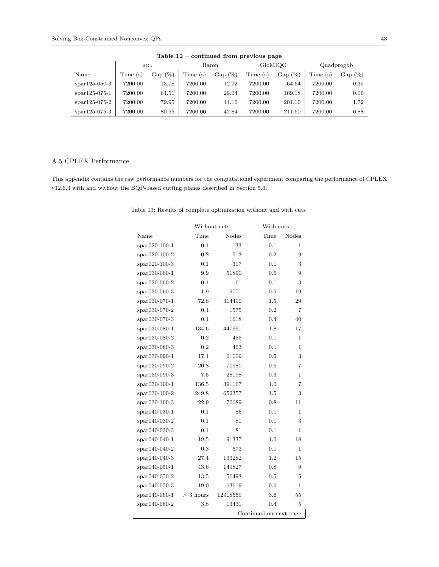| rable $12 -$ continued from previous page |           |         |           |         |           |         |            |  |
|-------------------------------------------|-----------|---------|-----------|---------|-----------|---------|------------|--|
|                                           |           |         |           |         |           |         |            |  |
| Time(s)                                   | $Gap(\%)$ | Time(s) | $Gap(\%)$ | Time(s) | $Gap(\%)$ | Time(s) | $Gap(\%)$  |  |
| 7200.00                                   | 13.78     | 7200.00 | 12.72     | 7200.00 | 64.64     | 7200.00 | 0.35       |  |
| 7200.00                                   | 64.51     | 7200.00 | 29.04     | 7200.00 | 169.18    | 7200.00 | 0.06       |  |
| 7200.00                                   | 79.95     | 7200.00 | 44.16     | 7200.00 | 201.10    | 7200.00 | 1.72       |  |
| 7200.00                                   | 80.95     | 7200.00 | 42.84     | 7200.00 | 211.60    | 7200.00 | 0.88       |  |
|                                           |           | BGL     |           | Baron   |           | GloMIQO | Quadprogbb |  |

#### $Table 12 - continued from previ$

#### A.5 CPLEX Performance

This appendix contains the raw performance numbers for the computational experiment comparing the performance of CPLEX v12.6.3 with and without the BQP-based cutting planes described in Section 5.3.

|                         | Without cuts |          | With cuts |       |  |  |
|-------------------------|--------------|----------|-----------|-------|--|--|
| Name                    | Time         | Nodes    | Time      | Nodes |  |  |
| spar020-100-1           | 0.1          | 133      | 0.1       | 1     |  |  |
| $*$ par $020-100-2$     | 0.2          | 513      | 0.2       | 9     |  |  |
| $*$ par $020-100-3$     | 0.1          | 317      | 0.1       | 3     |  |  |
| $*$ par030-060-1        | 9.9          | 51890    | 0.6       | 9     |  |  |
| $*$ par030-060-2        | 0.1          | 61       | 0.1       | 3     |  |  |
| spar030-060-3           | 1.9          | 9771     | 0.5       | 19    |  |  |
| spar030-070-1           | 72.6         | 314490   | $1.5\,$   | 29    |  |  |
| spar030-070-2           | 0.4          | 1575     | 0.2       | 7     |  |  |
| spar030-070-3           | 0.4          | 1618     | 0.4       | 40    |  |  |
| $span030-080-1$         | 134.6        | 447951   | 1.8       | 17    |  |  |
| $spr030-080-2$          | 0.2          | 455      | 0.1       | 1     |  |  |
| spar030-080-3           | 0.2          | 463      | 0.1       | 1     |  |  |
| spar030-090-1           | 17.4         | 61009    | 0.5       | 3     |  |  |
| spar030-090-2           | 20.8         | 70980    | 0.6       | 7     |  |  |
| $spr030-090-3$          | 7.5          | 28198    | 0.3       | 1     |  |  |
| $*$ par $030-100-1$     | 136.5        | 391167   | 1.0       | 7     |  |  |
| $span030-100-2$         | 249.8        | 652357   | $1.5\,$   | 3     |  |  |
| $*$ par030-100-3        | 22.9         | 70689    | 0.8       | 11    |  |  |
| spar040-030-1           | 0.1          | 85       | 0.1       | 1     |  |  |
| $spr040-030-2$          | 0.1          | 81       | 0.1       | 3     |  |  |
| $*$ par040-030-3        | 0.1          | 81       | 0.1       | 1     |  |  |
| $spr040-040-1$          | 19.5         | 91337    | 1.0       | 18    |  |  |
| $spr040-040-2$          | 0.3          | 673      | 0.1       | 1     |  |  |
| $spr040-040-3$          | 27.4         | 133282   | 1.2       | 15    |  |  |
| $spr040-050-1$          | 43.6         | 149827   | 0.8       | 9     |  |  |
| $spr040-050-2$          | 13.5         | 50493    | 0.5       | 5     |  |  |
| $\text{span}(40-050-3)$ | 19.0         | 63619    | 0.6       | 1.    |  |  |
| $spr040-060-1$          | $>$ 3 hours  | 12918559 | 3.6       | 55    |  |  |
| $spr040-060-2$          | 3.8          | 13431    | 0.4       | 5     |  |  |
| Continued on next page  |              |          |           |       |  |  |

Table 13: Results of complete optimization without and with cuts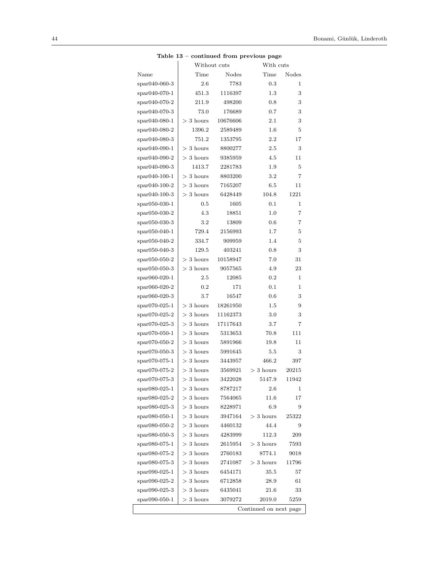|                                        |             | Without cuts | continued from previous page<br>With cuts |       |
|----------------------------------------|-------------|--------------|-------------------------------------------|-------|
| Name                                   | Time        | Nodes        | Time                                      | Nodes |
| $\text{spar040-060-3}$                 | 2.6         | 7783         | 0.3                                       | 1     |
| $spr040-070-1$                         | 451.3       | 1116397      | 1.3                                       | 3     |
| $*$ par040-070-2                       | 211.9       | 498200       | $0.8\,$                                   | 3     |
| $*$ par040-070-3                       | 73.0        | 176689       | 0.7                                       | 3     |
| $spr040-080-1$                         | $>$ 3 hours | 10676606     | $2.1\,$                                   | 3     |
| spar040-080-2                          | 1396.2      | 2589489      | 1.6                                       | 5     |
| $*$ par040-080-3                       | 751.2       | 1353795      | 2.2                                       | 17    |
| $spr040-090-1$                         | $>$ 3 hours | 8800277      | 2.5                                       | 3     |
| $spr040-090-2$                         | $>$ 3 hours | 9385959      | 4.5                                       | 11    |
| $spr040-090-3$                         | 1413.7      | 2281783      | 1.9                                       | 5     |
| spar040-100-1                          | $>$ 3 hours | 8803200      | 3.2                                       | 7     |
| $\text{spar040-100-2}$                 | $>$ 3 hours | 7165207      | 6.5                                       | 11    |
| spar040-100-3                          | $>$ 3 hours | 6428449      | 104.8                                     | 1221  |
| $*$ par $050 - 030 - 1$                | 0.5         | 1605         | 0.1                                       | 1     |
| spar050-030-2                          | 4.3         | 18851        | 1.0                                       | 7     |
| spar050-030-3                          | 3.2         | 13809        | $0.6\,$                                   | 7     |
| $*$ par050-040-1                       | 729.4       | 2156993      | 1.7                                       | 5     |
| $*$ par050-040-2                       | 334.7       | 909959       | 1.4                                       | 5     |
| $*$ par050-040-3                       | 129.5       | 403241       | 0.8                                       | 3     |
| spar050-050-2                          | $>$ 3 hours | 10158947     | 7.0                                       | 31    |
| $\mathrm{spar050\text{-}050\text{-}3}$ | $>$ 3 hours | 9057565      | 4.9                                       | 23    |
| $span060-020-1$                        | 2.5         | 12085        | 0.2                                       | 1     |
| spar060-020-2                          | 0.2         | 171          | 0.1                                       | 1     |
| $*$ par060-020-3                       | 3.7         | 16547        | 0.6                                       | 3     |
| $*$ par070-025-1                       | $>$ 3 hours | 18261950     | 1.5                                       | 9     |
| $*$ par070-025-2                       | $>$ 3 hours | 11162373     | 3.0                                       | 3     |
| $*$ par070-025-3                       | $>$ 3 hours | 17117643     | 3.7                                       | 7     |
| $\text{spar070-050-1}$                 | $>$ 3 hours | 5313653      | 70.8                                      | 111   |
| $*$ par070-050-2                       | $>$ 3 hours | 5891966      | 19.8                                      | 11    |
| $*$ par070-050-3                       | $>$ 3 hours | 5991645      | $5.5\,$                                   | 3     |
| $*$ par070-075-1                       | $>$ 3 hours | 3443957      | 466.2                                     | 397   |
| $*$ par070-075-2                       | $>$ 3 hours | 3569921      | $>$ 3 hours                               | 20215 |
| spar070-075-3                          | $>$ 3 hours | 3422028      | 5147.9                                    | 11942 |
| $span080-025-1$                        | $>$ 3 hours | 8787217      | 2.6                                       | 1     |
| spar080-025-2                          | $>$ 3 hours | 7564065      | 11.6                                      | 17    |
| $span080-025-3$                        | $>$ 3 hours | 8228971      | 6.9                                       | 9     |
| spar080-050-1                          | $>$ 3 hours | 3947164      | $>$ 3 hours                               | 25322 |
| spar080-050-2                          | $>$ 3 hours | 4460132      | 44.4                                      | 9     |
| $spr080-050-3$                         | $>$ 3 hours | 4283999      | 112.3                                     | 209   |
| $*$ par080-075-1                       | $>$ 3 hours | 2615954      | $>$ 3 hours                               | 7593  |
| $span080-075-2$                        | $>$ 3 hours | 2760183      | 8774.1                                    | 9018  |
| $span080-075-3$                        | $>$ 3 hours | 2741087      | $>$ 3 hours                               | 11796 |
| $span090-025-1$                        | $>$ 3 hours | 6454171      | 35.5                                      | 57    |
| $span090-025-2$                        | $>$ 3 hours | 6712858      | 28.9                                      | 61    |
| $span090-025-3$                        | $>$ 3 hours | 6435041      | 21.6                                      | 33    |
| spar090-050-1                          | $>$ 3 hours | 3079272      | 2019.0                                    | 5259  |
|                                        |             |              | Continued on next page                    |       |
|                                        |             |              |                                           |       |

#### Table 13 – continued from previous page